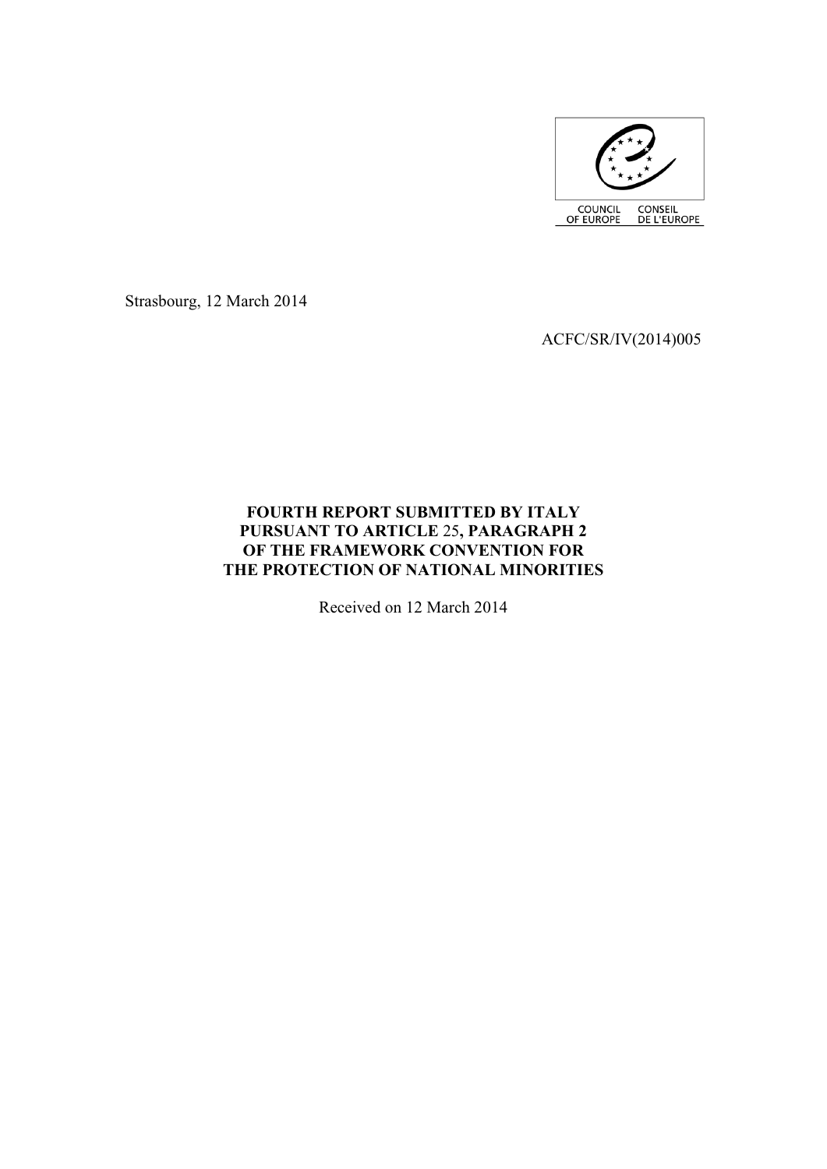

Strasbourg, 12 March 2014

ACFC/SR/IV(2014)005

# **FOURTH REPORT SUBMITTED BY ITALY PURSUANT TO ARTICLE** 25**, PARAGRAPH 2 OF THE FRAMEWORK CONVENTION FOR THE PROTECTION OF NATIONAL MINORITIES**

Received on 12 March 2014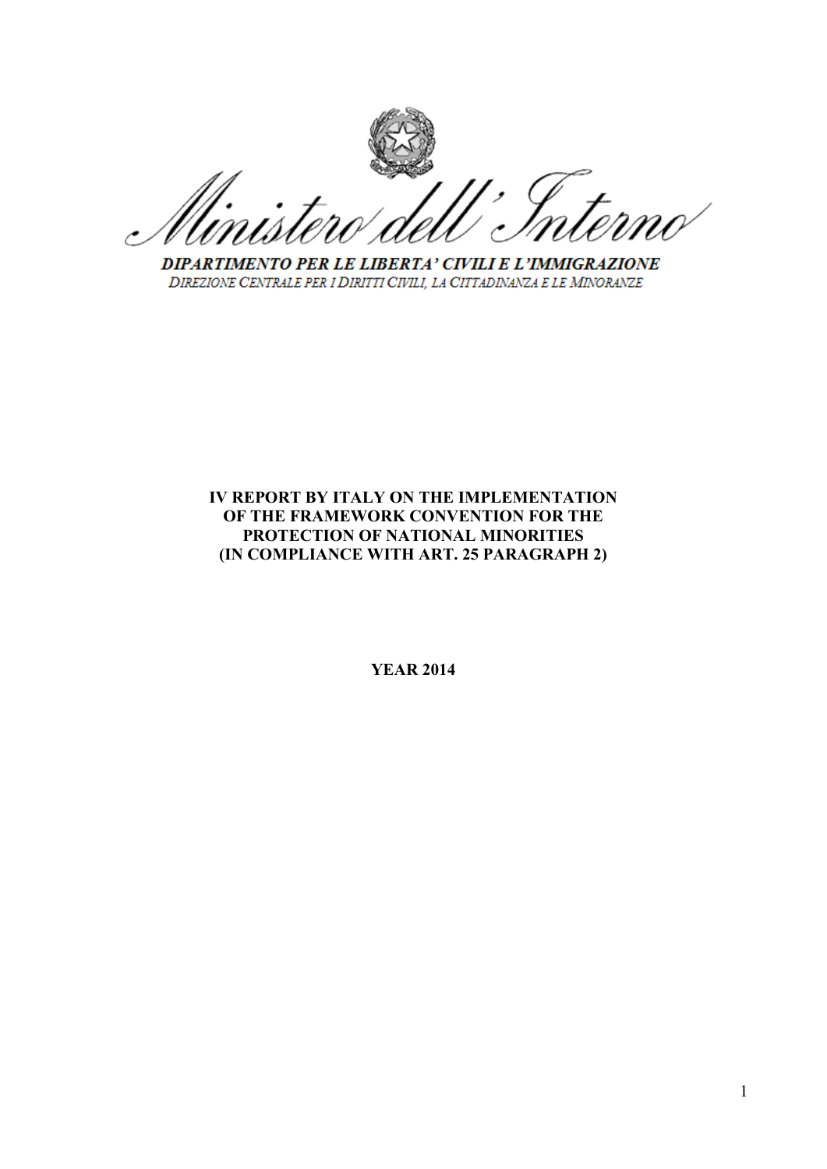DIPARTIMENTO PER LE LIBERTA' CIVILI E L'IMMIGRAZIONE DIREZIONE CENTRALE PER I DIRITTI CIVILI, LA CITTADINANZA E LE MINORANZE

# **IV REPORT BY ITALY ON THE IMPLEMENTATION OF THE FRAMEWORK CONVENTION FOR THE PROTECTION OF NATIONAL MINORITIES (IN COMPLIANCE WITH ART. 25 PARAGRAPH 2)**

**YEAR 2014**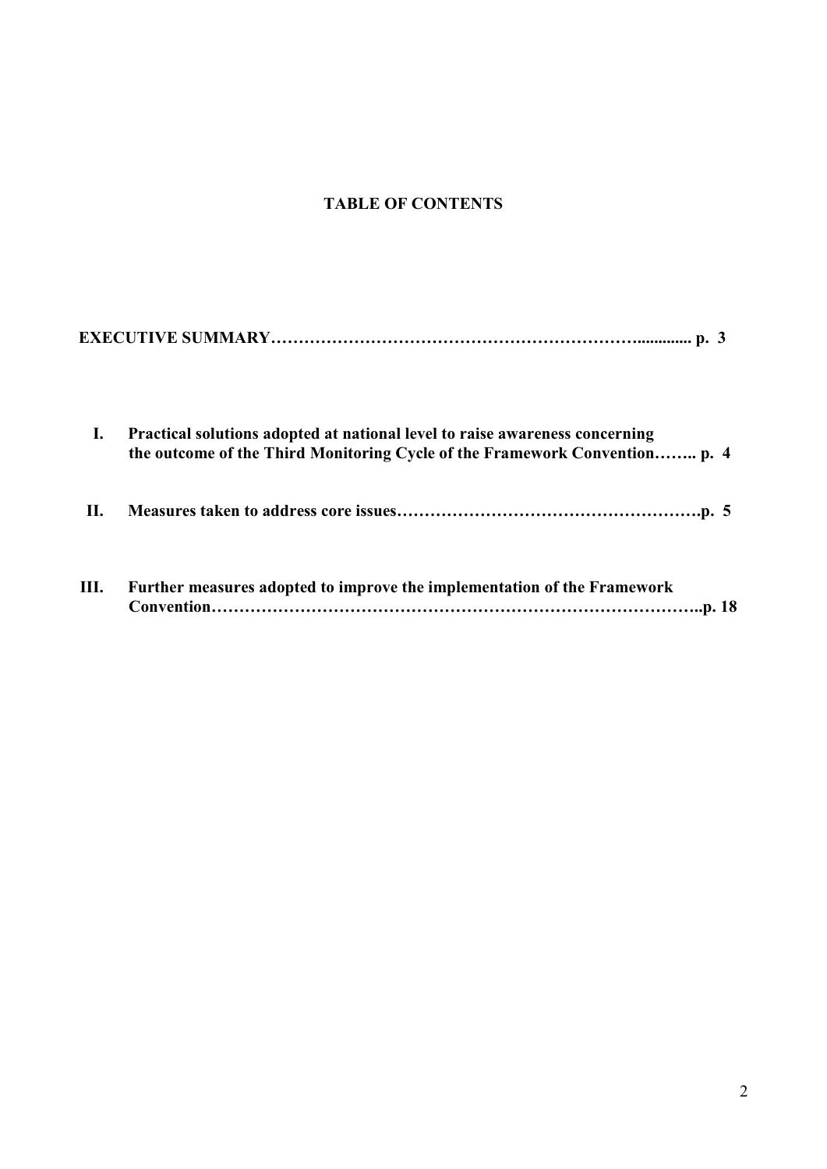# **TABLE OF CONTENTS**

| Ι.   | Practical solutions adopted at national level to raise awareness concerning<br>the outcome of the Third Monitoring Cycle of the Framework Convention p. 4 |  |
|------|-----------------------------------------------------------------------------------------------------------------------------------------------------------|--|
| П.   |                                                                                                                                                           |  |
| III. | Further measures adopted to improve the implementation of the Framework                                                                                   |  |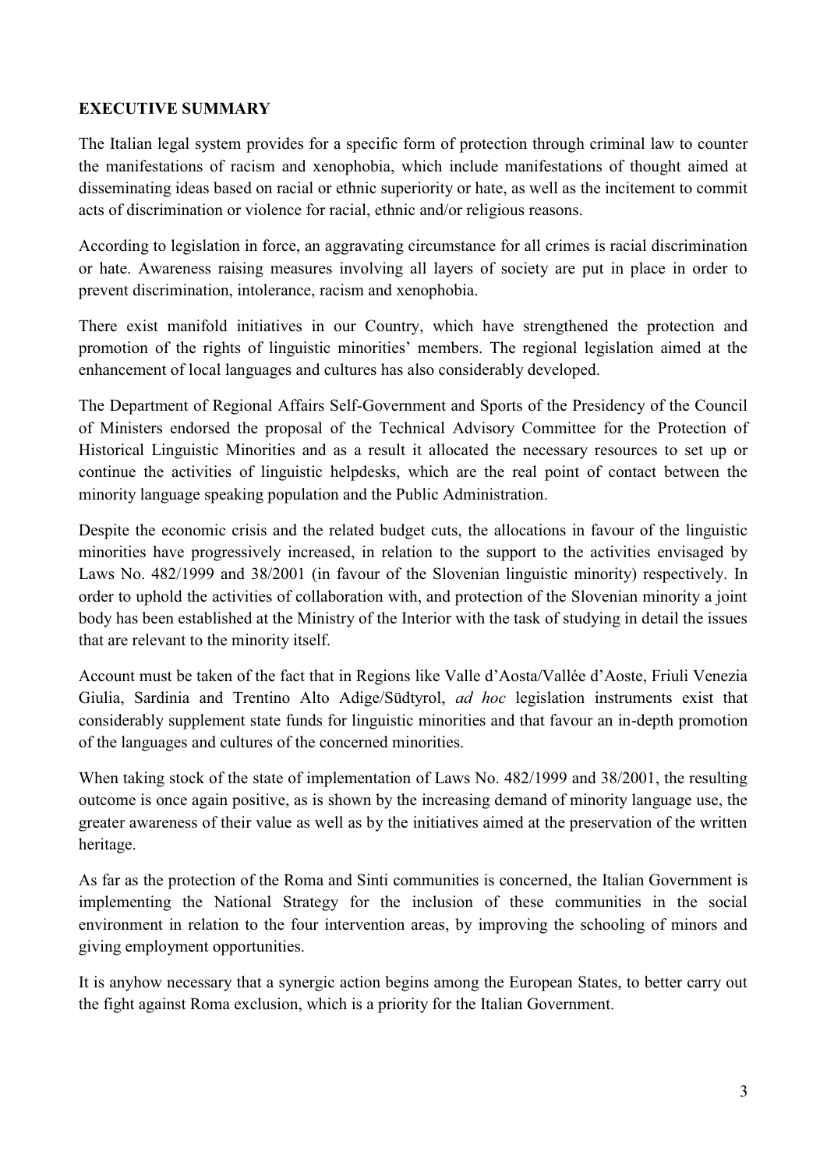# **EXECUTIVE SUMMARY**

The Italian legal system provides for a specific form of protection through criminal law to counter the manifestations of racism and xenophobia, which include manifestations of thought aimed at disseminating ideas based on racial or ethnic superiority or hate, as well as the incitement to commit acts of discrimination or violence for racial, ethnic and/or religious reasons.

According to legislation in force, an aggravating circumstance for all crimes is racial discrimination or hate. Awareness raising measures involving all layers of society are put in place in order to prevent discrimination, intolerance, racism and xenophobia.

There exist manifold initiatives in our Country, which have strengthened the protection and promotion of the rights of linguistic minorities' members. The regional legislation aimed at the enhancement of local languages and cultures has also considerably developed.

The Department of Regional Affairs Self-Government and Sports of the Presidency of the Council of Ministers endorsed the proposal of the Technical Advisory Committee for the Protection of Historical Linguistic Minorities and as a result it allocated the necessary resources to set up or continue the activities of linguistic helpdesks, which are the real point of contact between the minority language speaking population and the Public Administration.

Despite the economic crisis and the related budget cuts, the allocations in favour of the linguistic minorities have progressively increased, in relation to the support to the activities envisaged by Laws No. 482/1999 and 38/2001 (in favour of the Slovenian linguistic minority) respectively. In order to uphold the activities of collaboration with, and protection of the Slovenian minority a joint body has been established at the Ministry of the Interior with the task of studying in detail the issues that are relevant to the minority itself.

Account must be taken of the fact that in Regions like Valle d"Aosta/Vallée d"Aoste, Friuli Venezia Giulia, Sardinia and Trentino Alto Adige/Südtyrol, *ad hoc* legislation instruments exist that considerably supplement state funds for linguistic minorities and that favour an in-depth promotion of the languages and cultures of the concerned minorities.

When taking stock of the state of implementation of Laws No. 482/1999 and 38/2001, the resulting outcome is once again positive, as is shown by the increasing demand of minority language use, the greater awareness of their value as well as by the initiatives aimed at the preservation of the written heritage.

As far as the protection of the Roma and Sinti communities is concerned, the Italian Government is implementing the National Strategy for the inclusion of these communities in the social environment in relation to the four intervention areas, by improving the schooling of minors and giving employment opportunities.

It is anyhow necessary that a synergic action begins among the European States, to better carry out the fight against Roma exclusion, which is a priority for the Italian Government.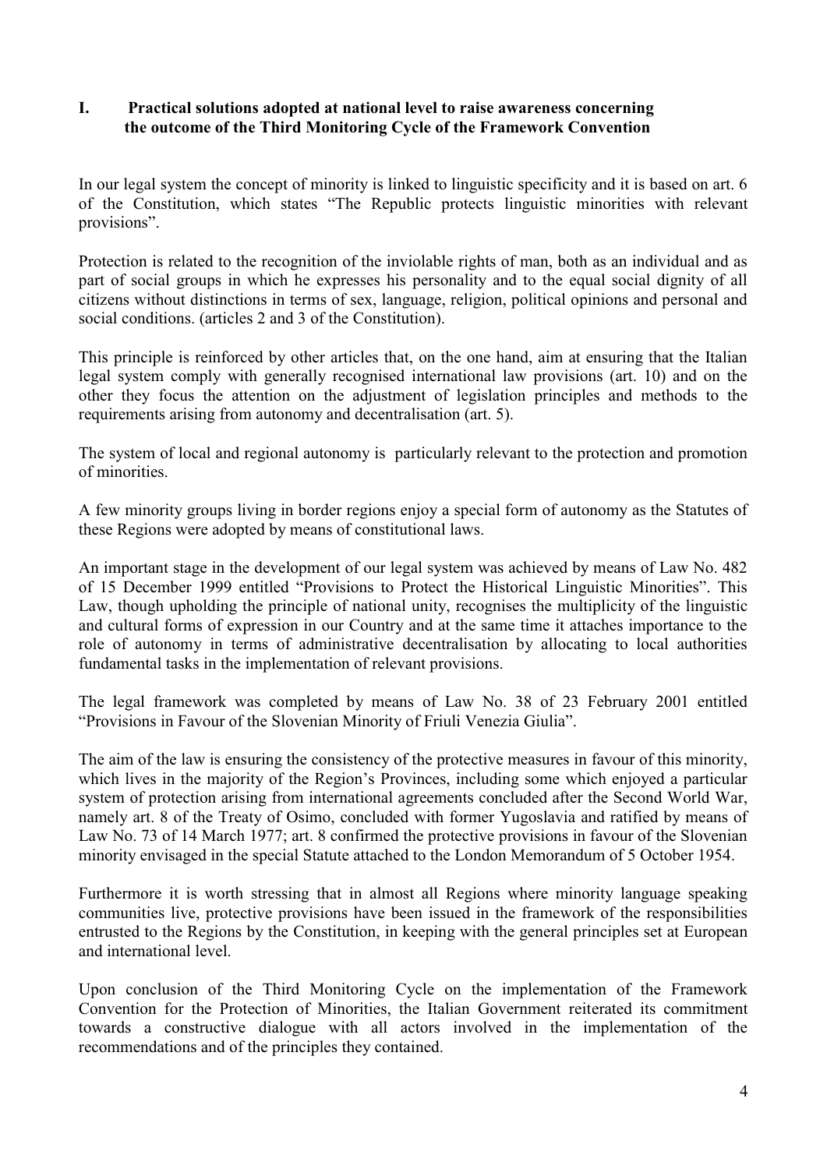# **I. Practical solutions adopted at national level to raise awareness concerning the outcome of the Third Monitoring Cycle of the Framework Convention**

In our legal system the concept of minority is linked to linguistic specificity and it is based on art. 6 of the Constitution, which states "The Republic protects linguistic minorities with relevant provisions".

Protection is related to the recognition of the inviolable rights of man, both as an individual and as part of social groups in which he expresses his personality and to the equal social dignity of all citizens without distinctions in terms of sex, language, religion, political opinions and personal and social conditions. (articles 2 and 3 of the Constitution).

This principle is reinforced by other articles that, on the one hand, aim at ensuring that the Italian legal system comply with generally recognised international law provisions (art. 10) and on the other they focus the attention on the adjustment of legislation principles and methods to the requirements arising from autonomy and decentralisation (art. 5).

The system of local and regional autonomy is particularly relevant to the protection and promotion of minorities.

A few minority groups living in border regions enjoy a special form of autonomy as the Statutes of these Regions were adopted by means of constitutional laws.

An important stage in the development of our legal system was achieved by means of Law No. 482 of 15 December 1999 entitled "Provisions to Protect the Historical Linguistic Minorities". This Law, though upholding the principle of national unity, recognises the multiplicity of the linguistic and cultural forms of expression in our Country and at the same time it attaches importance to the role of autonomy in terms of administrative decentralisation by allocating to local authorities fundamental tasks in the implementation of relevant provisions.

The legal framework was completed by means of Law No. 38 of 23 February 2001 entitled "Provisions in Favour of the Slovenian Minority of Friuli Venezia Giulia".

The aim of the law is ensuring the consistency of the protective measures in favour of this minority, which lives in the majority of the Region's Provinces, including some which enjoyed a particular system of protection arising from international agreements concluded after the Second World War, namely art. 8 of the Treaty of Osimo, concluded with former Yugoslavia and ratified by means of Law No. 73 of 14 March 1977; art. 8 confirmed the protective provisions in favour of the Slovenian minority envisaged in the special Statute attached to the London Memorandum of 5 October 1954.

Furthermore it is worth stressing that in almost all Regions where minority language speaking communities live, protective provisions have been issued in the framework of the responsibilities entrusted to the Regions by the Constitution, in keeping with the general principles set at European and international level.

Upon conclusion of the Third Monitoring Cycle on the implementation of the Framework Convention for the Protection of Minorities, the Italian Government reiterated its commitment towards a constructive dialogue with all actors involved in the implementation of the recommendations and of the principles they contained.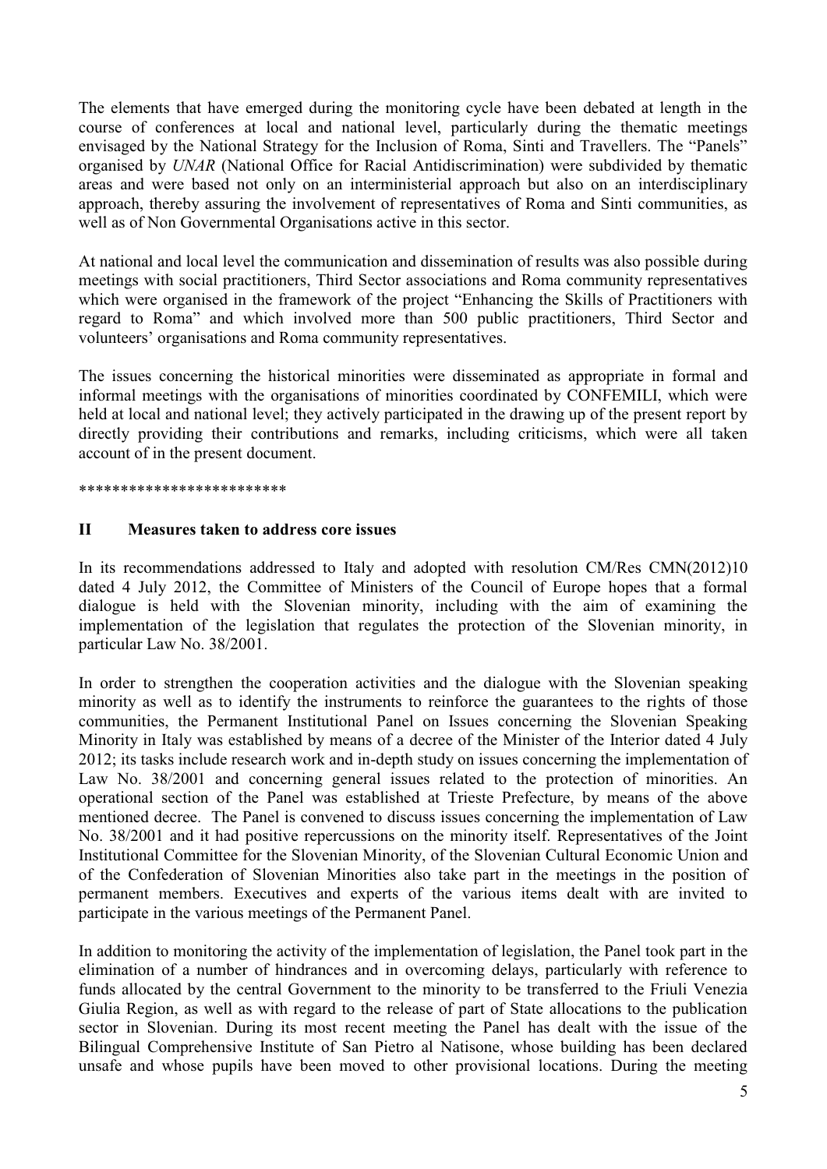The elements that have emerged during the monitoring cycle have been debated at length in the course of conferences at local and national level, particularly during the thematic meetings envisaged by the National Strategy for the Inclusion of Roma, Sinti and Travellers. The "Panels" organised by *UNAR* (National Office for Racial Antidiscrimination) were subdivided by thematic areas and were based not only on an interministerial approach but also on an interdisciplinary approach, thereby assuring the involvement of representatives of Roma and Sinti communities, as well as of Non Governmental Organisations active in this sector.

At national and local level the communication and dissemination of results was also possible during meetings with social practitioners, Third Sector associations and Roma community representatives which were organised in the framework of the project "Enhancing the Skills of Practitioners with regard to Roma" and which involved more than 500 public practitioners, Third Sector and volunteers" organisations and Roma community representatives.

The issues concerning the historical minorities were disseminated as appropriate in formal and informal meetings with the organisations of minorities coordinated by CONFEMILI, which were held at local and national level; they actively participated in the drawing up of the present report by directly providing their contributions and remarks, including criticisms, which were all taken account of in the present document.

#### \*\*\*\*\*\*\*\*\*\*\*\*\*\*\*\*\*\*\*\*\*\*\*\*\*

#### **II Measures taken to address core issues**

In its recommendations addressed to Italy and adopted with resolution CM/Res CMN(2012)10 dated 4 July 2012, the Committee of Ministers of the Council of Europe hopes that a formal dialogue is held with the Slovenian minority, including with the aim of examining the implementation of the legislation that regulates the protection of the Slovenian minority, in particular Law No. 38/2001.

In order to strengthen the cooperation activities and the dialogue with the Slovenian speaking minority as well as to identify the instruments to reinforce the guarantees to the rights of those communities, the Permanent Institutional Panel on Issues concerning the Slovenian Speaking Minority in Italy was established by means of a decree of the Minister of the Interior dated 4 July 2012; its tasks include research work and in-depth study on issues concerning the implementation of Law No. 38/2001 and concerning general issues related to the protection of minorities. An operational section of the Panel was established at Trieste Prefecture, by means of the above mentioned decree. The Panel is convened to discuss issues concerning the implementation of Law No. 38/2001 and it had positive repercussions on the minority itself. Representatives of the Joint Institutional Committee for the Slovenian Minority, of the Slovenian Cultural Economic Union and of the Confederation of Slovenian Minorities also take part in the meetings in the position of permanent members. Executives and experts of the various items dealt with are invited to participate in the various meetings of the Permanent Panel.

In addition to monitoring the activity of the implementation of legislation, the Panel took part in the elimination of a number of hindrances and in overcoming delays, particularly with reference to funds allocated by the central Government to the minority to be transferred to the Friuli Venezia Giulia Region, as well as with regard to the release of part of State allocations to the publication sector in Slovenian. During its most recent meeting the Panel has dealt with the issue of the Bilingual Comprehensive Institute of San Pietro al Natisone, whose building has been declared unsafe and whose pupils have been moved to other provisional locations. During the meeting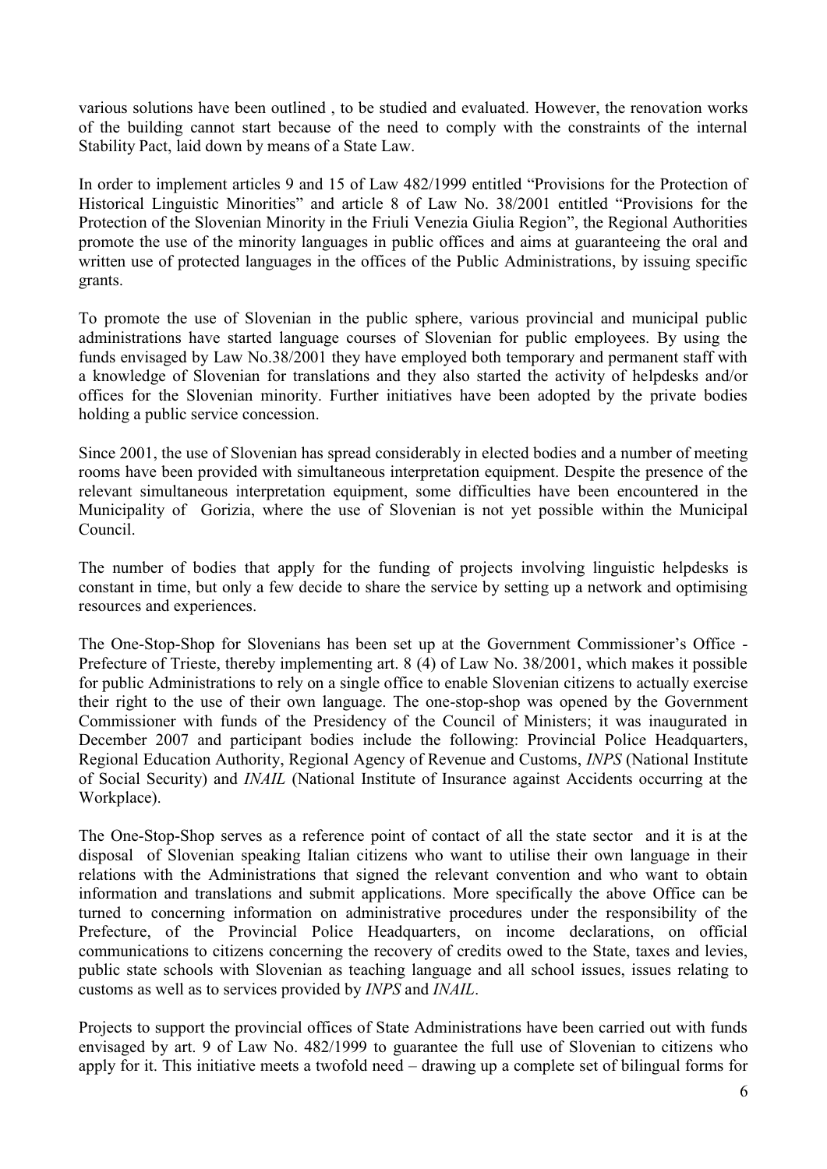various solutions have been outlined , to be studied and evaluated. However, the renovation works of the building cannot start because of the need to comply with the constraints of the internal Stability Pact, laid down by means of a State Law.

In order to implement articles 9 and 15 of Law 482/1999 entitled "Provisions for the Protection of Historical Linguistic Minorities" and article 8 of Law No. 38/2001 entitled "Provisions for the Protection of the Slovenian Minority in the Friuli Venezia Giulia Region", the Regional Authorities promote the use of the minority languages in public offices and aims at guaranteeing the oral and written use of protected languages in the offices of the Public Administrations, by issuing specific grants.

To promote the use of Slovenian in the public sphere, various provincial and municipal public administrations have started language courses of Slovenian for public employees. By using the funds envisaged by Law No.38/2001 they have employed both temporary and permanent staff with a knowledge of Slovenian for translations and they also started the activity of helpdesks and/or offices for the Slovenian minority. Further initiatives have been adopted by the private bodies holding a public service concession.

Since 2001, the use of Slovenian has spread considerably in elected bodies and a number of meeting rooms have been provided with simultaneous interpretation equipment. Despite the presence of the relevant simultaneous interpretation equipment, some difficulties have been encountered in the Municipality of Gorizia, where the use of Slovenian is not yet possible within the Municipal Council.

The number of bodies that apply for the funding of projects involving linguistic helpdesks is constant in time, but only a few decide to share the service by setting up a network and optimising resources and experiences.

The One-Stop-Shop for Slovenians has been set up at the Government Commissioner's Office -Prefecture of Trieste, thereby implementing art. 8 (4) of Law No. 38/2001, which makes it possible for public Administrations to rely on a single office to enable Slovenian citizens to actually exercise their right to the use of their own language. The one-stop-shop was opened by the Government Commissioner with funds of the Presidency of the Council of Ministers; it was inaugurated in December 2007 and participant bodies include the following: Provincial Police Headquarters, Regional Education Authority, Regional Agency of Revenue and Customs, *INPS* (National Institute of Social Security) and *INAIL* (National Institute of Insurance against Accidents occurring at the Workplace).

The One-Stop-Shop serves as a reference point of contact of all the state sector and it is at the disposal of Slovenian speaking Italian citizens who want to utilise their own language in their relations with the Administrations that signed the relevant convention and who want to obtain information and translations and submit applications. More specifically the above Office can be turned to concerning information on administrative procedures under the responsibility of the Prefecture, of the Provincial Police Headquarters, on income declarations, on official communications to citizens concerning the recovery of credits owed to the State, taxes and levies, public state schools with Slovenian as teaching language and all school issues, issues relating to customs as well as to services provided by *INPS* and *INAIL*.

Projects to support the provincial offices of State Administrations have been carried out with funds envisaged by art. 9 of Law No. 482/1999 to guarantee the full use of Slovenian to citizens who apply for it. This initiative meets a twofold need – drawing up a complete set of bilingual forms for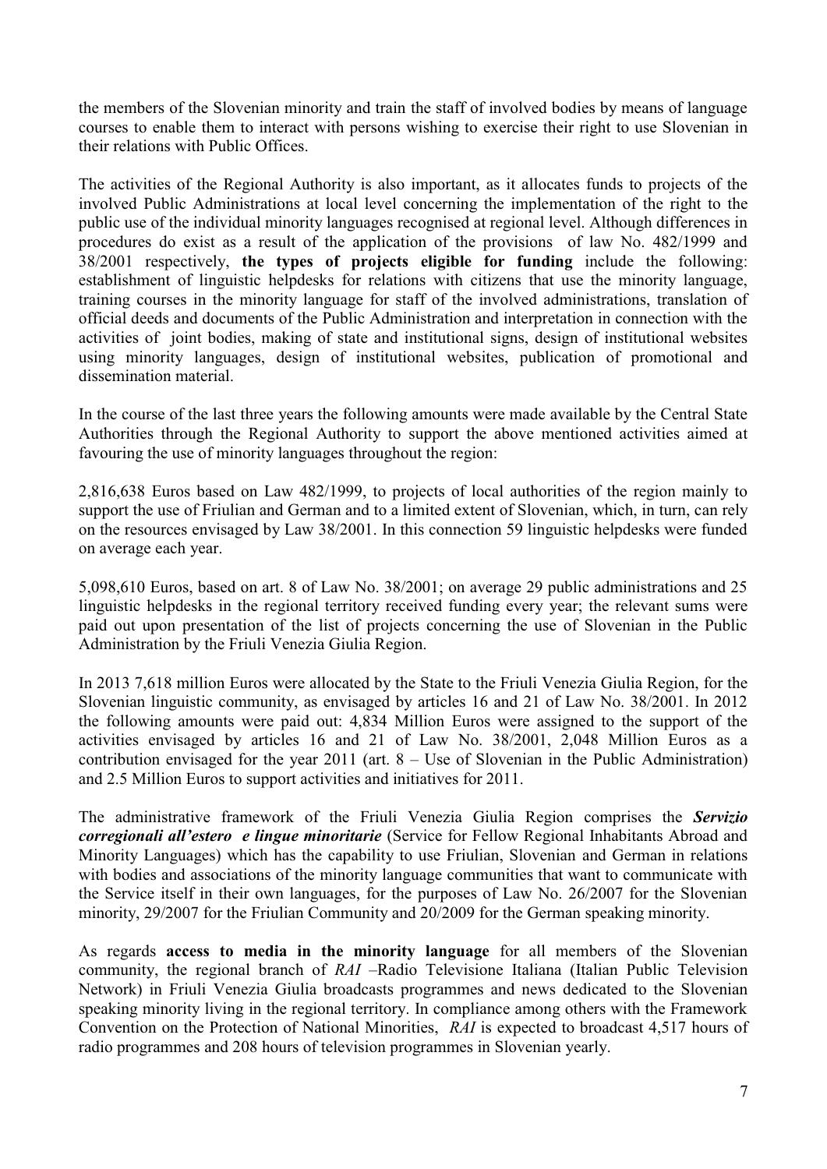the members of the Slovenian minority and train the staff of involved bodies by means of language courses to enable them to interact with persons wishing to exercise their right to use Slovenian in their relations with Public Offices.

The activities of the Regional Authority is also important, as it allocates funds to projects of the involved Public Administrations at local level concerning the implementation of the right to the public use of the individual minority languages recognised at regional level. Although differences in procedures do exist as a result of the application of the provisions of law No. 482/1999 and 38/2001 respectively, **the types of projects eligible for funding** include the following: establishment of linguistic helpdesks for relations with citizens that use the minority language, training courses in the minority language for staff of the involved administrations, translation of official deeds and documents of the Public Administration and interpretation in connection with the activities of joint bodies, making of state and institutional signs, design of institutional websites using minority languages, design of institutional websites, publication of promotional and dissemination material.

In the course of the last three years the following amounts were made available by the Central State Authorities through the Regional Authority to support the above mentioned activities aimed at favouring the use of minority languages throughout the region:

2,816,638 Euros based on Law 482/1999, to projects of local authorities of the region mainly to support the use of Friulian and German and to a limited extent of Slovenian, which, in turn, can rely on the resources envisaged by Law 38/2001. In this connection 59 linguistic helpdesks were funded on average each year.

5,098,610 Euros, based on art. 8 of Law No. 38/2001; on average 29 public administrations and 25 linguistic helpdesks in the regional territory received funding every year; the relevant sums were paid out upon presentation of the list of projects concerning the use of Slovenian in the Public Administration by the Friuli Venezia Giulia Region.

In 2013 7,618 million Euros were allocated by the State to the Friuli Venezia Giulia Region, for the Slovenian linguistic community, as envisaged by articles 16 and 21 of Law No. 38/2001. In 2012 the following amounts were paid out: 4,834 Million Euros were assigned to the support of the activities envisaged by articles 16 and 21 of Law No. 38/2001, 2,048 Million Euros as a contribution envisaged for the year 2011 (art. 8 – Use of Slovenian in the Public Administration) and 2.5 Million Euros to support activities and initiatives for 2011.

The administrative framework of the Friuli Venezia Giulia Region comprises the *Servizio corregionali all'estero e lingue minoritarie* (Service for Fellow Regional Inhabitants Abroad and Minority Languages) which has the capability to use Friulian, Slovenian and German in relations with bodies and associations of the minority language communities that want to communicate with the Service itself in their own languages, for the purposes of Law No. 26/2007 for the Slovenian minority, 29/2007 for the Friulian Community and 20/2009 for the German speaking minority.

As regards **access to media in the minority language** for all members of the Slovenian community, the regional branch of *RAI* –Radio Televisione Italiana (Italian Public Television Network) in Friuli Venezia Giulia broadcasts programmes and news dedicated to the Slovenian speaking minority living in the regional territory. In compliance among others with the Framework Convention on the Protection of National Minorities, *RAI* is expected to broadcast 4,517 hours of radio programmes and 208 hours of television programmes in Slovenian yearly.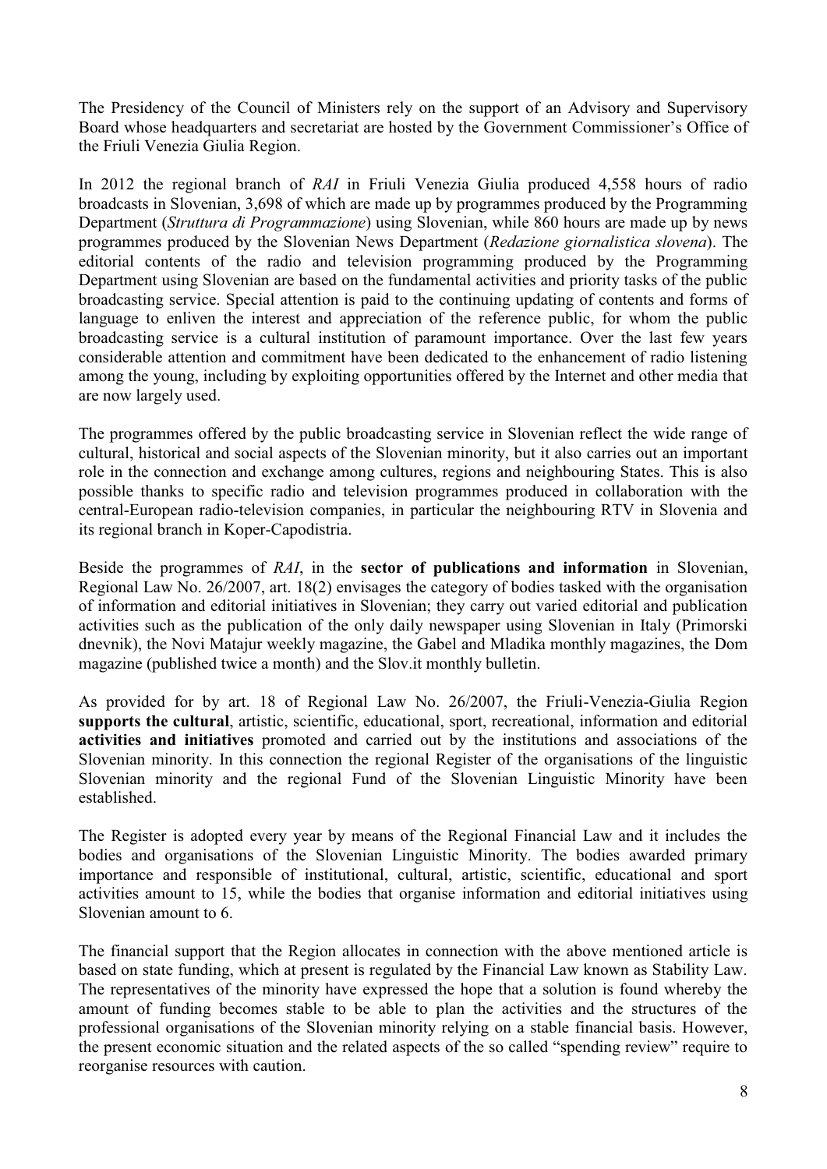The Presidency of the Council of Ministers rely on the support of an Advisory and Supervisory Board whose headquarters and secretariat are hosted by the Government Commissioner's Office of the Friuli Venezia Giulia Region.

In 2012 the regional branch of *RAI* in Friuli Venezia Giulia produced 4,558 hours of radio broadcasts in Slovenian, 3,698 of which are made up by programmes produced by the Programming Department (*Struttura di Programmazione*) using Slovenian, while 860 hours are made up by news programmes produced by the Slovenian News Department (*Redazione giornalistica slovena*). The editorial contents of the radio and television programming produced by the Programming Department using Slovenian are based on the fundamental activities and priority tasks of the public broadcasting service. Special attention is paid to the continuing updating of contents and forms of language to enliven the interest and appreciation of the reference public, for whom the public broadcasting service is a cultural institution of paramount importance. Over the last few years considerable attention and commitment have been dedicated to the enhancement of radio listening among the young, including by exploiting opportunities offered by the Internet and other media that are now largely used.

The programmes offered by the public broadcasting service in Slovenian reflect the wide range of cultural, historical and social aspects of the Slovenian minority, but it also carries out an important role in the connection and exchange among cultures, regions and neighbouring States. This is also possible thanks to specific radio and television programmes produced in collaboration with the central-European radio-television companies, in particular the neighbouring RTV in Slovenia and its regional branch in Koper-Capodistria.

Beside the programmes of *RAI*, in the **sector of publications and information** in Slovenian, Regional Law No. 26/2007, art. 18(2) envisages the category of bodies tasked with the organisation of information and editorial initiatives in Slovenian; they carry out varied editorial and publication activities such as the publication of the only daily newspaper using Slovenian in Italy (Primorski dnevnik), the Novi Matajur weekly magazine, the Gabel and Mladika monthly magazines, the Dom magazine (published twice a month) and the Slov.it monthly bulletin.

As provided for by art. 18 of Regional Law No. 26/2007, the Friuli-Venezia-Giulia Region **supports the cultural**, artistic, scientific, educational, sport, recreational, information and editorial **activities and initiatives** promoted and carried out by the institutions and associations of the Slovenian minority. In this connection the regional Register of the organisations of the linguistic Slovenian minority and the regional Fund of the Slovenian Linguistic Minority have been established.

The Register is adopted every year by means of the Regional Financial Law and it includes the bodies and organisations of the Slovenian Linguistic Minority. The bodies awarded primary importance and responsible of institutional, cultural, artistic, scientific, educational and sport activities amount to 15, while the bodies that organise information and editorial initiatives using Slovenian amount to 6.

The financial support that the Region allocates in connection with the above mentioned article is based on state funding, which at present is regulated by the Financial Law known as Stability Law. The representatives of the minority have expressed the hope that a solution is found whereby the amount of funding becomes stable to be able to plan the activities and the structures of the professional organisations of the Slovenian minority relying on a stable financial basis. However, the present economic situation and the related aspects of the so called "spending review" require to reorganise resources with caution.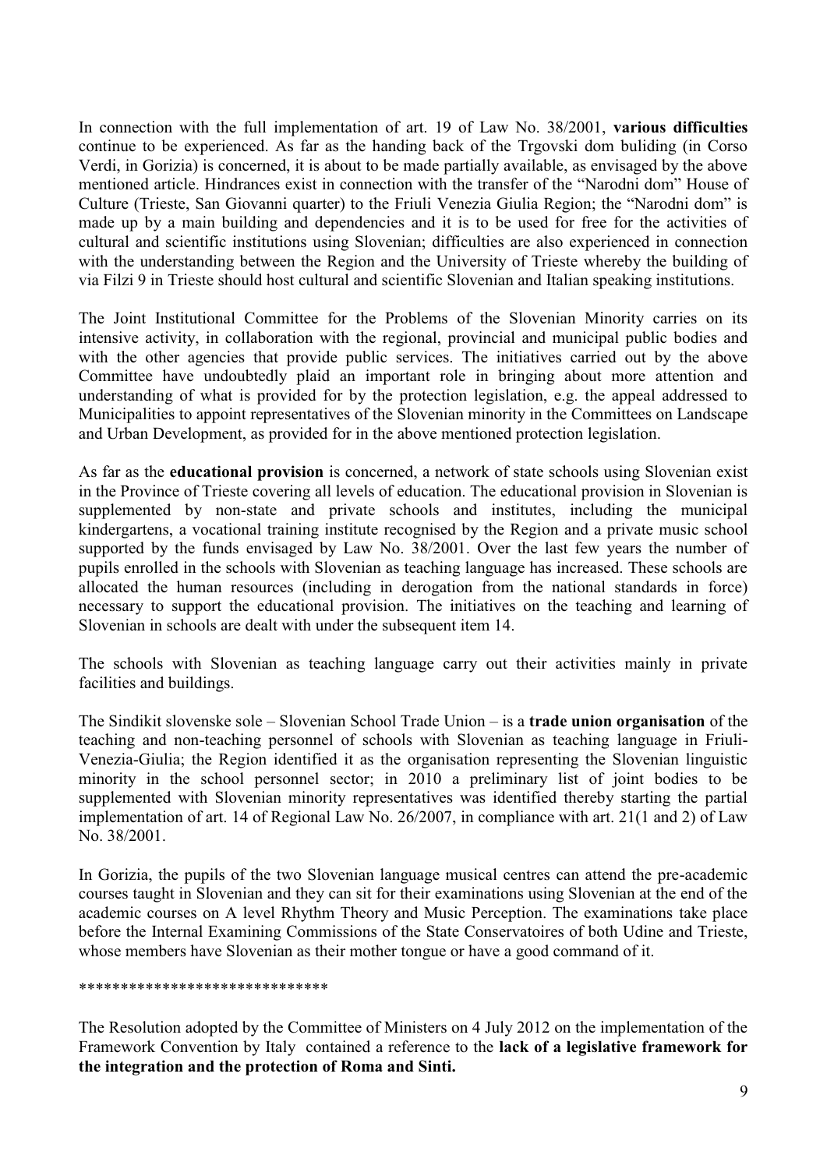In connection with the full implementation of art. 19 of Law No. 38/2001, **various difficulties** continue to be experienced. As far as the handing back of the Trgovski dom buliding (in Corso Verdi, in Gorizia) is concerned, it is about to be made partially available, as envisaged by the above mentioned article. Hindrances exist in connection with the transfer of the "Narodni dom" House of Culture (Trieste, San Giovanni quarter) to the Friuli Venezia Giulia Region; the "Narodni dom" is made up by a main building and dependencies and it is to be used for free for the activities of cultural and scientific institutions using Slovenian; difficulties are also experienced in connection with the understanding between the Region and the University of Trieste whereby the building of via Filzi 9 in Trieste should host cultural and scientific Slovenian and Italian speaking institutions.

The Joint Institutional Committee for the Problems of the Slovenian Minority carries on its intensive activity, in collaboration with the regional, provincial and municipal public bodies and with the other agencies that provide public services. The initiatives carried out by the above Committee have undoubtedly plaid an important role in bringing about more attention and understanding of what is provided for by the protection legislation, e.g. the appeal addressed to Municipalities to appoint representatives of the Slovenian minority in the Committees on Landscape and Urban Development, as provided for in the above mentioned protection legislation.

As far as the **educational provision** is concerned, a network of state schools using Slovenian exist in the Province of Trieste covering all levels of education. The educational provision in Slovenian is supplemented by non-state and private schools and institutes, including the municipal kindergartens, a vocational training institute recognised by the Region and a private music school supported by the funds envisaged by Law No. 38/2001. Over the last few years the number of pupils enrolled in the schools with Slovenian as teaching language has increased. These schools are allocated the human resources (including in derogation from the national standards in force) necessary to support the educational provision. The initiatives on the teaching and learning of Slovenian in schools are dealt with under the subsequent item 14.

The schools with Slovenian as teaching language carry out their activities mainly in private facilities and buildings.

The Sindikit slovenske sole – Slovenian School Trade Union – is a **trade union organisation** of the teaching and non-teaching personnel of schools with Slovenian as teaching language in Friuli-Venezia-Giulia; the Region identified it as the organisation representing the Slovenian linguistic minority in the school personnel sector; in 2010 a preliminary list of joint bodies to be supplemented with Slovenian minority representatives was identified thereby starting the partial implementation of art. 14 of Regional Law No. 26/2007, in compliance with art. 21(1 and 2) of Law No. 38/2001.

In Gorizia, the pupils of the two Slovenian language musical centres can attend the pre-academic courses taught in Slovenian and they can sit for their examinations using Slovenian at the end of the academic courses on A level Rhythm Theory and Music Perception. The examinations take place before the Internal Examining Commissions of the State Conservatoires of both Udine and Trieste, whose members have Slovenian as their mother tongue or have a good command of it.

#### \*\*\*\*\*\*\*\*\*\*\*\*\*\*\*\*\*\*\*\*\*\*\*\*\*\*\*\*\*\*

The Resolution adopted by the Committee of Ministers on 4 July 2012 on the implementation of the Framework Convention by Italy contained a reference to the **lack of a legislative framework for the integration and the protection of Roma and Sinti.**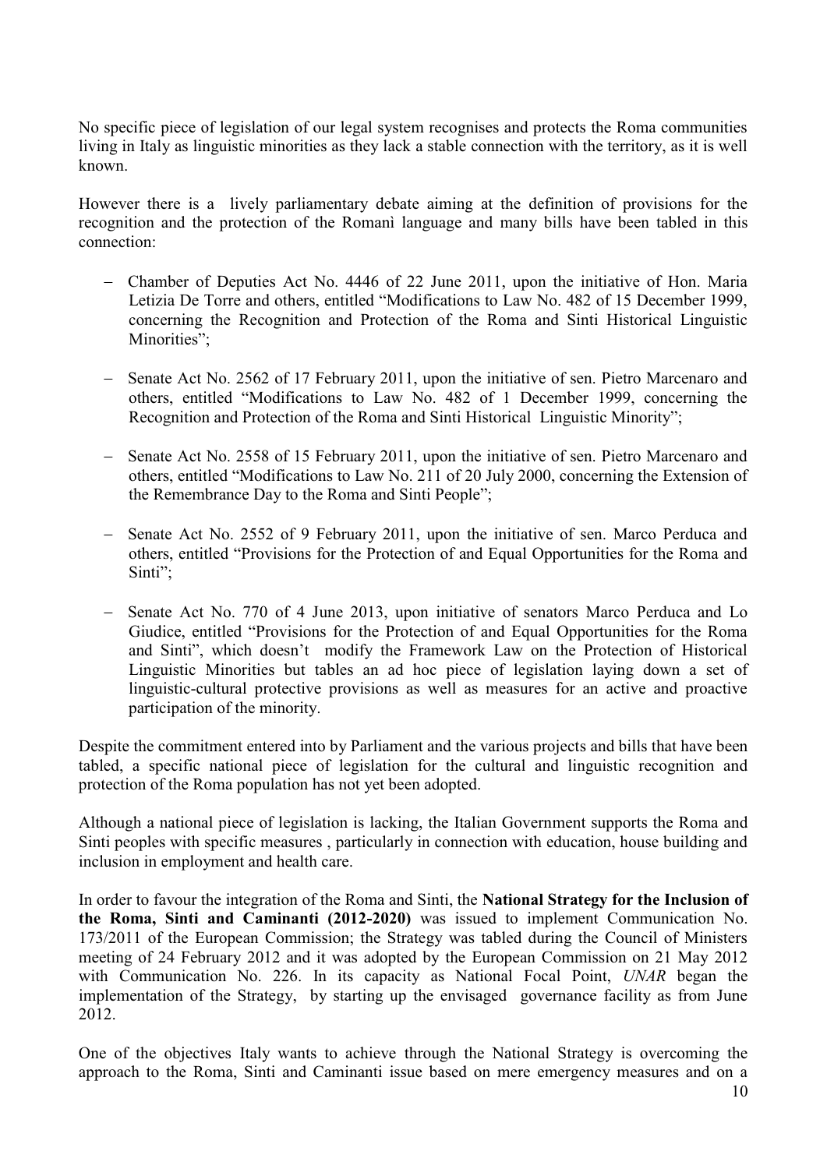No specific piece of legislation of our legal system recognises and protects the Roma communities living in Italy as linguistic minorities as they lack a stable connection with the territory, as it is well known.

However there is a lively parliamentary debate aiming at the definition of provisions for the recognition and the protection of the Romanì language and many bills have been tabled in this connection:

- Chamber of Deputies Act No. 4446 of 22 June 2011, upon the initiative of Hon. Maria Letizia De Torre and others, entitled "Modifications to Law No. 482 of 15 December 1999, concerning the Recognition and Protection of the Roma and Sinti Historical Linguistic Minorities";
- Senate Act No. 2562 of 17 February 2011, upon the initiative of sen. Pietro Marcenaro and others, entitled "Modifications to Law No. 482 of 1 December 1999, concerning the Recognition and Protection of the Roma and Sinti Historical Linguistic Minority";
- Senate Act No. 2558 of 15 February 2011, upon the initiative of sen. Pietro Marcenaro and others, entitled "Modifications to Law No. 211 of 20 July 2000, concerning the Extension of the Remembrance Day to the Roma and Sinti People";
- Senate Act No. 2552 of 9 February 2011, upon the initiative of sen. Marco Perduca and others, entitled "Provisions for the Protection of and Equal Opportunities for the Roma and Sinti";
- Senate Act No. 770 of 4 June 2013, upon initiative of senators Marco Perduca and Lo Giudice, entitled "Provisions for the Protection of and Equal Opportunities for the Roma and Sinti", which doesn"t modify the Framework Law on the Protection of Historical Linguistic Minorities but tables an ad hoc piece of legislation laying down a set of linguistic-cultural protective provisions as well as measures for an active and proactive participation of the minority.

Despite the commitment entered into by Parliament and the various projects and bills that have been tabled, a specific national piece of legislation for the cultural and linguistic recognition and protection of the Roma population has not yet been adopted.

Although a national piece of legislation is lacking, the Italian Government supports the Roma and Sinti peoples with specific measures , particularly in connection with education, house building and inclusion in employment and health care.

In order to favour the integration of the Roma and Sinti, the **National Strategy for the Inclusion of the Roma, Sinti and Caminanti (2012-2020)** was issued to implement Communication No. 173/2011 of the European Commission; the Strategy was tabled during the Council of Ministers meeting of 24 February 2012 and it was adopted by the European Commission on 21 May 2012 with Communication No. 226. In its capacity as National Focal Point, *UNAR* began the implementation of the Strategy, by starting up the envisaged governance facility as from June 2012.

One of the objectives Italy wants to achieve through the National Strategy is overcoming the approach to the Roma, Sinti and Caminanti issue based on mere emergency measures and on a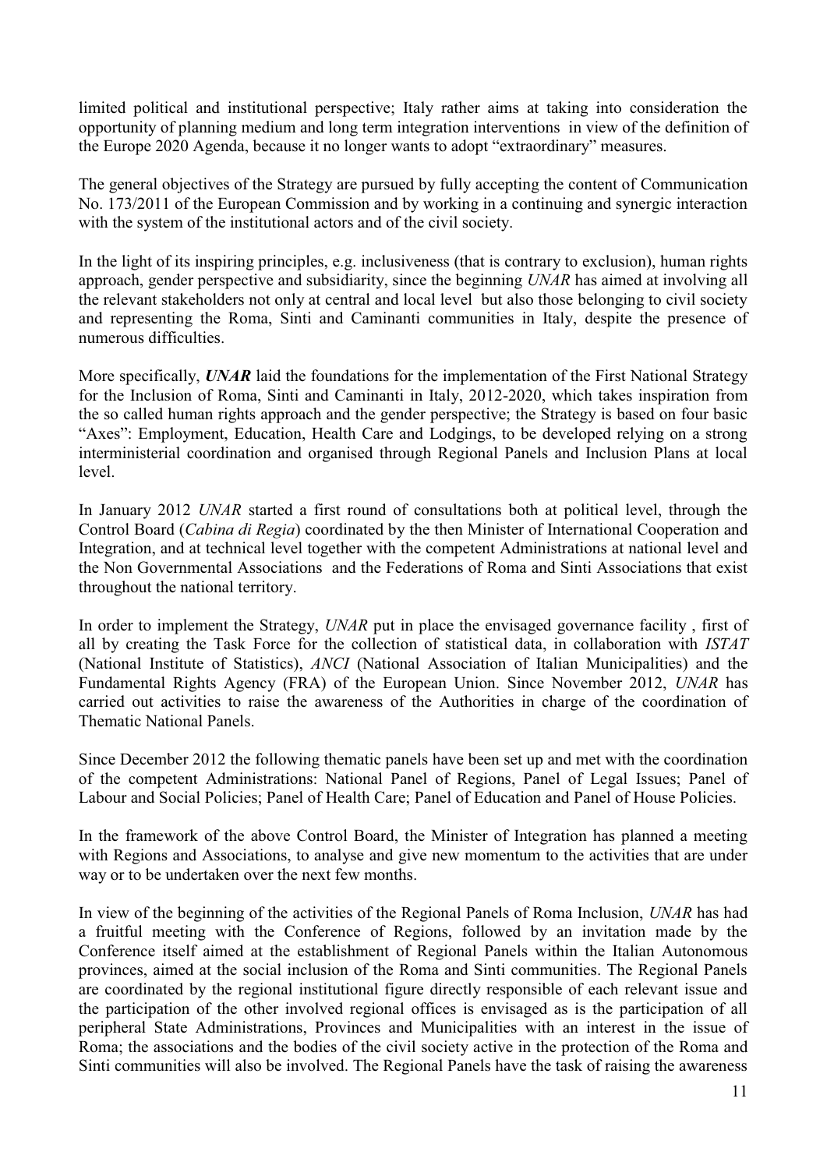limited political and institutional perspective; Italy rather aims at taking into consideration the opportunity of planning medium and long term integration interventions in view of the definition of the Europe 2020 Agenda, because it no longer wants to adopt "extraordinary" measures.

The general objectives of the Strategy are pursued by fully accepting the content of Communication No. 173/2011 of the European Commission and by working in a continuing and synergic interaction with the system of the institutional actors and of the civil society.

In the light of its inspiring principles, e.g. inclusiveness (that is contrary to exclusion), human rights approach, gender perspective and subsidiarity, since the beginning *UNAR* has aimed at involving all the relevant stakeholders not only at central and local level but also those belonging to civil society and representing the Roma, Sinti and Caminanti communities in Italy, despite the presence of numerous difficulties.

More specifically, *UNAR* laid the foundations for the implementation of the First National Strategy for the Inclusion of Roma, Sinti and Caminanti in Italy, 2012-2020, which takes inspiration from the so called human rights approach and the gender perspective; the Strategy is based on four basic "Axes": Employment, Education, Health Care and Lodgings, to be developed relying on a strong interministerial coordination and organised through Regional Panels and Inclusion Plans at local level.

In January 2012 *UNAR* started a first round of consultations both at political level, through the Control Board (*Cabina di Regia*) coordinated by the then Minister of International Cooperation and Integration, and at technical level together with the competent Administrations at national level and the Non Governmental Associations and the Federations of Roma and Sinti Associations that exist throughout the national territory.

In order to implement the Strategy, *UNAR* put in place the envisaged governance facility , first of all by creating the Task Force for the collection of statistical data, in collaboration with *ISTAT* (National Institute of Statistics), *ANCI* (National Association of Italian Municipalities) and the Fundamental Rights Agency (FRA) of the European Union. Since November 2012, *UNAR* has carried out activities to raise the awareness of the Authorities in charge of the coordination of Thematic National Panels.

Since December 2012 the following thematic panels have been set up and met with the coordination of the competent Administrations: National Panel of Regions, Panel of Legal Issues; Panel of Labour and Social Policies; Panel of Health Care; Panel of Education and Panel of House Policies.

In the framework of the above Control Board, the Minister of Integration has planned a meeting with Regions and Associations, to analyse and give new momentum to the activities that are under way or to be undertaken over the next few months.

In view of the beginning of the activities of the Regional Panels of Roma Inclusion, *UNAR* has had a fruitful meeting with the Conference of Regions, followed by an invitation made by the Conference itself aimed at the establishment of Regional Panels within the Italian Autonomous provinces, aimed at the social inclusion of the Roma and Sinti communities. The Regional Panels are coordinated by the regional institutional figure directly responsible of each relevant issue and the participation of the other involved regional offices is envisaged as is the participation of all peripheral State Administrations, Provinces and Municipalities with an interest in the issue of Roma; the associations and the bodies of the civil society active in the protection of the Roma and Sinti communities will also be involved. The Regional Panels have the task of raising the awareness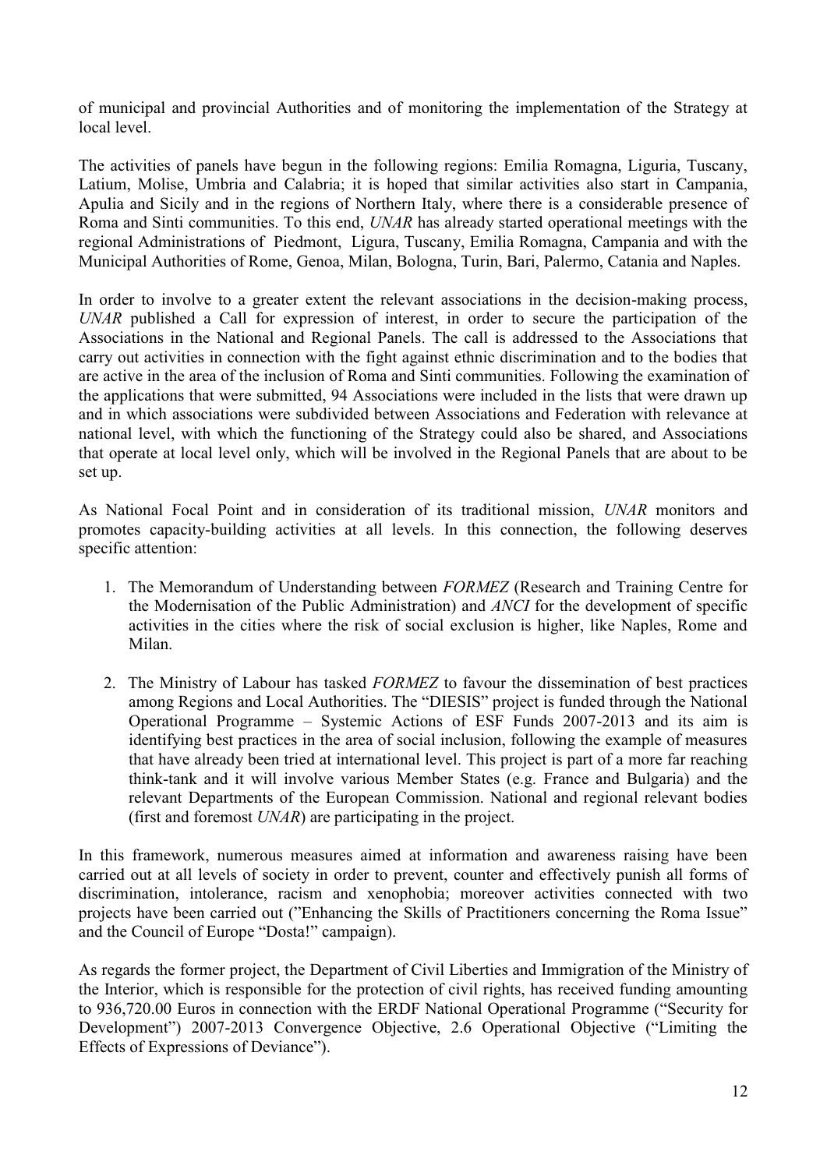of municipal and provincial Authorities and of monitoring the implementation of the Strategy at local level.

The activities of panels have begun in the following regions: Emilia Romagna, Liguria, Tuscany, Latium, Molise, Umbria and Calabria; it is hoped that similar activities also start in Campania, Apulia and Sicily and in the regions of Northern Italy, where there is a considerable presence of Roma and Sinti communities. To this end, *UNAR* has already started operational meetings with the regional Administrations of Piedmont, Ligura, Tuscany, Emilia Romagna, Campania and with the Municipal Authorities of Rome, Genoa, Milan, Bologna, Turin, Bari, Palermo, Catania and Naples.

In order to involve to a greater extent the relevant associations in the decision-making process, *UNAR* published a Call for expression of interest, in order to secure the participation of the Associations in the National and Regional Panels. The call is addressed to the Associations that carry out activities in connection with the fight against ethnic discrimination and to the bodies that are active in the area of the inclusion of Roma and Sinti communities. Following the examination of the applications that were submitted, 94 Associations were included in the lists that were drawn up and in which associations were subdivided between Associations and Federation with relevance at national level, with which the functioning of the Strategy could also be shared, and Associations that operate at local level only, which will be involved in the Regional Panels that are about to be set up.

As National Focal Point and in consideration of its traditional mission, *UNAR* monitors and promotes capacity-building activities at all levels. In this connection, the following deserves specific attention:

- 1. The Memorandum of Understanding between *FORMEZ* (Research and Training Centre for the Modernisation of the Public Administration) and *ANCI* for the development of specific activities in the cities where the risk of social exclusion is higher, like Naples, Rome and Milan.
- 2. The Ministry of Labour has tasked *FORMEZ* to favour the dissemination of best practices among Regions and Local Authorities. The "DIESIS" project is funded through the National Operational Programme – Systemic Actions of ESF Funds 2007-2013 and its aim is identifying best practices in the area of social inclusion, following the example of measures that have already been tried at international level. This project is part of a more far reaching think-tank and it will involve various Member States (e.g. France and Bulgaria) and the relevant Departments of the European Commission. National and regional relevant bodies (first and foremost *UNAR*) are participating in the project.

In this framework, numerous measures aimed at information and awareness raising have been carried out at all levels of society in order to prevent, counter and effectively punish all forms of discrimination, intolerance, racism and xenophobia; moreover activities connected with two projects have been carried out ("Enhancing the Skills of Practitioners concerning the Roma Issue" and the Council of Europe "Dosta!" campaign).

As regards the former project, the Department of Civil Liberties and Immigration of the Ministry of the Interior, which is responsible for the protection of civil rights, has received funding amounting to 936,720.00 Euros in connection with the ERDF National Operational Programme ("Security for Development") 2007-2013 Convergence Objective, 2.6 Operational Objective ("Limiting the Effects of Expressions of Deviance").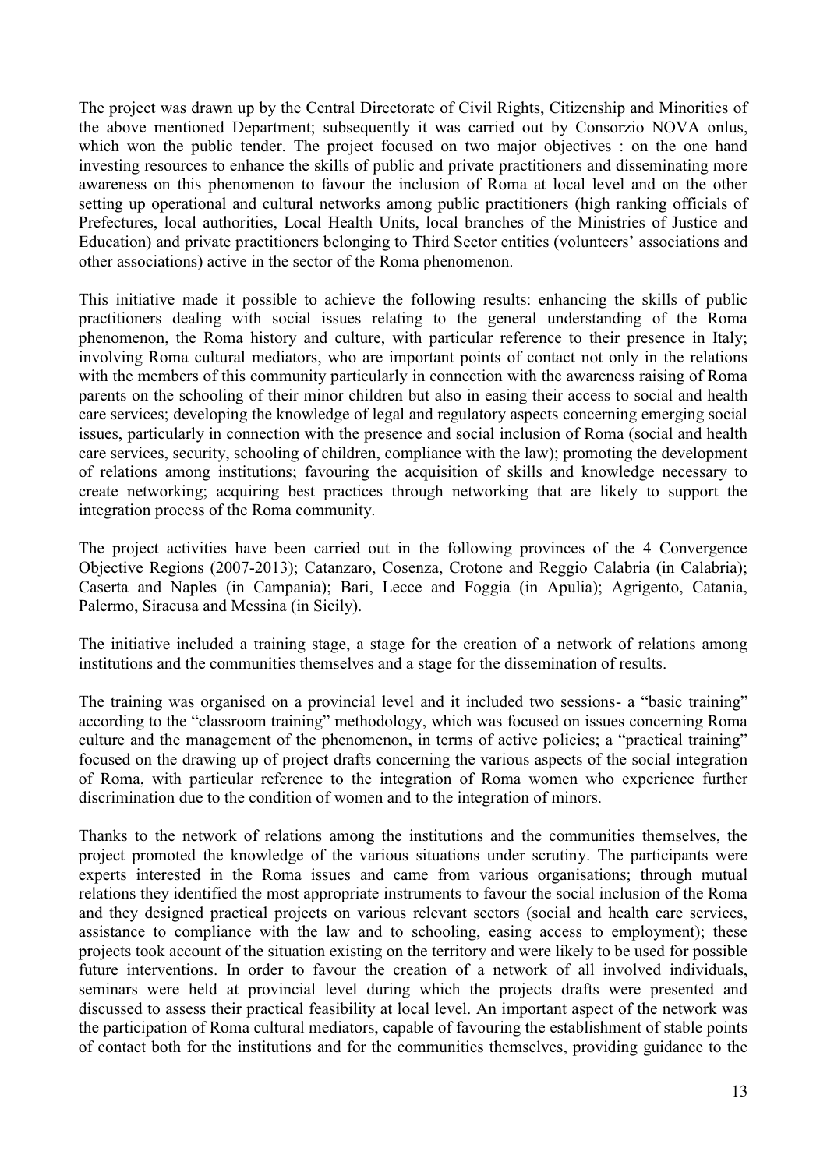The project was drawn up by the Central Directorate of Civil Rights, Citizenship and Minorities of the above mentioned Department; subsequently it was carried out by Consorzio NOVA onlus, which won the public tender. The project focused on two major objectives : on the one hand investing resources to enhance the skills of public and private practitioners and disseminating more awareness on this phenomenon to favour the inclusion of Roma at local level and on the other setting up operational and cultural networks among public practitioners (high ranking officials of Prefectures, local authorities, Local Health Units, local branches of the Ministries of Justice and Education) and private practitioners belonging to Third Sector entities (volunteers" associations and other associations) active in the sector of the Roma phenomenon.

This initiative made it possible to achieve the following results: enhancing the skills of public practitioners dealing with social issues relating to the general understanding of the Roma phenomenon, the Roma history and culture, with particular reference to their presence in Italy; involving Roma cultural mediators, who are important points of contact not only in the relations with the members of this community particularly in connection with the awareness raising of Roma parents on the schooling of their minor children but also in easing their access to social and health care services; developing the knowledge of legal and regulatory aspects concerning emerging social issues, particularly in connection with the presence and social inclusion of Roma (social and health care services, security, schooling of children, compliance with the law); promoting the development of relations among institutions; favouring the acquisition of skills and knowledge necessary to create networking; acquiring best practices through networking that are likely to support the integration process of the Roma community.

The project activities have been carried out in the following provinces of the 4 Convergence Objective Regions (2007-2013); Catanzaro, Cosenza, Crotone and Reggio Calabria (in Calabria); Caserta and Naples (in Campania); Bari, Lecce and Foggia (in Apulia); Agrigento, Catania, Palermo, Siracusa and Messina (in Sicily).

The initiative included a training stage, a stage for the creation of a network of relations among institutions and the communities themselves and a stage for the dissemination of results.

The training was organised on a provincial level and it included two sessions- a "basic training" according to the "classroom training" methodology, which was focused on issues concerning Roma culture and the management of the phenomenon, in terms of active policies; a "practical training" focused on the drawing up of project drafts concerning the various aspects of the social integration of Roma, with particular reference to the integration of Roma women who experience further discrimination due to the condition of women and to the integration of minors.

Thanks to the network of relations among the institutions and the communities themselves, the project promoted the knowledge of the various situations under scrutiny. The participants were experts interested in the Roma issues and came from various organisations; through mutual relations they identified the most appropriate instruments to favour the social inclusion of the Roma and they designed practical projects on various relevant sectors (social and health care services, assistance to compliance with the law and to schooling, easing access to employment); these projects took account of the situation existing on the territory and were likely to be used for possible future interventions. In order to favour the creation of a network of all involved individuals, seminars were held at provincial level during which the projects drafts were presented and discussed to assess their practical feasibility at local level. An important aspect of the network was the participation of Roma cultural mediators, capable of favouring the establishment of stable points of contact both for the institutions and for the communities themselves, providing guidance to the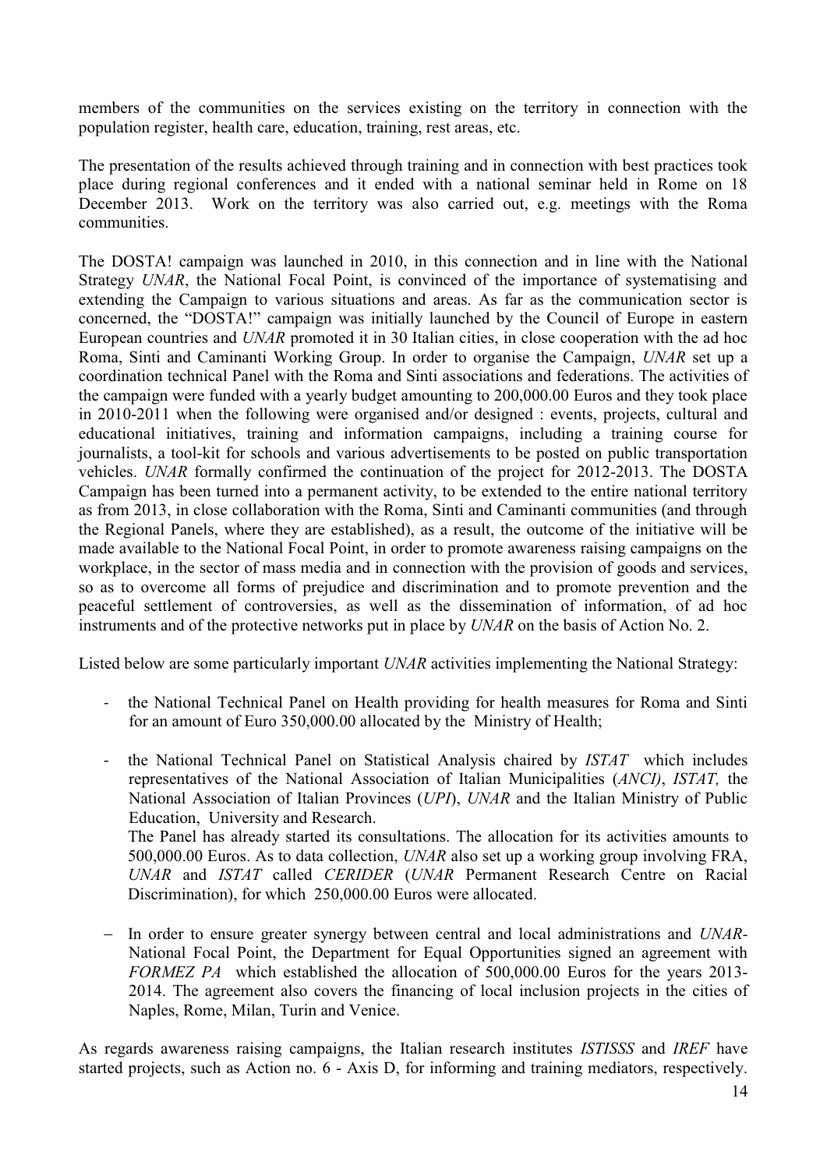members of the communities on the services existing on the territory in connection with the population register, health care, education, training, rest areas, etc.

The presentation of the results achieved through training and in connection with best practices took place during regional conferences and it ended with a national seminar held in Rome on 18 December 2013. Work on the territory was also carried out, e.g. meetings with the Roma communities.

The DOSTA! campaign was launched in 2010, in this connection and in line with the National Strategy *UNAR*, the National Focal Point, is convinced of the importance of systematising and extending the Campaign to various situations and areas. As far as the communication sector is concerned, the "DOSTA!" campaign was initially launched by the Council of Europe in eastern European countries and *UNAR* promoted it in 30 Italian cities, in close cooperation with the ad hoc Roma, Sinti and Caminanti Working Group. In order to organise the Campaign, *UNAR* set up a coordination technical Panel with the Roma and Sinti associations and federations. The activities of the campaign were funded with a yearly budget amounting to 200,000.00 Euros and they took place in 2010-2011 when the following were organised and/or designed : events, projects, cultural and educational initiatives, training and information campaigns, including a training course for journalists, a tool-kit for schools and various advertisements to be posted on public transportation vehicles. *UNAR* formally confirmed the continuation of the project for 2012-2013. The DOSTA Campaign has been turned into a permanent activity, to be extended to the entire national territory as from 2013, in close collaboration with the Roma, Sinti and Caminanti communities (and through the Regional Panels, where they are established), as a result, the outcome of the initiative will be made available to the National Focal Point, in order to promote awareness raising campaigns on the workplace, in the sector of mass media and in connection with the provision of goods and services, so as to overcome all forms of prejudice and discrimination and to promote prevention and the peaceful settlement of controversies, as well as the dissemination of information, of ad hoc instruments and of the protective networks put in place by *UNAR* on the basis of Action No. 2.

Listed below are some particularly important *UNAR* activities implementing the National Strategy:

- the National Technical Panel on Health providing for health measures for Roma and Sinti for an amount of Euro 350,000.00 allocated by the Ministry of Health;
- the National Technical Panel on Statistical Analysis chaired by *ISTAT* which includes representatives of the National Association of Italian Municipalities (*ANCI)*, *ISTAT,* the National Association of Italian Provinces (*UPI*), *UNAR* and the Italian Ministry of Public Education, University and Research. The Panel has already started its consultations. The allocation for its activities amounts to 500,000.00 Euros. As to data collection, *UNAR* also set up a working group involving FRA,

*UNAR* and *ISTAT* called *CERIDER* (*UNAR* Permanent Research Centre on Racial Discrimination), for which 250,000.00 Euros were allocated.

- In order to ensure greater synergy between central and local administrations and *UNAR*-National Focal Point, the Department for Equal Opportunities signed an agreement with *FORMEZ PA* which established the allocation of 500,000.00 Euros for the years 2013- 2014. The agreement also covers the financing of local inclusion projects in the cities of Naples, Rome, Milan, Turin and Venice.

As regards awareness raising campaigns, the Italian research institutes *ISTISSS* and *IREF* have started projects, such as Action no. 6 - Axis D, for informing and training mediators, respectively.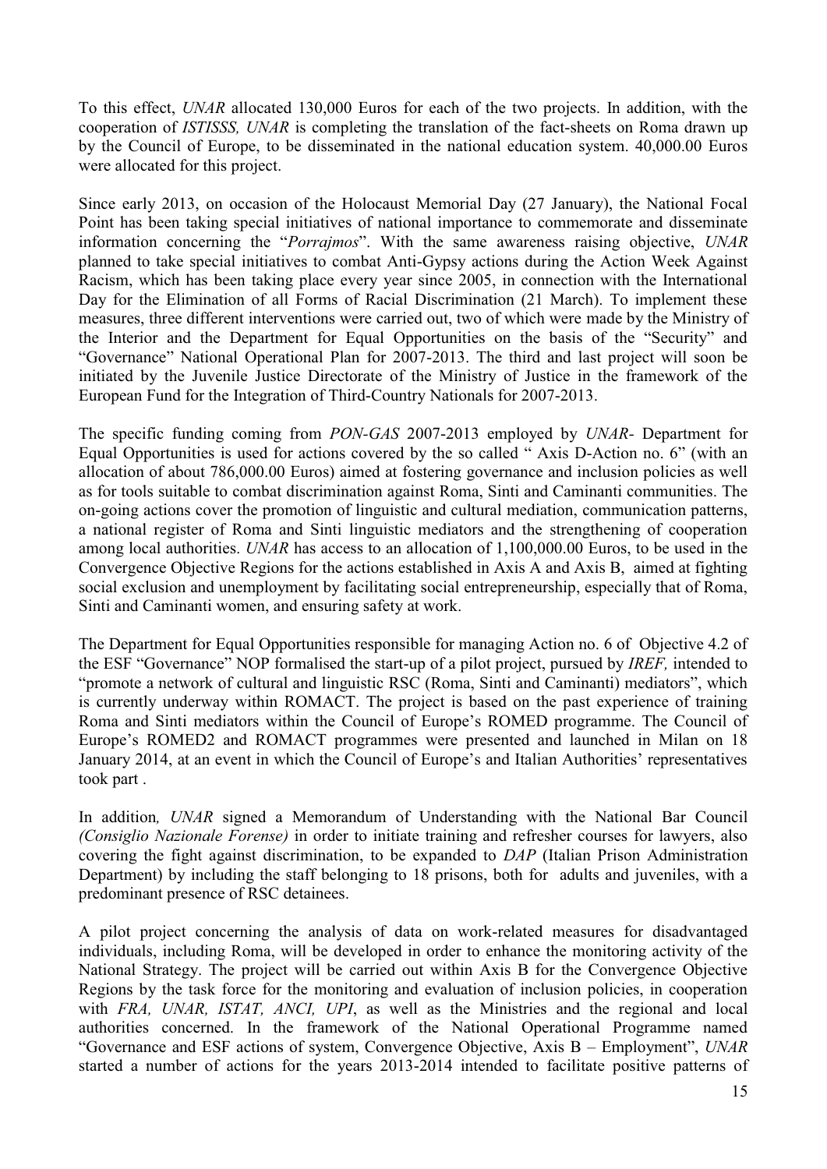To this effect, *UNAR* allocated 130,000 Euros for each of the two projects. In addition, with the cooperation of *ISTISSS, UNAR* is completing the translation of the fact-sheets on Roma drawn up by the Council of Europe, to be disseminated in the national education system. 40,000.00 Euros were allocated for this project.

Since early 2013, on occasion of the Holocaust Memorial Day (27 January), the National Focal Point has been taking special initiatives of national importance to commemorate and disseminate information concerning the "*Porrajmos*". With the same awareness raising objective, *UNAR*  planned to take special initiatives to combat Anti-Gypsy actions during the Action Week Against Racism, which has been taking place every year since 2005, in connection with the International Day for the Elimination of all Forms of Racial Discrimination (21 March). To implement these measures, three different interventions were carried out, two of which were made by the Ministry of the Interior and the Department for Equal Opportunities on the basis of the "Security" and "Governance" National Operational Plan for 2007-2013. The third and last project will soon be initiated by the Juvenile Justice Directorate of the Ministry of Justice in the framework of the European Fund for the Integration of Third-Country Nationals for 2007-2013.

The specific funding coming from *PON-GAS* 2007-2013 employed by *UNAR-* Department for Equal Opportunities is used for actions covered by the so called " Axis D-Action no. 6" (with an allocation of about 786,000.00 Euros) aimed at fostering governance and inclusion policies as well as for tools suitable to combat discrimination against Roma, Sinti and Caminanti communities. The on-going actions cover the promotion of linguistic and cultural mediation, communication patterns, a national register of Roma and Sinti linguistic mediators and the strengthening of cooperation among local authorities. *UNAR* has access to an allocation of 1,100,000.00 Euros, to be used in the Convergence Objective Regions for the actions established in Axis A and Axis B, aimed at fighting social exclusion and unemployment by facilitating social entrepreneurship, especially that of Roma, Sinti and Caminanti women, and ensuring safety at work.

The Department for Equal Opportunities responsible for managing Action no. 6 of Objective 4.2 of the ESF "Governance" NOP formalised the start-up of a pilot project, pursued by *IREF,* intended to "promote a network of cultural and linguistic RSC (Roma, Sinti and Caminanti) mediators", which is currently underway within ROMACT. The project is based on the past experience of training Roma and Sinti mediators within the Council of Europe's ROMED programme. The Council of Europe's ROMED2 and ROMACT programmes were presented and launched in Milan on 18 January 2014, at an event in which the Council of Europe"s and Italian Authorities" representatives took part .

In addition*, UNAR* signed a Memorandum of Understanding with the National Bar Council *(Consiglio Nazionale Forense)* in order to initiate training and refresher courses for lawyers, also covering the fight against discrimination, to be expanded to *DAP* (Italian Prison Administration Department) by including the staff belonging to 18 prisons, both for adults and juveniles, with a predominant presence of RSC detainees.

A pilot project concerning the analysis of data on work-related measures for disadvantaged individuals, including Roma, will be developed in order to enhance the monitoring activity of the National Strategy. The project will be carried out within Axis B for the Convergence Objective Regions by the task force for the monitoring and evaluation of inclusion policies, in cooperation with *FRA, UNAR, ISTAT, ANCI, UPI*, as well as the Ministries and the regional and local authorities concerned. In the framework of the National Operational Programme named "Governance and ESF actions of system, Convergence Objective, Axis B – Employment", *UNAR*  started a number of actions for the years 2013-2014 intended to facilitate positive patterns of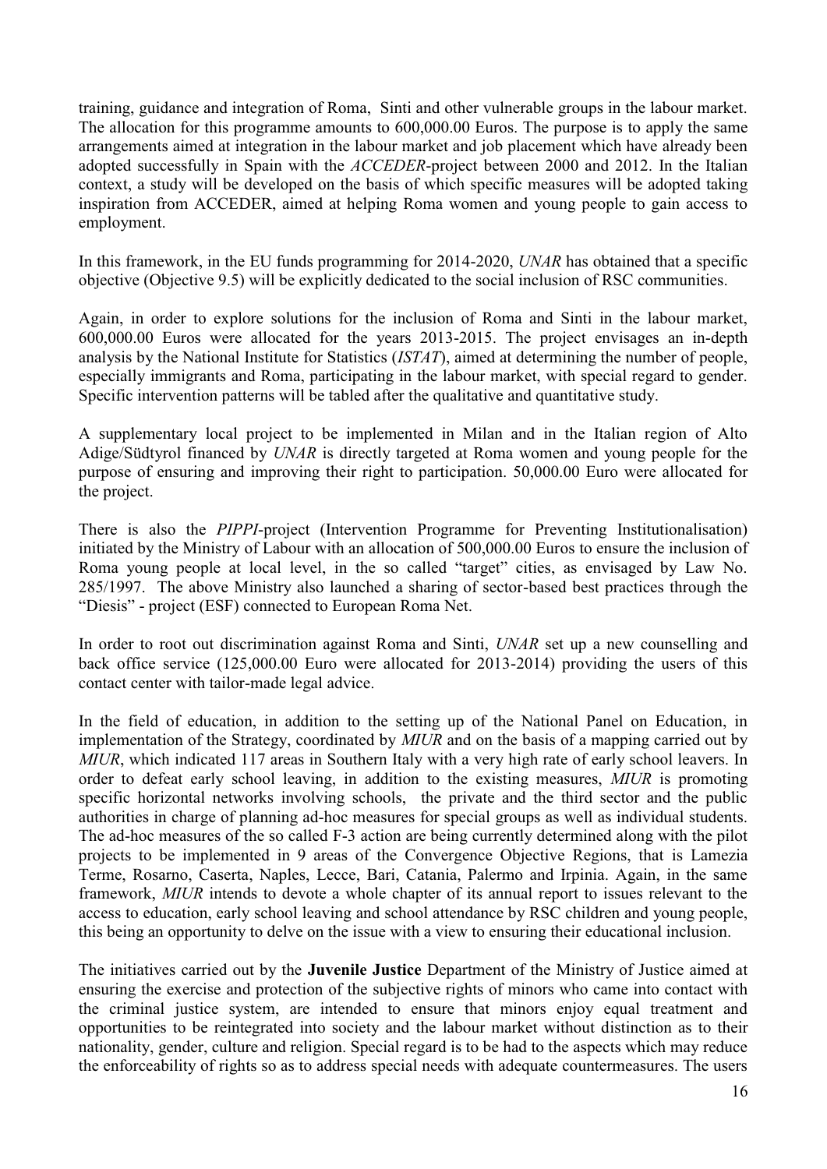training, guidance and integration of Roma, Sinti and other vulnerable groups in the labour market. The allocation for this programme amounts to 600,000.00 Euros. The purpose is to apply the same arrangements aimed at integration in the labour market and job placement which have already been adopted successfully in Spain with the *ACCEDER*-project between 2000 and 2012. In the Italian context, a study will be developed on the basis of which specific measures will be adopted taking inspiration from ACCEDER, aimed at helping Roma women and young people to gain access to employment.

In this framework, in the EU funds programming for 2014-2020, *UNAR* has obtained that a specific objective (Objective 9.5) will be explicitly dedicated to the social inclusion of RSC communities.

Again, in order to explore solutions for the inclusion of Roma and Sinti in the labour market, 600,000.00 Euros were allocated for the years 2013-2015. The project envisages an in-depth analysis by the National Institute for Statistics (*ISTAT*), aimed at determining the number of people, especially immigrants and Roma, participating in the labour market, with special regard to gender. Specific intervention patterns will be tabled after the qualitative and quantitative study.

A supplementary local project to be implemented in Milan and in the Italian region of Alto Adige/Südtyrol financed by *UNAR* is directly targeted at Roma women and young people for the purpose of ensuring and improving their right to participation. 50,000.00 Euro were allocated for the project.

There is also the *PIPPI*-project (Intervention Programme for Preventing Institutionalisation) initiated by the Ministry of Labour with an allocation of 500,000.00 Euros to ensure the inclusion of Roma young people at local level, in the so called "target" cities, as envisaged by Law No. 285/1997. The above Ministry also launched a sharing of sector-based best practices through the "Diesis" - project (ESF) connected to European Roma Net.

In order to root out discrimination against Roma and Sinti, *UNAR* set up a new counselling and back office service (125,000.00 Euro were allocated for 2013-2014) providing the users of this contact center with tailor-made legal advice.

In the field of education, in addition to the setting up of the National Panel on Education, in implementation of the Strategy, coordinated by *MIUR* and on the basis of a mapping carried out by *MIUR*, which indicated 117 areas in Southern Italy with a very high rate of early school leavers. In order to defeat early school leaving, in addition to the existing measures, *MIUR* is promoting specific horizontal networks involving schools, the private and the third sector and the public authorities in charge of planning ad-hoc measures for special groups as well as individual students. The ad-hoc measures of the so called F-3 action are being currently determined along with the pilot projects to be implemented in 9 areas of the Convergence Objective Regions, that is Lamezia Terme, Rosarno, Caserta, Naples, Lecce, Bari, Catania, Palermo and Irpinia. Again, in the same framework, *MIUR* intends to devote a whole chapter of its annual report to issues relevant to the access to education, early school leaving and school attendance by RSC children and young people, this being an opportunity to delve on the issue with a view to ensuring their educational inclusion.

The initiatives carried out by the **Juvenile Justice** Department of the Ministry of Justice aimed at ensuring the exercise and protection of the subjective rights of minors who came into contact with the criminal justice system, are intended to ensure that minors enjoy equal treatment and opportunities to be reintegrated into society and the labour market without distinction as to their nationality, gender, culture and religion. Special regard is to be had to the aspects which may reduce the enforceability of rights so as to address special needs with adequate countermeasures. The users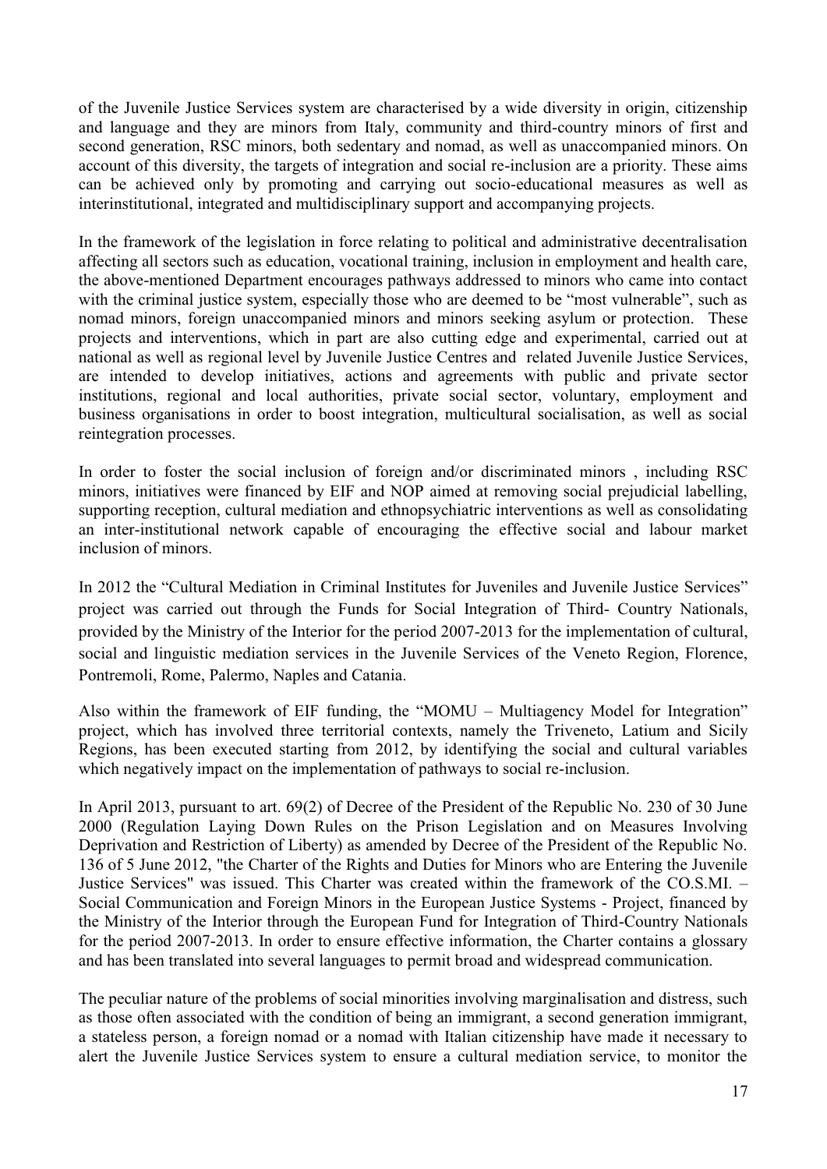of the Juvenile Justice Services system are characterised by a wide diversity in origin, citizenship and language and they are minors from Italy, community and third-country minors of first and second generation, RSC minors, both sedentary and nomad, as well as unaccompanied minors. On account of this diversity, the targets of integration and social re-inclusion are a priority. These aims can be achieved only by promoting and carrying out socio-educational measures as well as interinstitutional, integrated and multidisciplinary support and accompanying projects.

In the framework of the legislation in force relating to political and administrative decentralisation affecting all sectors such as education, vocational training, inclusion in employment and health care, the above-mentioned Department encourages pathways addressed to minors who came into contact with the criminal justice system, especially those who are deemed to be "most vulnerable", such as nomad minors, foreign unaccompanied minors and minors seeking asylum or protection. These projects and interventions, which in part are also cutting edge and experimental, carried out at national as well as regional level by Juvenile Justice Centres and related Juvenile Justice Services, are intended to develop initiatives, actions and agreements with public and private sector institutions, regional and local authorities, private social sector, voluntary, employment and business organisations in order to boost integration, multicultural socialisation, as well as social reintegration processes.

In order to foster the social inclusion of foreign and/or discriminated minors , including RSC minors, initiatives were financed by EIF and NOP aimed at removing social prejudicial labelling, supporting reception, cultural mediation and ethnopsychiatric interventions as well as consolidating an inter-institutional network capable of encouraging the effective social and labour market inclusion of minors.

In 2012 the "Cultural Mediation in Criminal Institutes for Juveniles and Juvenile Justice Services" project was carried out through the Funds for Social Integration of Third- Country Nationals, provided by the Ministry of the Interior for the period 2007-2013 for the implementation of cultural, social and linguistic mediation services in the Juvenile Services of the Veneto Region, Florence, Pontremoli, Rome, Palermo, Naples and Catania.

Also within the framework of EIF funding, the "MOMU – Multiagency Model for Integration" project, which has involved three territorial contexts, namely the Triveneto, Latium and Sicily Regions, has been executed starting from 2012, by identifying the social and cultural variables which negatively impact on the implementation of pathways to social re-inclusion.

In April 2013, pursuant to art. 69(2) of Decree of the President of the Republic No. 230 of 30 June 2000 (Regulation Laying Down Rules on the Prison Legislation and on Measures Involving Deprivation and Restriction of Liberty) as amended by Decree of the President of the Republic No. 136 of 5 June 2012, "the Charter of the Rights and Duties for Minors who are Entering the Juvenile Justice Services" was issued. This Charter was created within the framework of the CO.S.MI. – Social Communication and Foreign Minors in the European Justice Systems - Project, financed by the Ministry of the Interior through the European Fund for Integration of Third-Country Nationals for the period 2007-2013. In order to ensure effective information, the Charter contains a glossary and has been translated into several languages to permit broad and widespread communication.

The peculiar nature of the problems of social minorities involving marginalisation and distress, such as those often associated with the condition of being an immigrant, a second generation immigrant, a stateless person, a foreign nomad or a nomad with Italian citizenship have made it necessary to alert the Juvenile Justice Services system to ensure a cultural mediation service, to monitor the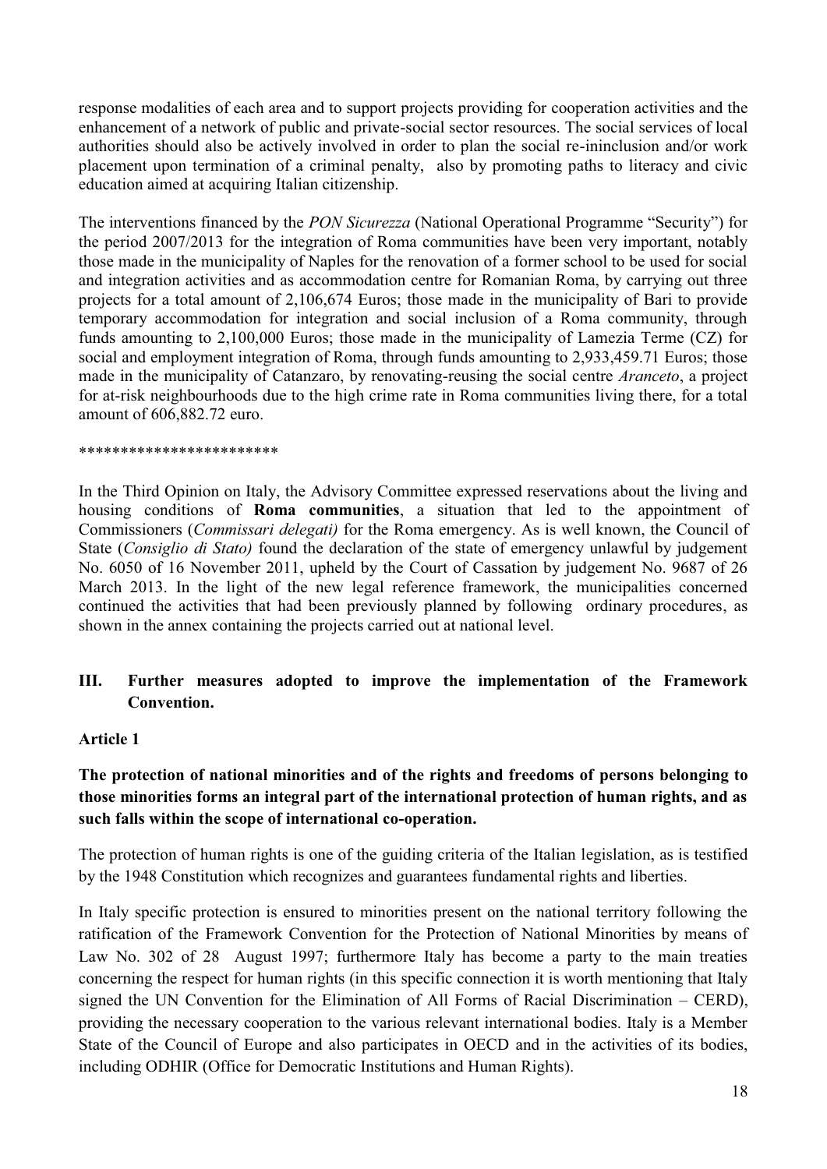response modalities of each area and to support projects providing for cooperation activities and the enhancement of a network of public and private-social sector resources. The social services of local authorities should also be actively involved in order to plan the social re-ininclusion and/or work placement upon termination of a criminal penalty, also by promoting paths to literacy and civic education aimed at acquiring Italian citizenship.

The interventions financed by the *PON Sicurezza* (National Operational Programme "Security") for the period 2007/2013 for the integration of Roma communities have been very important, notably those made in the municipality of Naples for the renovation of a former school to be used for social and integration activities and as accommodation centre for Romanian Roma, by carrying out three projects for a total amount of 2,106,674 Euros; those made in the municipality of Bari to provide temporary accommodation for integration and social inclusion of a Roma community, through funds amounting to 2,100,000 Euros; those made in the municipality of Lamezia Terme (CZ) for social and employment integration of Roma, through funds amounting to 2,933,459.71 Euros; those made in the municipality of Catanzaro, by renovating-reusing the social centre *Aranceto*, a project for at-risk neighbourhoods due to the high crime rate in Roma communities living there, for a total amount of 606,882.72 euro.

#### \*\*\*\*\*\*\*\*\*\*\*\*\*\*\*\*\*\*\*\*\*\*\*\*

In the Third Opinion on Italy, the Advisory Committee expressed reservations about the living and housing conditions of **Roma communities**, a situation that led to the appointment of Commissioners (*Commissari delegati)* for the Roma emergency. As is well known, the Council of State (*Consiglio di Stato)* found the declaration of the state of emergency unlawful by judgement No. 6050 of 16 November 2011, upheld by the Court of Cassation by judgement No. 9687 of 26 March 2013. In the light of the new legal reference framework, the municipalities concerned continued the activities that had been previously planned by following ordinary procedures, as shown in the annex containing the projects carried out at national level.

# **III. Further measures adopted to improve the implementation of the Framework Convention.**

#### **Article 1**

# **The protection of national minorities and of the rights and freedoms of persons belonging to those minorities forms an integral part of the international protection of human rights, and as such falls within the scope of international co-operation.**

The protection of human rights is one of the guiding criteria of the Italian legislation, as is testified by the 1948 Constitution which recognizes and guarantees fundamental rights and liberties.

In Italy specific protection is ensured to minorities present on the national territory following the ratification of the Framework Convention for the Protection of National Minorities by means of Law No. 302 of 28 August 1997; furthermore Italy has become a party to the main treaties concerning the respect for human rights (in this specific connection it is worth mentioning that Italy signed the UN Convention for the Elimination of All Forms of Racial Discrimination – CERD), providing the necessary cooperation to the various relevant international bodies. Italy is a Member State of the Council of Europe and also participates in OECD and in the activities of its bodies, including ODHIR (Office for Democratic Institutions and Human Rights).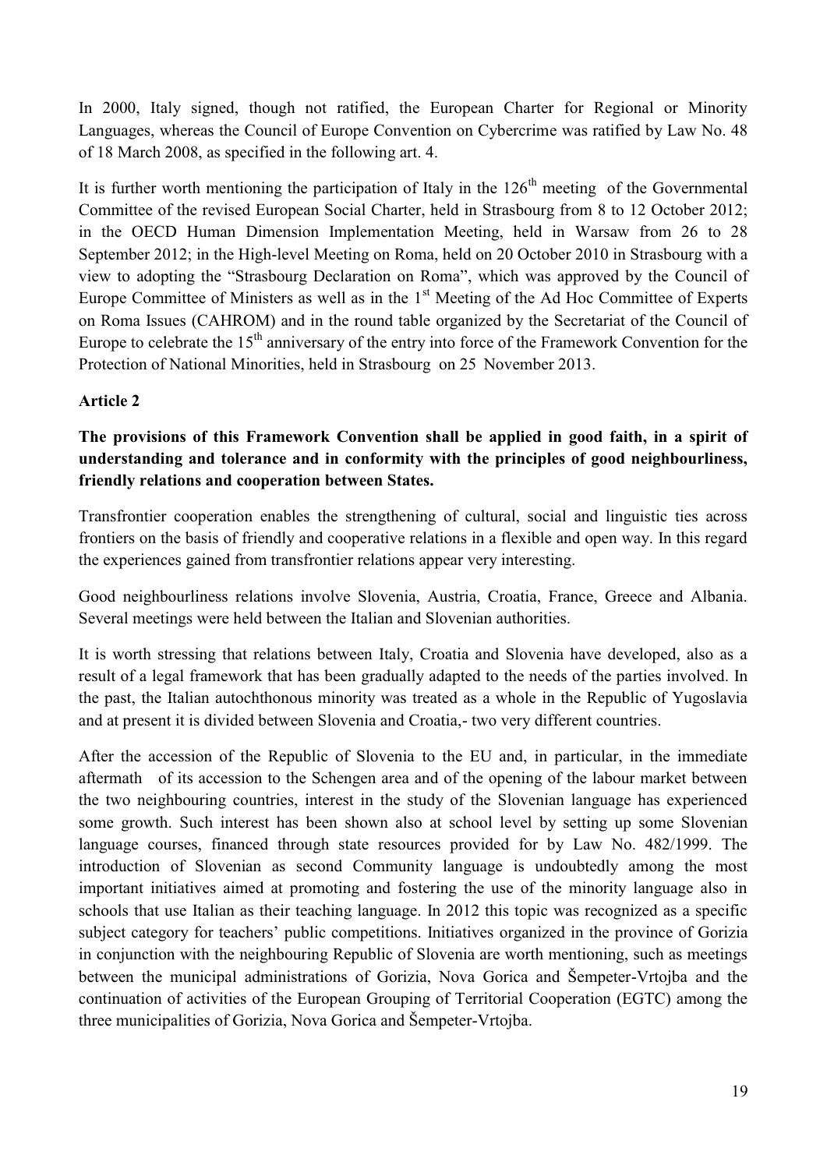In 2000, Italy signed, though not ratified, the European Charter for Regional or Minority Languages, whereas the Council of Europe Convention on Cybercrime was ratified by Law No. 48 of 18 March 2008, as specified in the following art. 4.

It is further worth mentioning the participation of Italy in the  $126<sup>th</sup>$  meeting of the Governmental Committee of the revised European Social Charter, held in Strasbourg from 8 to 12 October 2012; in the OECD Human Dimension Implementation Meeting, held in Warsaw from 26 to 28 September 2012; in the High-level Meeting on Roma, held on 20 October 2010 in Strasbourg with a view to adopting the "Strasbourg Declaration on Roma", which was approved by the Council of Europe Committee of Ministers as well as in the  $1<sup>st</sup>$  Meeting of the Ad Hoc Committee of Experts on Roma Issues (CAHROM) and in the round table organized by the Secretariat of the Council of Europe to celebrate the  $15<sup>th</sup>$  anniversary of the entry into force of the Framework Convention for the Protection of National Minorities, held in Strasbourg on 25 November 2013.

# **Article 2**

# **The provisions of this Framework Convention shall be applied in good faith, in a spirit of understanding and tolerance and in conformity with the principles of good neighbourliness, friendly relations and cooperation between States.**

Transfrontier cooperation enables the strengthening of cultural, social and linguistic ties across frontiers on the basis of friendly and cooperative relations in a flexible and open way. In this regard the experiences gained from transfrontier relations appear very interesting.

Good neighbourliness relations involve Slovenia, Austria, Croatia, France, Greece and Albania. Several meetings were held between the Italian and Slovenian authorities.

It is worth stressing that relations between Italy, Croatia and Slovenia have developed, also as a result of a legal framework that has been gradually adapted to the needs of the parties involved. In the past, the Italian autochthonous minority was treated as a whole in the Republic of Yugoslavia and at present it is divided between Slovenia and Croatia,- two very different countries.

After the accession of the Republic of Slovenia to the EU and, in particular, in the immediate aftermath of its accession to the Schengen area and of the opening of the labour market between the two neighbouring countries, interest in the study of the Slovenian language has experienced some growth. Such interest has been shown also at school level by setting up some Slovenian language courses, financed through state resources provided for by Law No. 482/1999. The introduction of Slovenian as second Community language is undoubtedly among the most important initiatives aimed at promoting and fostering the use of the minority language also in schools that use Italian as their teaching language. In 2012 this topic was recognized as a specific subject category for teachers' public competitions. Initiatives organized in the province of Gorizia in conjunction with the neighbouring Republic of Slovenia are worth mentioning, such as meetings between the municipal administrations of Gorizia, Nova Gorica and Šempeter-Vrtojba and the continuation of activities of the European Grouping of Territorial Cooperation (EGTC) among the three municipalities of Gorizia, Nova Gorica and Šempeter-Vrtojba.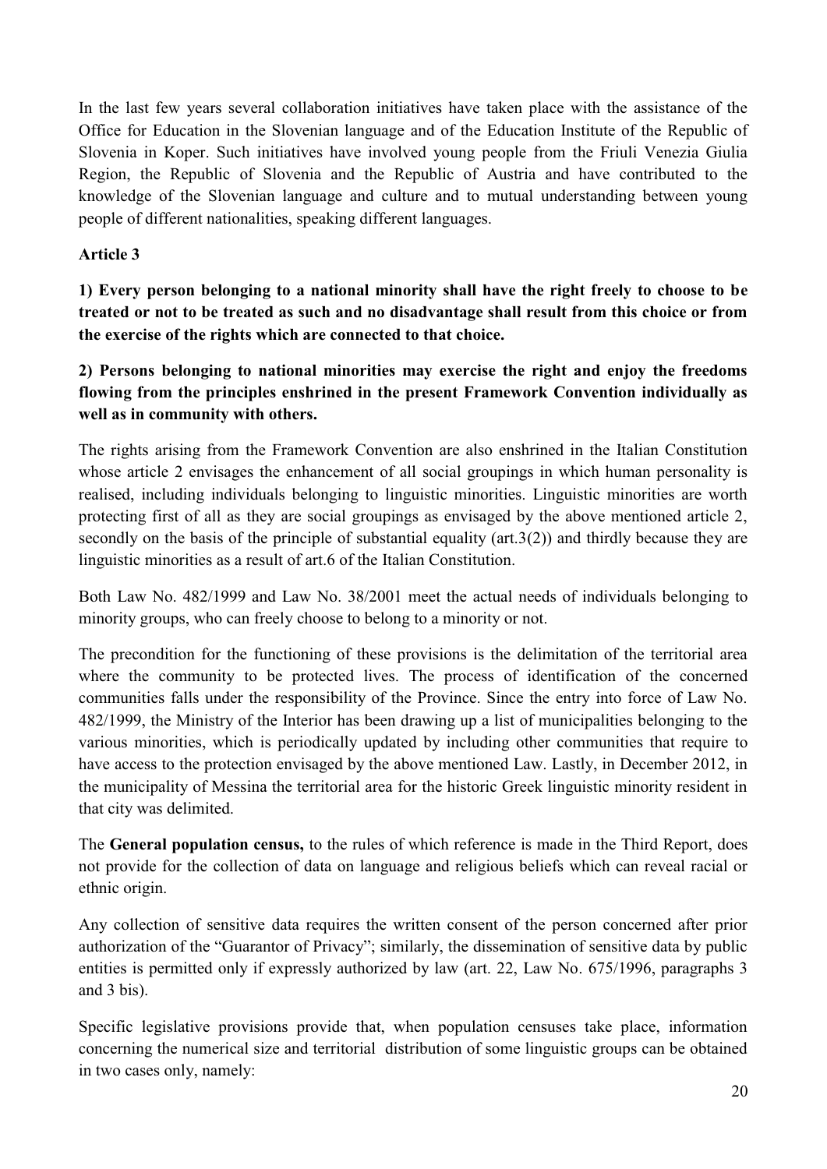In the last few years several collaboration initiatives have taken place with the assistance of the Office for Education in the Slovenian language and of the Education Institute of the Republic of Slovenia in Koper. Such initiatives have involved young people from the Friuli Venezia Giulia Region, the Republic of Slovenia and the Republic of Austria and have contributed to the knowledge of the Slovenian language and culture and to mutual understanding between young people of different nationalities, speaking different languages.

# **Article 3**

**1) Every person belonging to a national minority shall have the right freely to choose to be treated or not to be treated as such and no disadvantage shall result from this choice or from the exercise of the rights which are connected to that choice.**

**2) Persons belonging to national minorities may exercise the right and enjoy the freedoms flowing from the principles enshrined in the present Framework Convention individually as well as in community with others.**

The rights arising from the Framework Convention are also enshrined in the Italian Constitution whose article 2 envisages the enhancement of all social groupings in which human personality is realised, including individuals belonging to linguistic minorities. Linguistic minorities are worth protecting first of all as they are social groupings as envisaged by the above mentioned article 2, secondly on the basis of the principle of substantial equality (art.3(2)) and thirdly because they are linguistic minorities as a result of art.6 of the Italian Constitution.

Both Law No. 482/1999 and Law No. 38/2001 meet the actual needs of individuals belonging to minority groups, who can freely choose to belong to a minority or not.

The precondition for the functioning of these provisions is the delimitation of the territorial area where the community to be protected lives. The process of identification of the concerned communities falls under the responsibility of the Province. Since the entry into force of Law No. 482/1999, the Ministry of the Interior has been drawing up a list of municipalities belonging to the various minorities, which is periodically updated by including other communities that require to have access to the protection envisaged by the above mentioned Law. Lastly, in December 2012, in the municipality of Messina the territorial area for the historic Greek linguistic minority resident in that city was delimited.

The **General population census,** to the rules of which reference is made in the Third Report, does not provide for the collection of data on language and religious beliefs which can reveal racial or ethnic origin.

Any collection of sensitive data requires the written consent of the person concerned after prior authorization of the "Guarantor of Privacy"; similarly, the dissemination of sensitive data by public entities is permitted only if expressly authorized by law (art. 22, Law No. 675/1996, paragraphs 3 and 3 bis).

Specific legislative provisions provide that, when population censuses take place, information concerning the numerical size and territorial distribution of some linguistic groups can be obtained in two cases only, namely: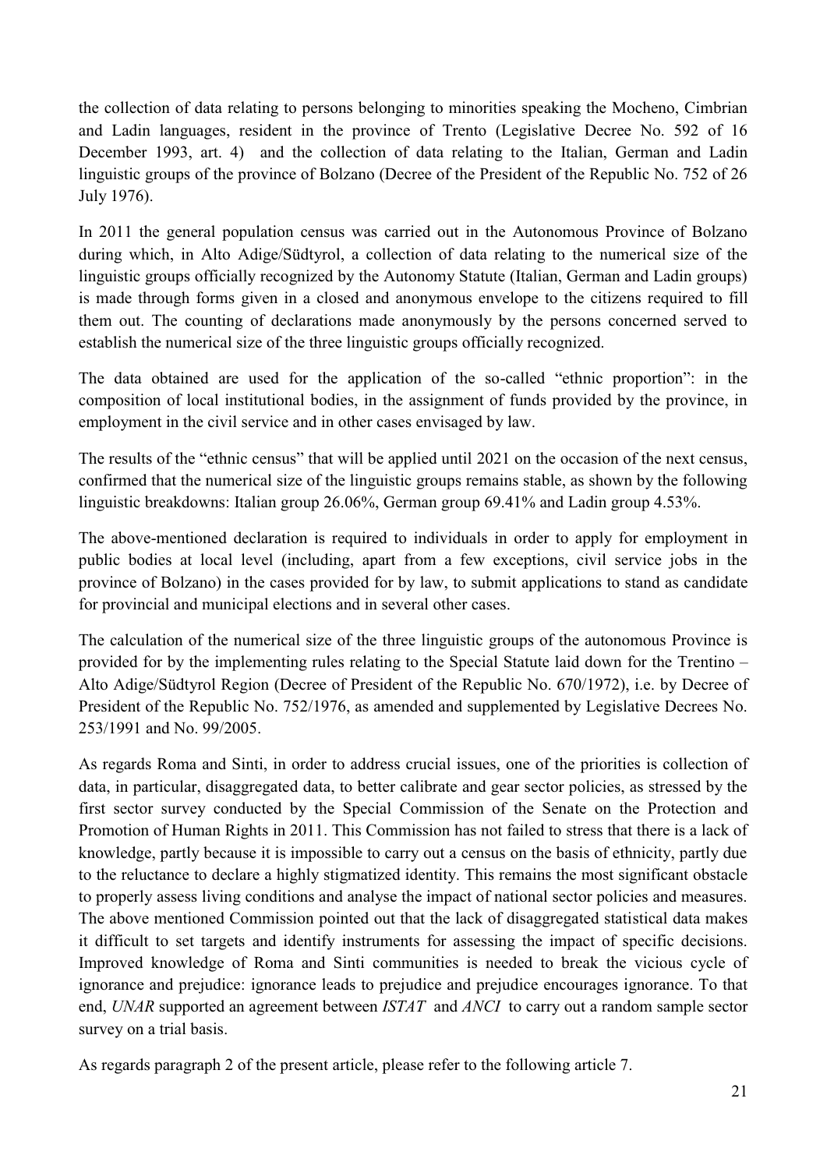the collection of data relating to persons belonging to minorities speaking the Mocheno, Cimbrian and Ladin languages, resident in the province of Trento (Legislative Decree No. 592 of 16 December 1993, art. 4) and the collection of data relating to the Italian, German and Ladin linguistic groups of the province of Bolzano (Decree of the President of the Republic No. 752 of 26 July 1976).

In 2011 the general population census was carried out in the Autonomous Province of Bolzano during which, in Alto Adige/Südtyrol, a collection of data relating to the numerical size of the linguistic groups officially recognized by the Autonomy Statute (Italian, German and Ladin groups) is made through forms given in a closed and anonymous envelope to the citizens required to fill them out. The counting of declarations made anonymously by the persons concerned served to establish the numerical size of the three linguistic groups officially recognized.

The data obtained are used for the application of the so-called "ethnic proportion": in the composition of local institutional bodies, in the assignment of funds provided by the province, in employment in the civil service and in other cases envisaged by law.

The results of the "ethnic census" that will be applied until 2021 on the occasion of the next census, confirmed that the numerical size of the linguistic groups remains stable, as shown by the following linguistic breakdowns: Italian group 26.06%, German group 69.41% and Ladin group 4.53%.

The above-mentioned declaration is required to individuals in order to apply for employment in public bodies at local level (including, apart from a few exceptions, civil service jobs in the province of Bolzano) in the cases provided for by law, to submit applications to stand as candidate for provincial and municipal elections and in several other cases.

The calculation of the numerical size of the three linguistic groups of the autonomous Province is provided for by the implementing rules relating to the Special Statute laid down for the Trentino – Alto Adige/Südtyrol Region (Decree of President of the Republic No. 670/1972), i.e. by Decree of President of the Republic No. 752/1976, as amended and supplemented by Legislative Decrees No. 253/1991 and No. 99/2005.

As regards Roma and Sinti, in order to address crucial issues, one of the priorities is collection of data, in particular, disaggregated data, to better calibrate and gear sector policies, as stressed by the first sector survey conducted by the Special Commission of the Senate on the Protection and Promotion of Human Rights in 2011. This Commission has not failed to stress that there is a lack of knowledge, partly because it is impossible to carry out a census on the basis of ethnicity, partly due to the reluctance to declare a highly stigmatized identity. This remains the most significant obstacle to properly assess living conditions and analyse the impact of national sector policies and measures. The above mentioned Commission pointed out that the lack of disaggregated statistical data makes it difficult to set targets and identify instruments for assessing the impact of specific decisions. Improved knowledge of Roma and Sinti communities is needed to break the vicious cycle of ignorance and prejudice: ignorance leads to prejudice and prejudice encourages ignorance. To that end, *UNAR* supported an agreement between *ISTAT* and *ANCI* to carry out a random sample sector survey on a trial basis.

As regards paragraph 2 of the present article, please refer to the following article 7.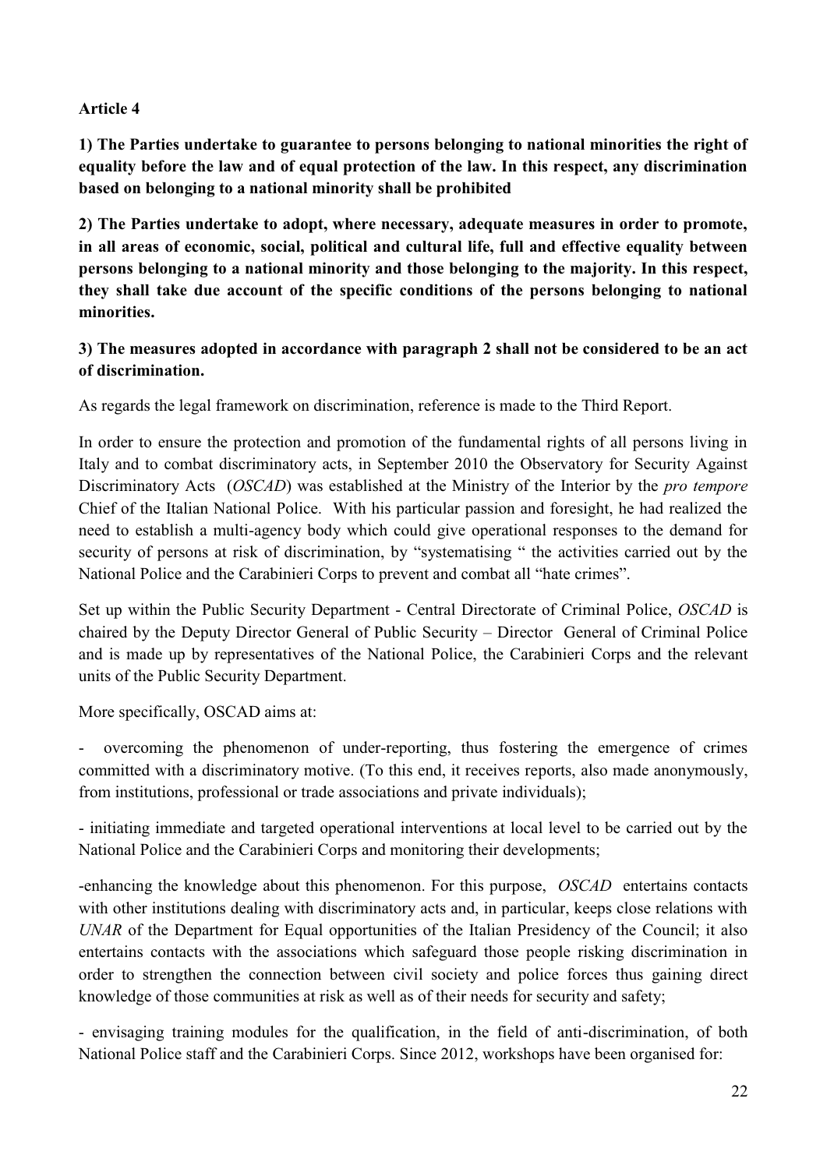# **Article 4**

**1) The Parties undertake to guarantee to persons belonging to national minorities the right of equality before the law and of equal protection of the law. In this respect, any discrimination based on belonging to a national minority shall be prohibited**

**2) The Parties undertake to adopt, where necessary, adequate measures in order to promote, in all areas of economic, social, political and cultural life, full and effective equality between persons belonging to a national minority and those belonging to the majority. In this respect, they shall take due account of the specific conditions of the persons belonging to national minorities.**

# **3) The measures adopted in accordance with paragraph 2 shall not be considered to be an act of discrimination.**

As regards the legal framework on discrimination, reference is made to the Third Report.

In order to ensure the protection and promotion of the fundamental rights of all persons living in Italy and to combat discriminatory acts, in September 2010 the Observatory for Security Against Discriminatory Acts (*OSCAD*) was established at the Ministry of the Interior by the *pro tempore* Chief of the Italian National Police. With his particular passion and foresight, he had realized the need to establish a multi-agency body which could give operational responses to the demand for security of persons at risk of discrimination, by "systematising " the activities carried out by the National Police and the Carabinieri Corps to prevent and combat all "hate crimes".

Set up within the Public Security Department - Central Directorate of Criminal Police, *OSCAD* is chaired by the Deputy Director General of Public Security – Director General of Criminal Police and is made up by representatives of the National Police, the Carabinieri Corps and the relevant units of the Public Security Department.

More specifically, OSCAD aims at:

- overcoming the phenomenon of under-reporting, thus fostering the emergence of crimes committed with a discriminatory motive. (To this end, it receives reports, also made anonymously, from institutions, professional or trade associations and private individuals);

- initiating immediate and targeted operational interventions at local level to be carried out by the National Police and the Carabinieri Corps and monitoring their developments;

-enhancing the knowledge about this phenomenon. For this purpose, *OSCAD* entertains contacts with other institutions dealing with discriminatory acts and, in particular, keeps close relations with *UNAR* of the Department for Equal opportunities of the Italian Presidency of the Council; it also entertains contacts with the associations which safeguard those people risking discrimination in order to strengthen the connection between civil society and police forces thus gaining direct knowledge of those communities at risk as well as of their needs for security and safety;

- envisaging training modules for the qualification, in the field of anti-discrimination, of both National Police staff and the Carabinieri Corps. Since 2012, workshops have been organised for: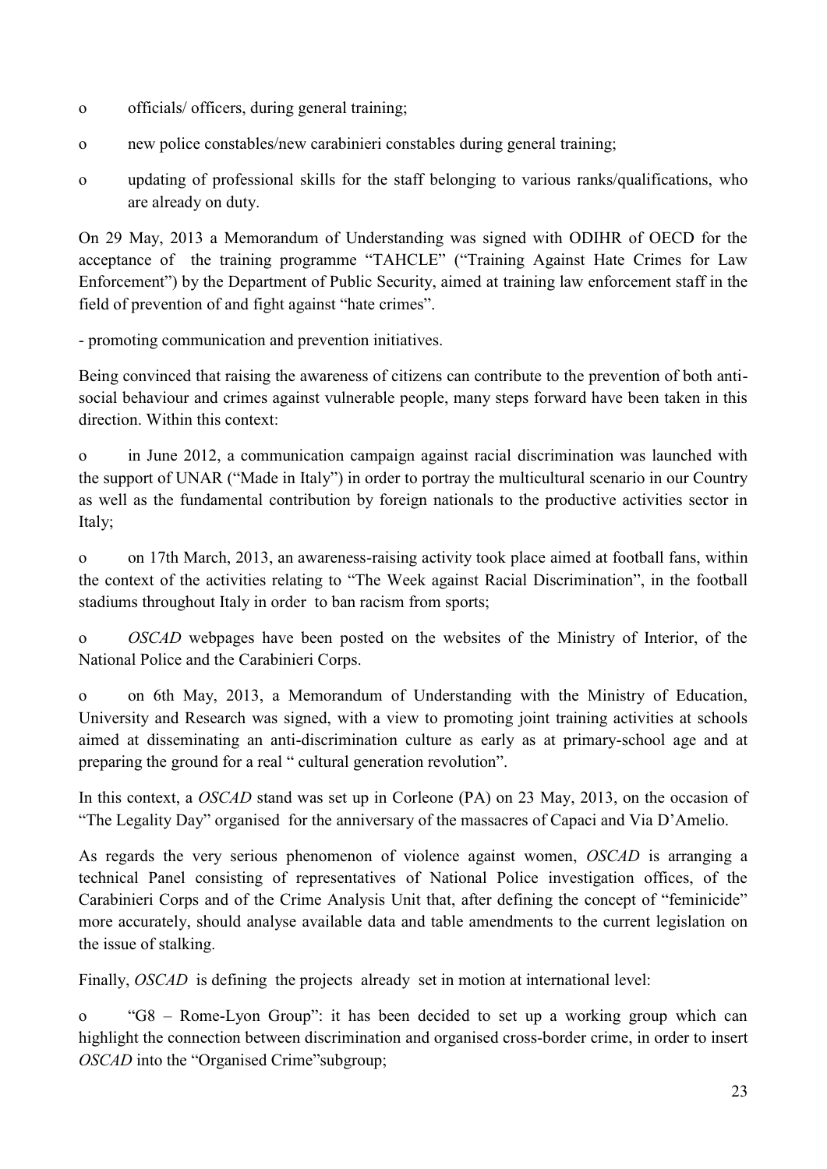- o officials/ officers, during general training;
- o new police constables/new carabinieri constables during general training;
- o updating of professional skills for the staff belonging to various ranks/qualifications, who are already on duty.

On 29 May, 2013 a Memorandum of Understanding was signed with ODIHR of OECD for the acceptance of the training programme "TAHCLE" ("Training Against Hate Crimes for Law Enforcement") by the Department of Public Security, aimed at training law enforcement staff in the field of prevention of and fight against "hate crimes".

- promoting communication and prevention initiatives.

Being convinced that raising the awareness of citizens can contribute to the prevention of both antisocial behaviour and crimes against vulnerable people, many steps forward have been taken in this direction. Within this context:

o in June 2012, a communication campaign against racial discrimination was launched with the support of UNAR ("Made in Italy") in order to portray the multicultural scenario in our Country as well as the fundamental contribution by foreign nationals to the productive activities sector in Italy;

o on 17th March, 2013, an awareness-raising activity took place aimed at football fans, within the context of the activities relating to "The Week against Racial Discrimination", in the football stadiums throughout Italy in order to ban racism from sports;

o *OSCAD* webpages have been posted on the websites of the Ministry of Interior, of the National Police and the Carabinieri Corps.

o on 6th May, 2013, a Memorandum of Understanding with the Ministry of Education, University and Research was signed, with a view to promoting joint training activities at schools aimed at disseminating an anti-discrimination culture as early as at primary-school age and at preparing the ground for a real " cultural generation revolution".

In this context, a *OSCAD* stand was set up in Corleone (PA) on 23 May, 2013, on the occasion of "The Legality Day" organised for the anniversary of the massacres of Capaci and Via D"Amelio.

As regards the very serious phenomenon of violence against women, *OSCAD* is arranging a technical Panel consisting of representatives of National Police investigation offices, of the Carabinieri Corps and of the Crime Analysis Unit that, after defining the concept of "feminicide" more accurately, should analyse available data and table amendments to the current legislation on the issue of stalking.

Finally, *OSCAD* is defining the projects already set in motion at international level:

o "G8 – Rome-Lyon Group": it has been decided to set up a working group which can highlight the connection between discrimination and organised cross-border crime, in order to insert *OSCAD* into the "Organised Crime" subgroup;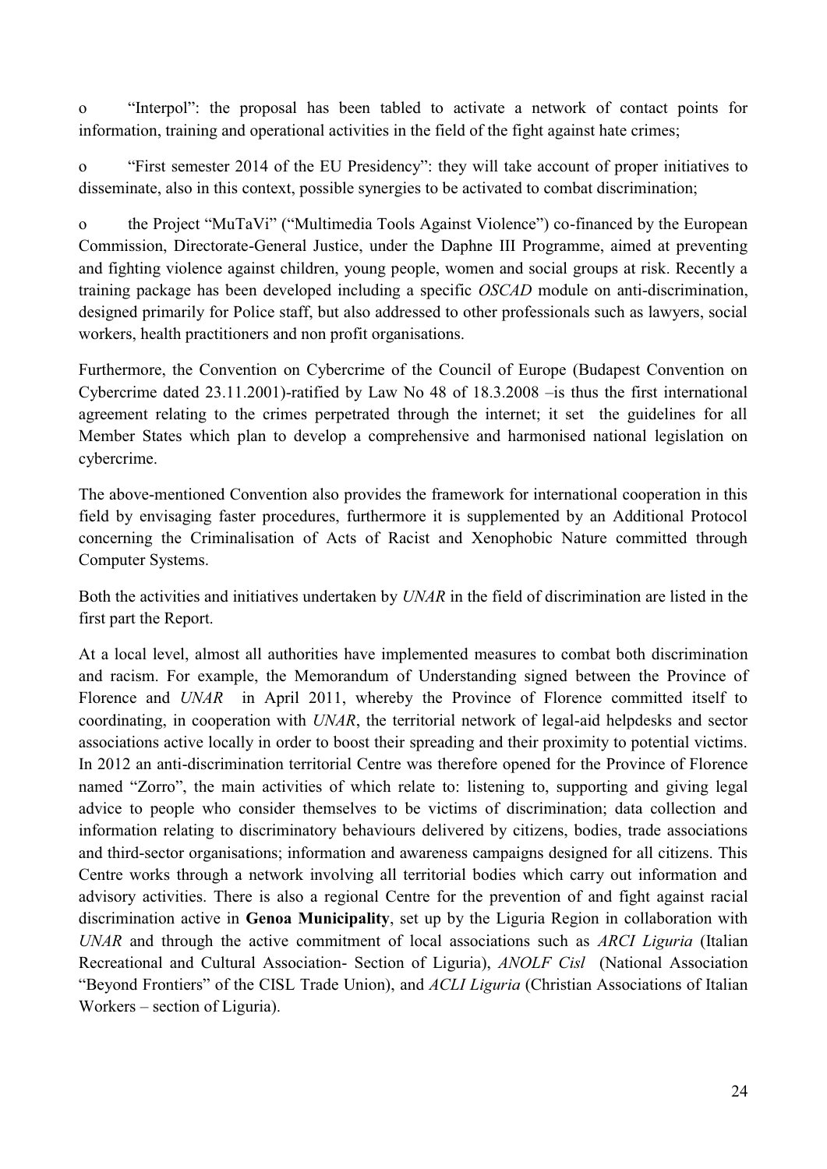o "Interpol": the proposal has been tabled to activate a network of contact points for information, training and operational activities in the field of the fight against hate crimes;

o "First semester 2014 of the EU Presidency": they will take account of proper initiatives to disseminate, also in this context, possible synergies to be activated to combat discrimination;

o the Project "MuTaVi" ("Multimedia Tools Against Violence") co-financed by the European Commission, Directorate-General Justice, under the Daphne III Programme, aimed at preventing and fighting violence against children, young people, women and social groups at risk. Recently a training package has been developed including a specific *OSCAD* module on anti-discrimination, designed primarily for Police staff, but also addressed to other professionals such as lawyers, social workers, health practitioners and non profit organisations.

Furthermore, the Convention on Cybercrime of the Council of Europe (Budapest Convention on Cybercrime dated 23.11.2001)-ratified by Law No 48 of 18.3.2008 –is thus the first international agreement relating to the crimes perpetrated through the internet; it set the guidelines for all Member States which plan to develop a comprehensive and harmonised national legislation on cybercrime.

The above-mentioned Convention also provides the framework for international cooperation in this field by envisaging faster procedures, furthermore it is supplemented by an Additional Protocol concerning the Criminalisation of Acts of Racist and Xenophobic Nature committed through Computer Systems.

Both the activities and initiatives undertaken by *UNAR* in the field of discrimination are listed in the first part the Report.

At a local level, almost all authorities have implemented measures to combat both discrimination and racism. For example, the Memorandum of Understanding signed between the Province of Florence and *UNAR* in April 2011, whereby the Province of Florence committed itself to coordinating, in cooperation with *UNAR*, the territorial network of legal-aid helpdesks and sector associations active locally in order to boost their spreading and their proximity to potential victims. In 2012 an anti-discrimination territorial Centre was therefore opened for the Province of Florence named "Zorro", the main activities of which relate to: listening to, supporting and giving legal advice to people who consider themselves to be victims of discrimination; data collection and information relating to discriminatory behaviours delivered by citizens, bodies, trade associations and third-sector organisations; information and awareness campaigns designed for all citizens. This Centre works through a network involving all territorial bodies which carry out information and advisory activities. There is also a regional Centre for the prevention of and fight against racial discrimination active in **Genoa Municipality**, set up by the Liguria Region in collaboration with *UNAR* and through the active commitment of local associations such as *ARCI Liguria* (Italian Recreational and Cultural Association- Section of Liguria), *ANOLF Cisl* (National Association "Beyond Frontiers" of the CISL Trade Union), and *ACLI Liguria* (Christian Associations of Italian Workers – section of Liguria).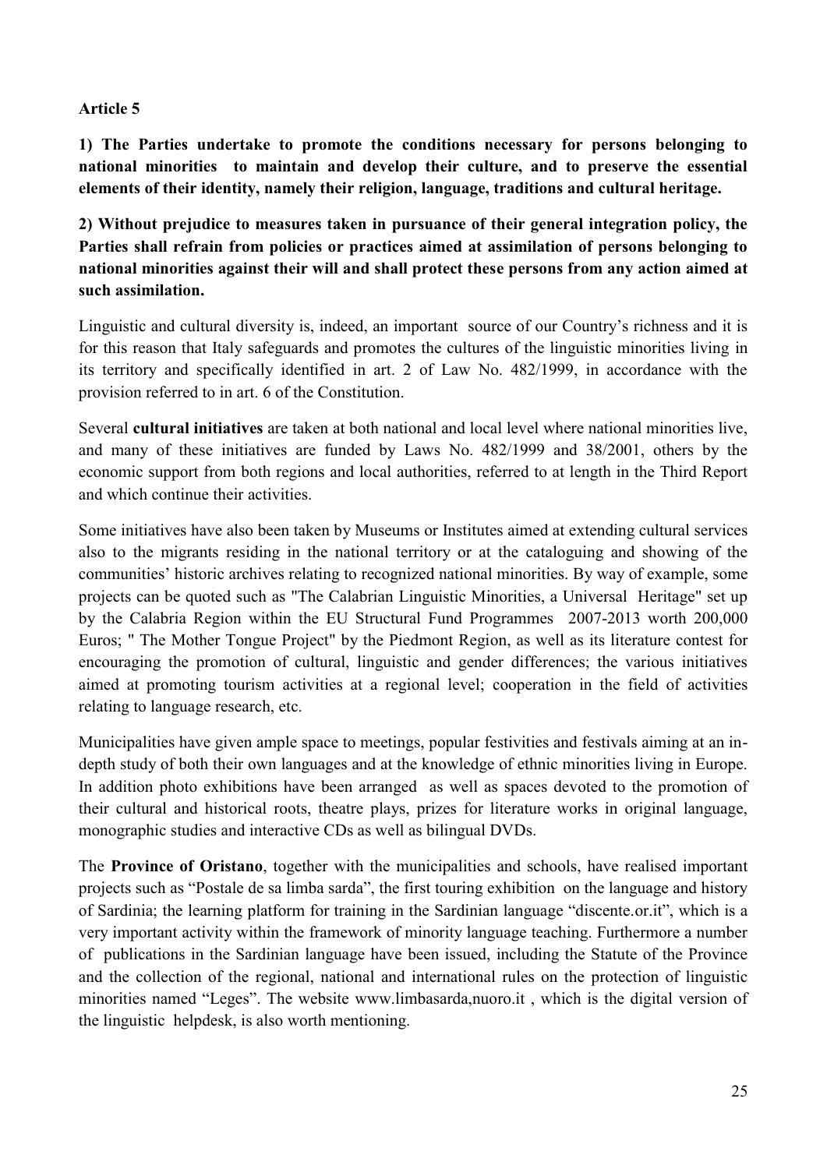# **Article 5**

**1) The Parties undertake to promote the conditions necessary for persons belonging to national minorities to maintain and develop their culture, and to preserve the essential elements of their identity, namely their religion, language, traditions and cultural heritage.** 

**2) Without prejudice to measures taken in pursuance of their general integration policy, the Parties shall refrain from policies or practices aimed at assimilation of persons belonging to national minorities against their will and shall protect these persons from any action aimed at such assimilation.**

Linguistic and cultural diversity is, indeed, an important source of our Country"s richness and it is for this reason that Italy safeguards and promotes the cultures of the linguistic minorities living in its territory and specifically identified in art. 2 of Law No. 482/1999, in accordance with the provision referred to in art. 6 of the Constitution.

Several **cultural initiatives** are taken at both national and local level where national minorities live, and many of these initiatives are funded by Laws No. 482/1999 and 38/2001, others by the economic support from both regions and local authorities, referred to at length in the Third Report and which continue their activities.

Some initiatives have also been taken by Museums or Institutes aimed at extending cultural services also to the migrants residing in the national territory or at the cataloguing and showing of the communities' historic archives relating to recognized national minorities. By way of example, some projects can be quoted such as "The Calabrian Linguistic Minorities, a Universal Heritage" set up by the Calabria Region within the EU Structural Fund Programmes 2007-2013 worth 200,000 Euros; " The Mother Tongue Project" by the Piedmont Region, as well as its literature contest for encouraging the promotion of cultural, linguistic and gender differences; the various initiatives aimed at promoting tourism activities at a regional level; cooperation in the field of activities relating to language research, etc.

Municipalities have given ample space to meetings, popular festivities and festivals aiming at an indepth study of both their own languages and at the knowledge of ethnic minorities living in Europe. In addition photo exhibitions have been arranged as well as spaces devoted to the promotion of their cultural and historical roots, theatre plays, prizes for literature works in original language, monographic studies and interactive CDs as well as bilingual DVDs.

The **Province of Oristano**, together with the municipalities and schools, have realised important projects such as "Postale de sa limba sarda", the first touring exhibition on the language and history of Sardinia; the learning platform for training in the Sardinian language "discente.or.it", which is a very important activity within the framework of minority language teaching. Furthermore a number of publications in the Sardinian language have been issued, including the Statute of the Province and the collection of the regional, national and international rules on the protection of linguistic minorities named "Leges". The website www.limbasarda,nuoro.it , which is the digital version of the linguistic helpdesk, is also worth mentioning.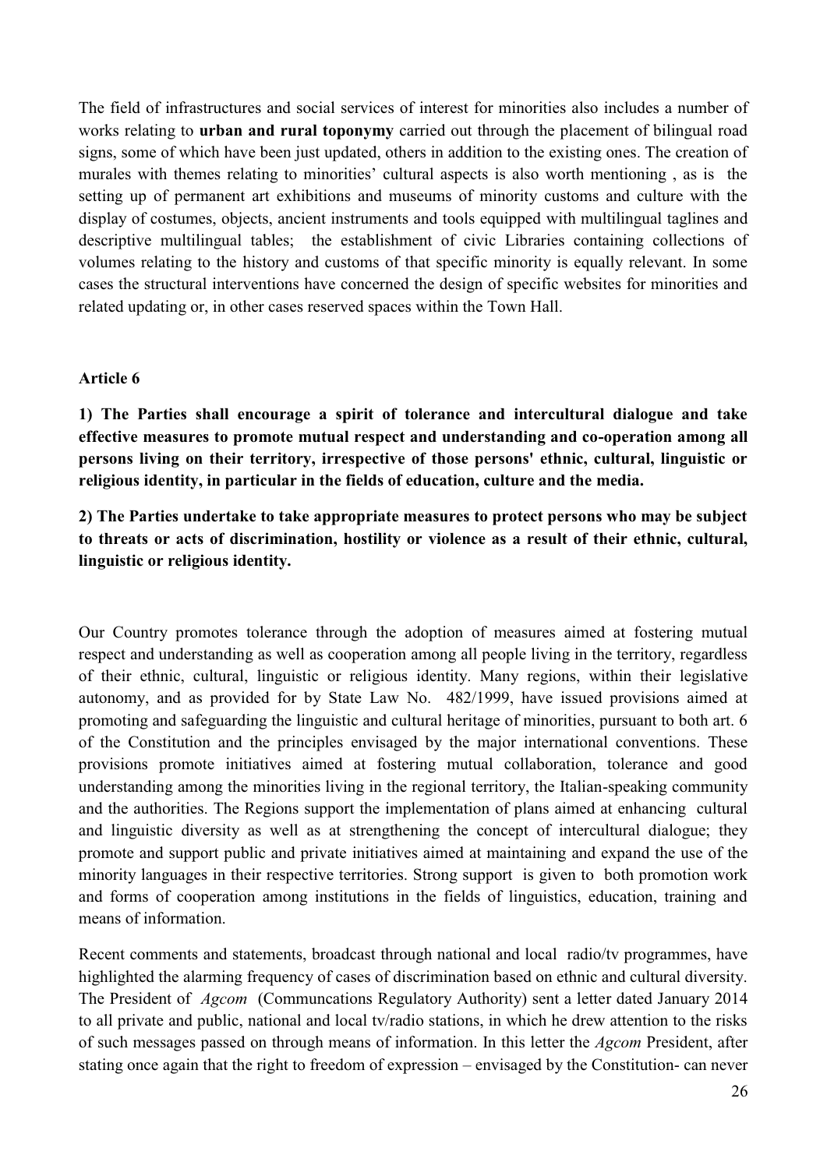The field of infrastructures and social services of interest for minorities also includes a number of works relating to **urban and rural toponymy** carried out through the placement of bilingual road signs, some of which have been just updated, others in addition to the existing ones. The creation of murales with themes relating to minorities' cultural aspects is also worth mentioning, as is the setting up of permanent art exhibitions and museums of minority customs and culture with the display of costumes, objects, ancient instruments and tools equipped with multilingual taglines and descriptive multilingual tables; the establishment of civic Libraries containing collections of volumes relating to the history and customs of that specific minority is equally relevant. In some cases the structural interventions have concerned the design of specific websites for minorities and related updating or, in other cases reserved spaces within the Town Hall.

#### **Article 6**

**1) The Parties shall encourage a spirit of tolerance and intercultural dialogue and take effective measures to promote mutual respect and understanding and co-operation among all persons living on their territory, irrespective of those persons' ethnic, cultural, linguistic or religious identity, in particular in the fields of education, culture and the media.**

**2) The Parties undertake to take appropriate measures to protect persons who may be subject to threats or acts of discrimination, hostility or violence as a result of their ethnic, cultural, linguistic or religious identity.**

Our Country promotes tolerance through the adoption of measures aimed at fostering mutual respect and understanding as well as cooperation among all people living in the territory, regardless of their ethnic, cultural, linguistic or religious identity. Many regions, within their legislative autonomy, and as provided for by State Law No. 482/1999, have issued provisions aimed at promoting and safeguarding the linguistic and cultural heritage of minorities, pursuant to both art. 6 of the Constitution and the principles envisaged by the major international conventions. These provisions promote initiatives aimed at fostering mutual collaboration, tolerance and good understanding among the minorities living in the regional territory, the Italian-speaking community and the authorities. The Regions support the implementation of plans aimed at enhancing cultural and linguistic diversity as well as at strengthening the concept of intercultural dialogue; they promote and support public and private initiatives aimed at maintaining and expand the use of the minority languages in their respective territories. Strong support is given to both promotion work and forms of cooperation among institutions in the fields of linguistics, education, training and means of information.

Recent comments and statements, broadcast through national and local radio/tv programmes, have highlighted the alarming frequency of cases of discrimination based on ethnic and cultural diversity. The President of *Agcom* (Communcations Regulatory Authority) sent a letter dated January 2014 to all private and public, national and local tv/radio stations, in which he drew attention to the risks of such messages passed on through means of information. In this letter the *Agcom* President, after stating once again that the right to freedom of expression – envisaged by the Constitution- can never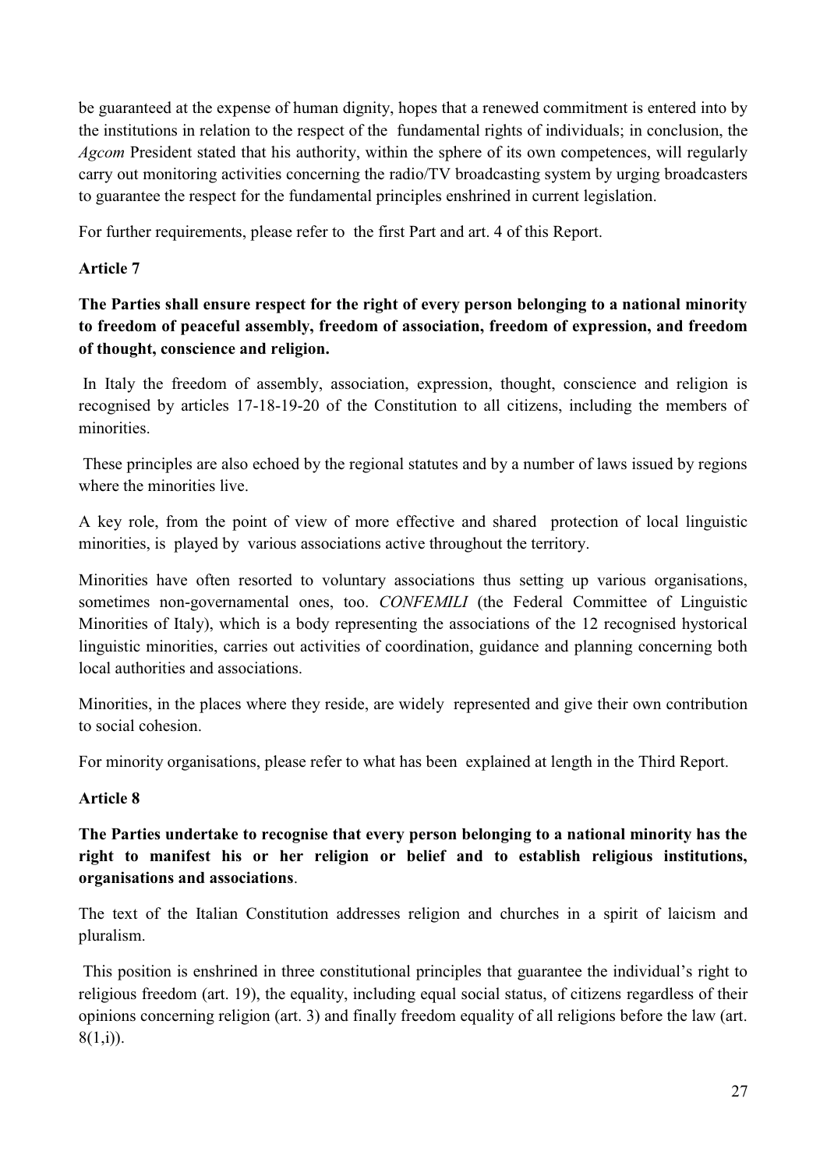be guaranteed at the expense of human dignity, hopes that a renewed commitment is entered into by the institutions in relation to the respect of the fundamental rights of individuals; in conclusion, the *Agcom* President stated that his authority, within the sphere of its own competences, will regularly carry out monitoring activities concerning the radio/TV broadcasting system by urging broadcasters to guarantee the respect for the fundamental principles enshrined in current legislation.

For further requirements, please refer to the first Part and art. 4 of this Report.

# **Article 7**

# **The Parties shall ensure respect for the right of every person belonging to a national minority to freedom of peaceful assembly, freedom of association, freedom of expression, and freedom of thought, conscience and religion.**

In Italy the freedom of assembly, association, expression, thought, conscience and religion is recognised by articles 17-18-19-20 of the Constitution to all citizens, including the members of minorities.

These principles are also echoed by the regional statutes and by a number of laws issued by regions where the minorities live.

A key role, from the point of view of more effective and shared protection of local linguistic minorities, is played by various associations active throughout the territory.

Minorities have often resorted to voluntary associations thus setting up various organisations, sometimes non-governamental ones, too. *CONFEMILI* (the Federal Committee of Linguistic Minorities of Italy), which is a body representing the associations of the 12 recognised hystorical linguistic minorities, carries out activities of coordination, guidance and planning concerning both local authorities and associations.

Minorities, in the places where they reside, are widely represented and give their own contribution to social cohesion.

For minority organisations, please refer to what has been explained at length in the Third Report.

# **Article 8**

**The Parties undertake to recognise that every person belonging to a national minority has the right to manifest his or her religion or belief and to establish religious institutions, organisations and associations**.

The text of the Italian Constitution addresses religion and churches in a spirit of laicism and pluralism.

This position is enshrined in three constitutional principles that guarantee the individual"s right to religious freedom (art. 19), the equality, including equal social status, of citizens regardless of their opinions concerning religion (art. 3) and finally freedom equality of all religions before the law (art.  $8(1,i)$ ).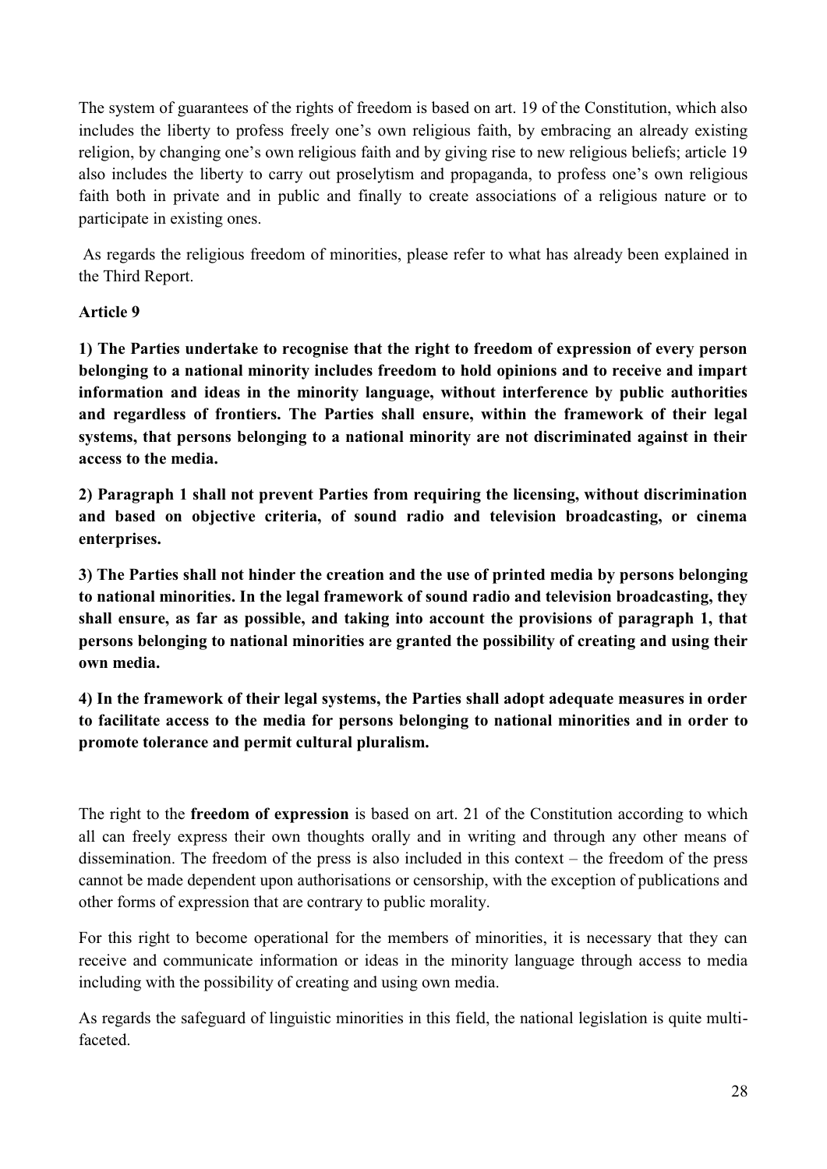The system of guarantees of the rights of freedom is based on art. 19 of the Constitution, which also includes the liberty to profess freely one's own religious faith, by embracing an already existing religion, by changing one"s own religious faith and by giving rise to new religious beliefs; article 19 also includes the liberty to carry out proselytism and propaganda, to profess one"s own religious faith both in private and in public and finally to create associations of a religious nature or to participate in existing ones.

As regards the religious freedom of minorities, please refer to what has already been explained in the Third Report.

# **Article 9**

**1) The Parties undertake to recognise that the right to freedom of expression of every person belonging to a national minority includes freedom to hold opinions and to receive and impart information and ideas in the minority language, without interference by public authorities and regardless of frontiers. The Parties shall ensure, within the framework of their legal systems, that persons belonging to a national minority are not discriminated against in their access to the media.**

**2) Paragraph 1 shall not prevent Parties from requiring the licensing, without discrimination and based on objective criteria, of sound radio and television broadcasting, or cinema enterprises.**

**3) The Parties shall not hinder the creation and the use of printed media by persons belonging to national minorities. In the legal framework of sound radio and television broadcasting, they shall ensure, as far as possible, and taking into account the provisions of paragraph 1, that persons belonging to national minorities are granted the possibility of creating and using their own media.**

**4) In the framework of their legal systems, the Parties shall adopt adequate measures in order to facilitate access to the media for persons belonging to national minorities and in order to promote tolerance and permit cultural pluralism.**

The right to the **freedom of expression** is based on art. 21 of the Constitution according to which all can freely express their own thoughts orally and in writing and through any other means of dissemination. The freedom of the press is also included in this context – the freedom of the press cannot be made dependent upon authorisations or censorship, with the exception of publications and other forms of expression that are contrary to public morality.

For this right to become operational for the members of minorities, it is necessary that they can receive and communicate information or ideas in the minority language through access to media including with the possibility of creating and using own media.

As regards the safeguard of linguistic minorities in this field, the national legislation is quite multifaceted.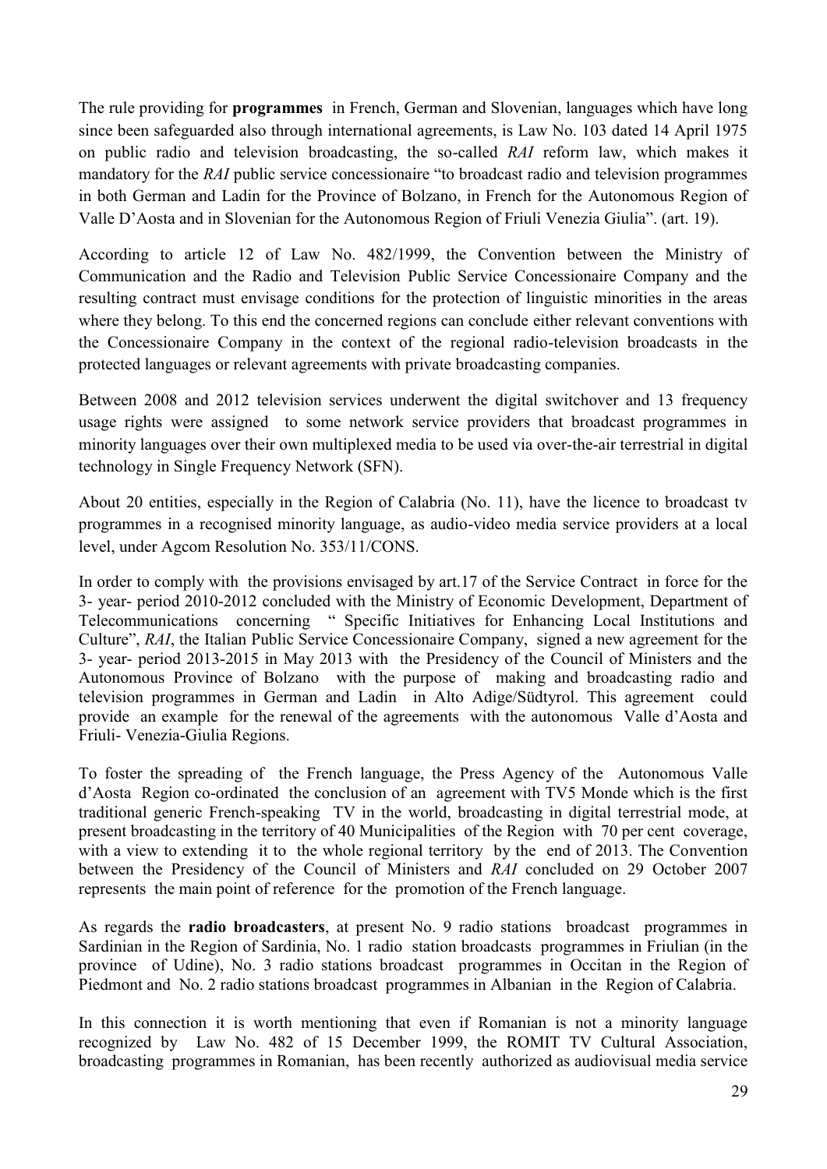The rule providing for **programmes** in French, German and Slovenian, languages which have long since been safeguarded also through international agreements, is Law No. 103 dated 14 April 1975 on public radio and television broadcasting, the so-called *RAI* reform law, which makes it mandatory for the *RAI* public service concessionaire "to broadcast radio and television programmes in both German and Ladin for the Province of Bolzano, in French for the Autonomous Region of Valle D"Aosta and in Slovenian for the Autonomous Region of Friuli Venezia Giulia". (art. 19).

According to article 12 of Law No. 482/1999, the Convention between the Ministry of Communication and the Radio and Television Public Service Concessionaire Company and the resulting contract must envisage conditions for the protection of linguistic minorities in the areas where they belong. To this end the concerned regions can conclude either relevant conventions with the Concessionaire Company in the context of the regional radio-television broadcasts in the protected languages or relevant agreements with private broadcasting companies.

Between 2008 and 2012 television services underwent the digital switchover and 13 frequency usage rights were assigned to some network service providers that broadcast programmes in minority languages over their own multiplexed media to be used via over-the-air terrestrial in digital technology in Single Frequency Network (SFN).

About 20 entities, especially in the Region of Calabria (No. 11), have the licence to broadcast tv programmes in a recognised minority language, as audio-video media service providers at a local level, under Agcom Resolution No. 353/11/CONS.

In order to comply with the provisions envisaged by art.17 of the Service Contract in force for the 3- year- period 2010-2012 concluded with the Ministry of Economic Development, Department of Telecommunications concerning " Specific Initiatives for Enhancing Local Institutions and Culture", *RAI*, the Italian Public Service Concessionaire Company, signed a new agreement for the 3- year- period 2013-2015 in May 2013 with the Presidency of the Council of Ministers and the Autonomous Province of Bolzano with the purpose of making and broadcasting radio and television programmes in German and Ladin in Alto Adige/Südtyrol. This agreement could provide an example for the renewal of the agreements with the autonomous Valle d"Aosta and Friuli- Venezia-Giulia Regions.

To foster the spreading of the French language, the Press Agency of the Autonomous Valle d"Aosta Region co-ordinated the conclusion of an agreement with TV5 Monde which is the first traditional generic French-speaking TV in the world, broadcasting in digital terrestrial mode, at present broadcasting in the territory of 40 Municipalities of the Region with 70 per cent coverage, with a view to extending it to the whole regional territory by the end of 2013. The Convention between the Presidency of the Council of Ministers and *RAI* concluded on 29 October 2007 represents the main point of reference for the promotion of the French language.

As regards the **radio broadcasters**, at present No. 9 radio stations broadcast programmes in Sardinian in the Region of Sardinia, No. 1 radio station broadcasts programmes in Friulian (in the province of Udine), No. 3 radio stations broadcast programmes in Occitan in the Region of Piedmont and No. 2 radio stations broadcast programmes in Albanian in the Region of Calabria.

In this connection it is worth mentioning that even if Romanian is not a minority language recognized by Law No. 482 of 15 December 1999, the ROMIT TV Cultural Association, broadcasting programmes in Romanian, has been recently authorized as audiovisual media service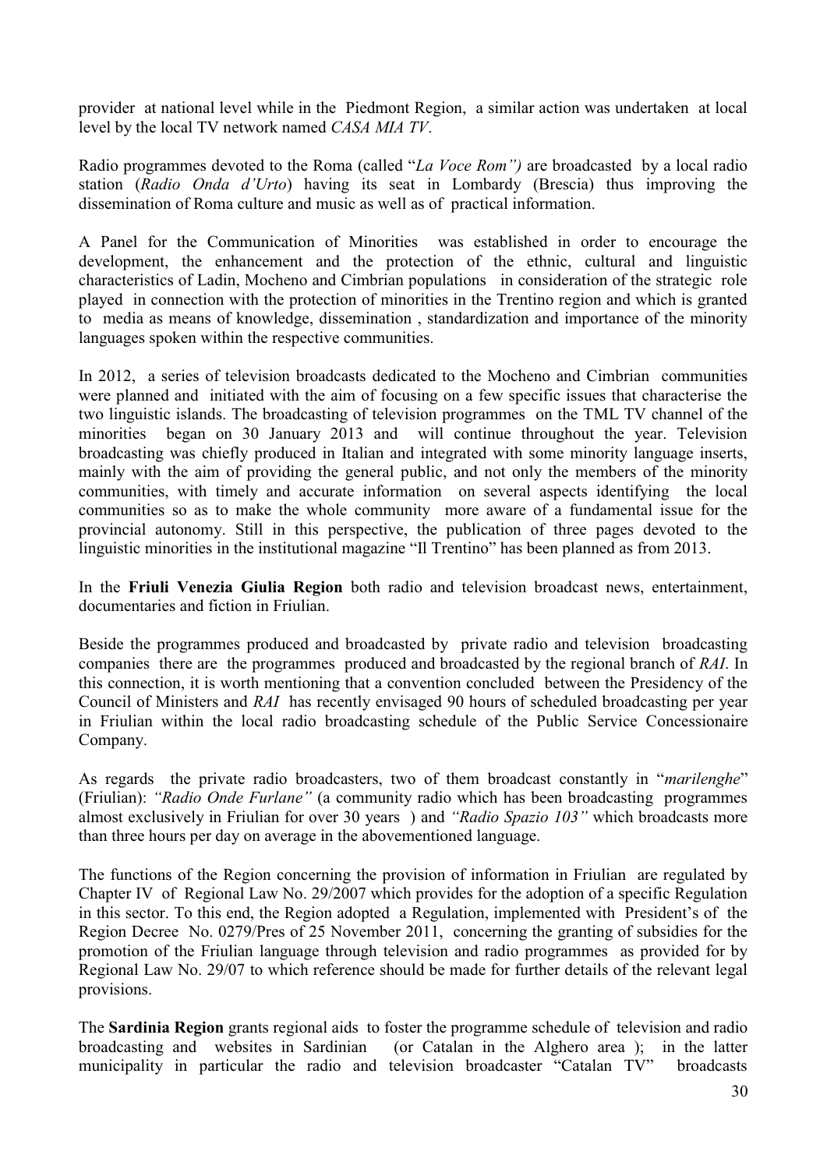provider at national level while in the Piedmont Region, a similar action was undertaken at local level by the local TV network named *CASA MIA TV*.

Radio programmes devoted to the Roma (called "*La Voce Rom")* are broadcasted by a local radio station (*Radio Onda d'Urto*) having its seat in Lombardy (Brescia) thus improving the dissemination of Roma culture and music as well as of practical information.

A Panel for the Communication of Minorities was established in order to encourage the development, the enhancement and the protection of the ethnic, cultural and linguistic characteristics of Ladin, Mocheno and Cimbrian populations in consideration of the strategic role played in connection with the protection of minorities in the Trentino region and which is granted to media as means of knowledge, dissemination , standardization and importance of the minority languages spoken within the respective communities.

In 2012, a series of television broadcasts dedicated to the Mocheno and Cimbrian communities were planned and initiated with the aim of focusing on a few specific issues that characterise the two linguistic islands. The broadcasting of television programmes on the TML TV channel of the minorities began on 30 January 2013 and will continue throughout the year. Television broadcasting was chiefly produced in Italian and integrated with some minority language inserts, mainly with the aim of providing the general public, and not only the members of the minority communities, with timely and accurate information on several aspects identifying the local communities so as to make the whole community more aware of a fundamental issue for the provincial autonomy. Still in this perspective, the publication of three pages devoted to the linguistic minorities in the institutional magazine "Il Trentino" has been planned as from 2013.

In the **Friuli Venezia Giulia Region** both radio and television broadcast news, entertainment, documentaries and fiction in Friulian.

Beside the programmes produced and broadcasted by private radio and television broadcasting companies there are the programmes produced and broadcasted by the regional branch of *RAI*. In this connection, it is worth mentioning that a convention concluded between the Presidency of the Council of Ministers and *RAI* has recently envisaged 90 hours of scheduled broadcasting per year in Friulian within the local radio broadcasting schedule of the Public Service Concessionaire Company.

As regards the private radio broadcasters, two of them broadcast constantly in "*marilenghe*" (Friulian): *"Radio Onde Furlane"* (a community radio which has been broadcasting programmes almost exclusively in Friulian for over 30 years ) and *"Radio Spazio 103"* which broadcasts more than three hours per day on average in the abovementioned language.

The functions of the Region concerning the provision of information in Friulian are regulated by Chapter IV of Regional Law No. 29/2007 which provides for the adoption of a specific Regulation in this sector. To this end, the Region adopted a Regulation, implemented with President"s of the Region Decree No. 0279/Pres of 25 November 2011, concerning the granting of subsidies for the promotion of the Friulian language through television and radio programmes as provided for by Regional Law No. 29/07 to which reference should be made for further details of the relevant legal provisions.

The **Sardinia Region** grants regional aids to foster the programme schedule of television and radio broadcasting and websites in Sardinian (or Catalan in the Alghero area ); in the latter municipality in particular the radio and television broadcaster "Catalan TV" broadcasts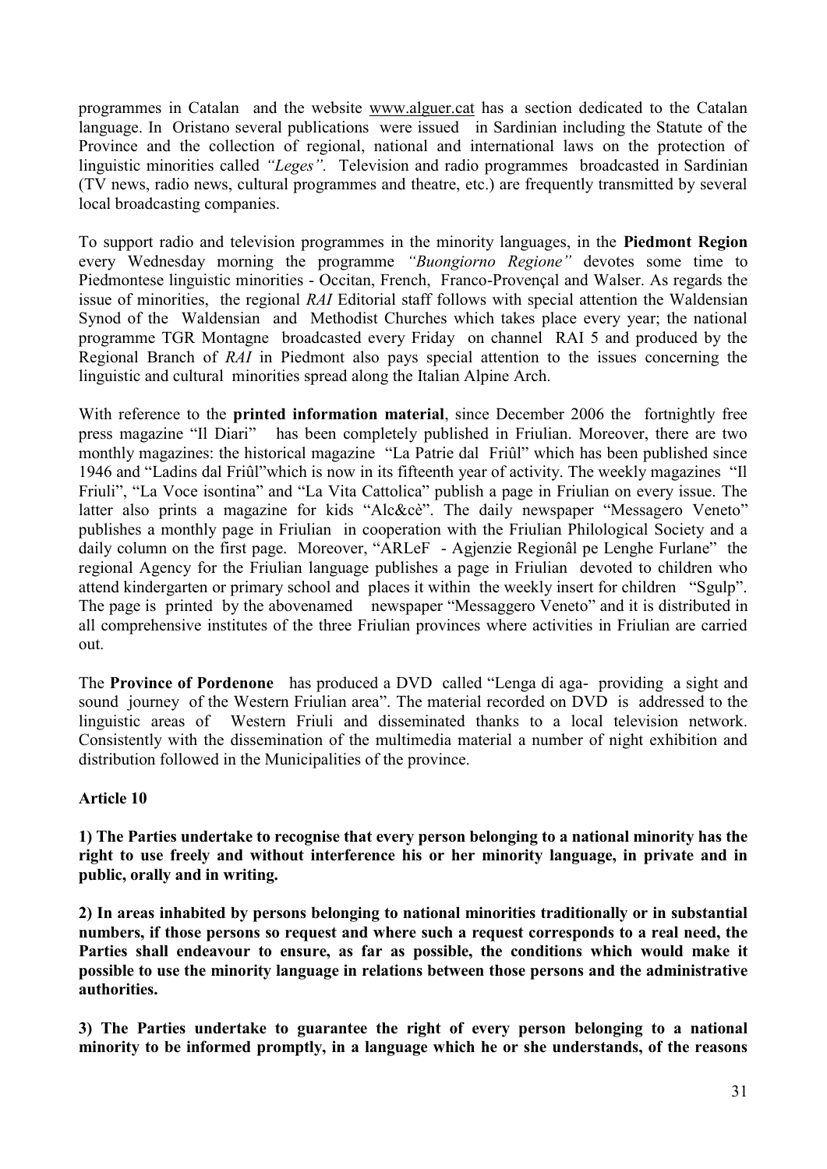programmes in Catalan and the website [www.alguer.cat](http://www.alguer.cat/) has a section dedicated to the Catalan language. In Oristano several publications were issued in Sardinian including the Statute of the Province and the collection of regional, national and international laws on the protection of linguistic minorities called *"Leges".* Television and radio programmes broadcasted in Sardinian (TV news, radio news, cultural programmes and theatre, etc.) are frequently transmitted by several local broadcasting companies.

To support radio and television programmes in the minority languages, in the **Piedmont Region** every Wednesday morning the programme *"Buongiorno Regione"* devotes some time to Piedmontese linguistic minorities - Occitan, French, Franco-Provençal and Walser. As regards the issue of minorities, the regional *RAI* Editorial staff follows with special attention the Waldensian Synod of the Waldensian and Methodist Churches which takes place every year; the national programme TGR Montagne broadcasted every Friday on channel RAI 5 and produced by the Regional Branch of *RAI* in Piedmont also pays special attention to the issues concerning the linguistic and cultural minorities spread along the Italian Alpine Arch.

With reference to the **printed information material**, since December 2006 the fortnightly free press magazine "Il Diari" has been completely published in Friulian. Moreover, there are two monthly magazines: the historical magazine "La Patrie dal Friûl" which has been published since 1946 and "Ladins dal Friûl"which is now in its fifteenth year of activity. The weekly magazines "Il Friuli", "La Voce isontina" and "La Vita Cattolica" publish a page in Friulian on every issue. The latter also prints a magazine for kids "Alc&cè". The daily newspaper "Messagero Veneto" publishes a monthly page in Friulian in cooperation with the Friulian Philological Society and a daily column on the first page. Moreover, "ARLeF - Agjenzie Regionâl pe Lenghe Furlane" the regional Agency for the Friulian language publishes a page in Friulian devoted to children who attend kindergarten or primary school and places it within the weekly insert for children "Sgulp". The page is printed by the abovenamed newspaper "Messaggero Veneto" and it is distributed in all comprehensive institutes of the three Friulian provinces where activities in Friulian are carried out.

The **Province of Pordenone** has produced a DVD called "Lenga di aga- providing a sight and sound journey of the Western Friulian area". The material recorded on DVD is addressed to the linguistic areas of Western Friuli and disseminated thanks to a local television network. Consistently with the dissemination of the multimedia material a number of night exhibition and distribution followed in the Municipalities of the province.

# **Article 10**

**1) The Parties undertake to recognise that every person belonging to a national minority has the right to use freely and without interference his or her minority language, in private and in public, orally and in writing.**

**2) In areas inhabited by persons belonging to national minorities traditionally or in substantial numbers, if those persons so request and where such a request corresponds to a real need, the Parties shall endeavour to ensure, as far as possible, the conditions which would make it possible to use the minority language in relations between those persons and the administrative authorities.** 

**3) The Parties undertake to guarantee the right of every person belonging to a national minority to be informed promptly, in a language which he or she understands, of the reasons**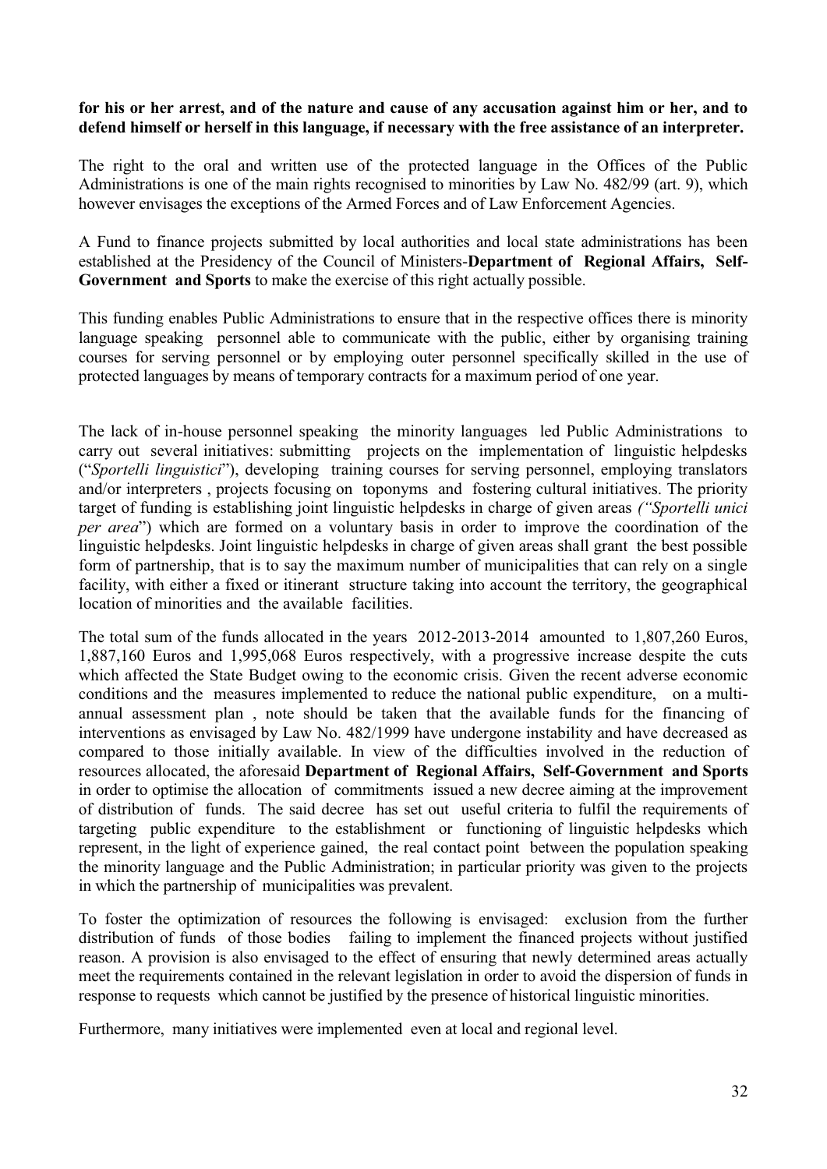## **for his or her arrest, and of the nature and cause of any accusation against him or her, and to defend himself or herself in this language, if necessary with the free assistance of an interpreter.**

The right to the oral and written use of the protected language in the Offices of the Public Administrations is one of the main rights recognised to minorities by Law No. 482/99 (art. 9), which however envisages the exceptions of the Armed Forces and of Law Enforcement Agencies.

A Fund to finance projects submitted by local authorities and local state administrations has been established at the Presidency of the Council of Ministers-**Department of Regional Affairs, Self-Government and Sports** to make the exercise of this right actually possible.

This funding enables Public Administrations to ensure that in the respective offices there is minority language speaking personnel able to communicate with the public, either by organising training courses for serving personnel or by employing outer personnel specifically skilled in the use of protected languages by means of temporary contracts for a maximum period of one year.

The lack of in-house personnel speaking the minority languages led Public Administrations to carry out several initiatives: submitting projects on the implementation of linguistic helpdesks ("*Sportelli linguistici*"), developing training courses for serving personnel, employing translators and/or interpreters , projects focusing on toponyms and fostering cultural initiatives. The priority target of funding is establishing joint linguistic helpdesks in charge of given areas *("Sportelli unici per area*") which are formed on a voluntary basis in order to improve the coordination of the linguistic helpdesks. Joint linguistic helpdesks in charge of given areas shall grant the best possible form of partnership, that is to say the maximum number of municipalities that can rely on a single facility, with either a fixed or itinerant structure taking into account the territory, the geographical location of minorities and the available facilities.

The total sum of the funds allocated in the years 2012-2013-2014 amounted to 1,807,260 Euros, 1,887,160 Euros and 1,995,068 Euros respectively, with a progressive increase despite the cuts which affected the State Budget owing to the economic crisis. Given the recent adverse economic conditions and the measures implemented to reduce the national public expenditure, on a multiannual assessment plan , note should be taken that the available funds for the financing of interventions as envisaged by Law No. 482/1999 have undergone instability and have decreased as compared to those initially available. In view of the difficulties involved in the reduction of resources allocated, the aforesaid **Department of Regional Affairs, Self-Government and Sports**  in order to optimise the allocation of commitments issued a new decree aiming at the improvement of distribution of funds. The said decree has set out useful criteria to fulfil the requirements of targeting public expenditure to the establishment or functioning of linguistic helpdesks which represent, in the light of experience gained, the real contact point between the population speaking the minority language and the Public Administration; in particular priority was given to the projects in which the partnership of municipalities was prevalent.

To foster the optimization of resources the following is envisaged: exclusion from the further distribution of funds of those bodies failing to implement the financed projects without justified reason. A provision is also envisaged to the effect of ensuring that newly determined areas actually meet the requirements contained in the relevant legislation in order to avoid the dispersion of funds in response to requests which cannot be justified by the presence of historical linguistic minorities.

Furthermore, many initiatives were implemented even at local and regional level.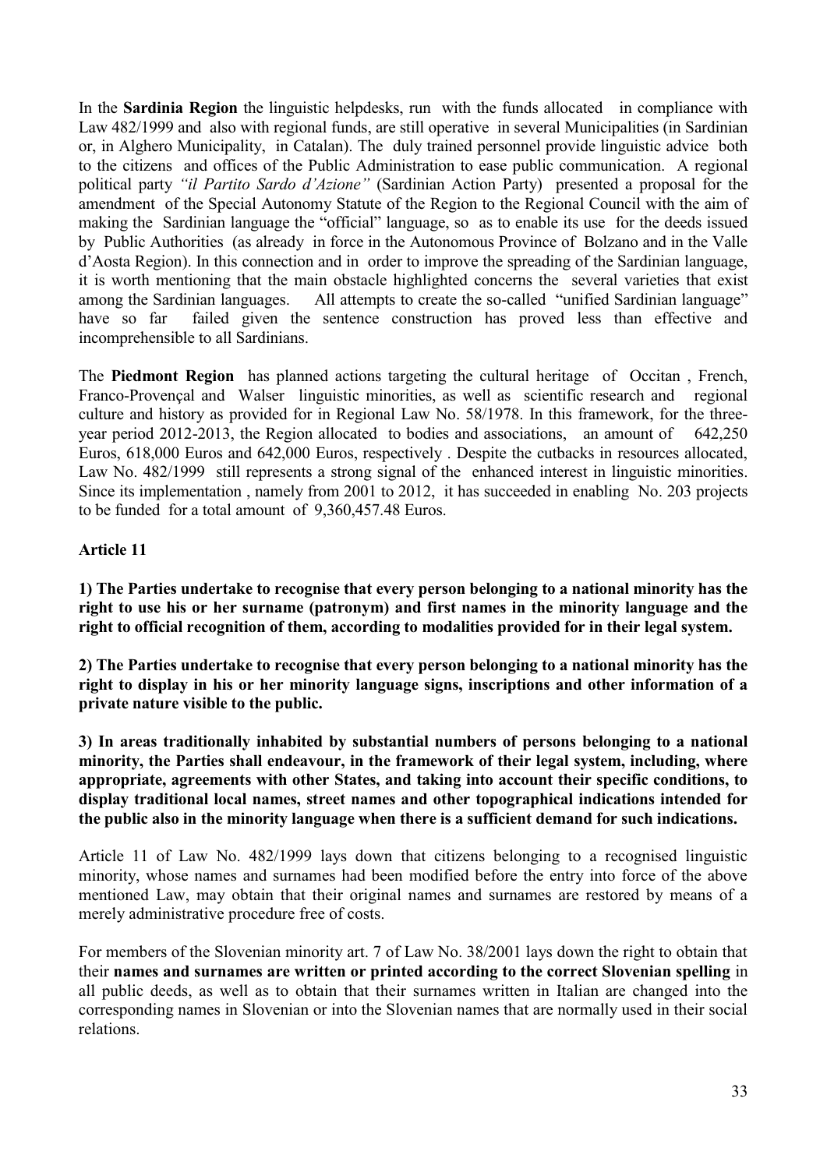In the **Sardinia Region** the linguistic helpdesks, run with the funds allocated in compliance with Law 482/1999 and also with regional funds, are still operative in several Municipalities (in Sardinian or, in Alghero Municipality, in Catalan). The duly trained personnel provide linguistic advice both to the citizens and offices of the Public Administration to ease public communication. A regional political party *"il Partito Sardo d'Azione"* (Sardinian Action Party) presented a proposal for the amendment of the Special Autonomy Statute of the Region to the Regional Council with the aim of making the Sardinian language the "official" language, so as to enable its use for the deeds issued by Public Authorities (as already in force in the Autonomous Province of Bolzano and in the Valle d"Aosta Region). In this connection and in order to improve the spreading of the Sardinian language, it is worth mentioning that the main obstacle highlighted concerns the several varieties that exist among the Sardinian languages. All attempts to create the so-called "unified Sardinian language" have so far failed given the sentence construction has proved less than effective and incomprehensible to all Sardinians.

The **Piedmont Region** has planned actions targeting the cultural heritage of Occitan , French, Franco-Provençal and Walser linguistic minorities, as well as scientific research and regional culture and history as provided for in Regional Law No. 58/1978. In this framework, for the threeyear period 2012-2013, the Region allocated to bodies and associations, an amount of 642,250 Euros, 618,000 Euros and 642,000 Euros, respectively . Despite the cutbacks in resources allocated, Law No. 482/1999 still represents a strong signal of the enhanced interest in linguistic minorities. Since its implementation , namely from 2001 to 2012, it has succeeded in enabling No. 203 projects to be funded for a total amount of 9,360,457.48 Euros.

# **Article 11**

**1) The Parties undertake to recognise that every person belonging to a national minority has the right to use his or her surname (patronym) and first names in the minority language and the right to official recognition of them, according to modalities provided for in their legal system.** 

**2) The Parties undertake to recognise that every person belonging to a national minority has the right to display in his or her minority language signs, inscriptions and other information of a private nature visible to the public.**

**3) In areas traditionally inhabited by substantial numbers of persons belonging to a national minority, the Parties shall endeavour, in the framework of their legal system, including, where appropriate, agreements with other States, and taking into account their specific conditions, to display traditional local names, street names and other topographical indications intended for the public also in the minority language when there is a sufficient demand for such indications.**

Article 11 of Law No. 482/1999 lays down that citizens belonging to a recognised linguistic minority, whose names and surnames had been modified before the entry into force of the above mentioned Law, may obtain that their original names and surnames are restored by means of a merely administrative procedure free of costs.

For members of the Slovenian minority art. 7 of Law No. 38/2001 lays down the right to obtain that their **names and surnames are written or printed according to the correct Slovenian spelling** in all public deeds, as well as to obtain that their surnames written in Italian are changed into the corresponding names in Slovenian or into the Slovenian names that are normally used in their social relations.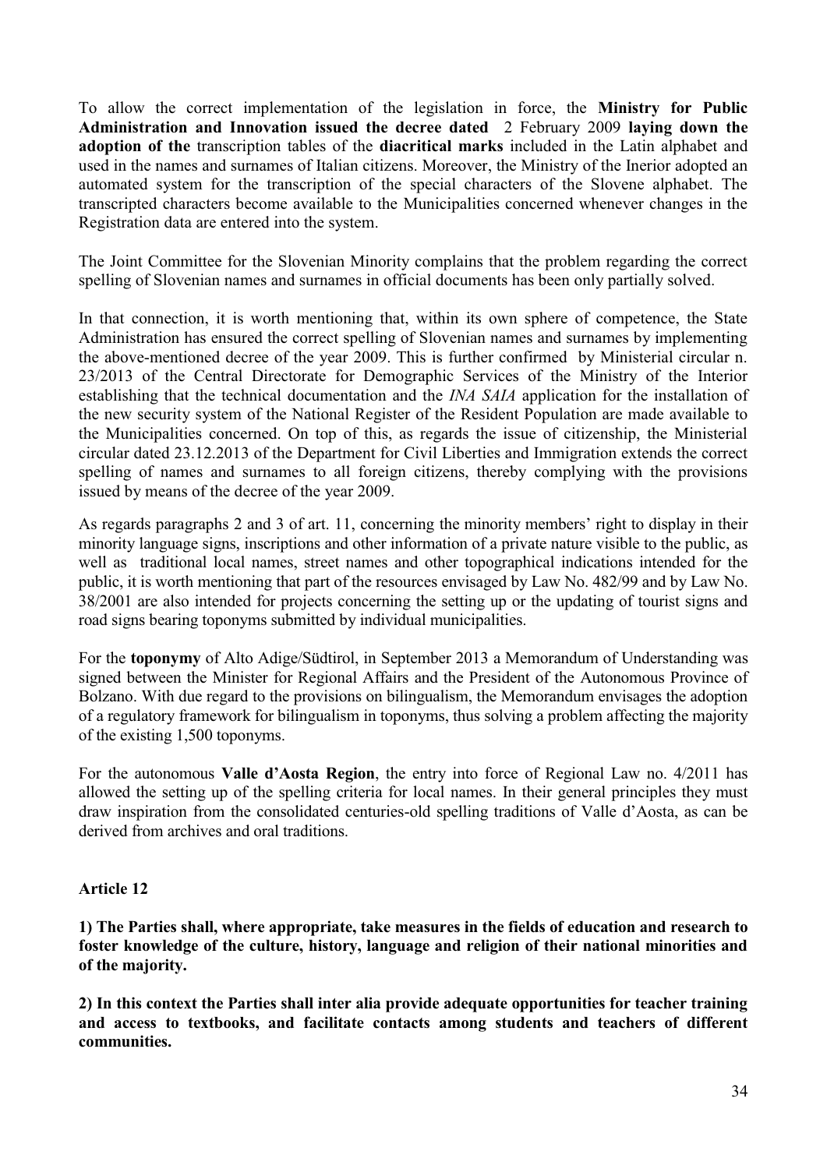To allow the correct implementation of the legislation in force, the **Ministry for Public Administration and Innovation issued the decree dated** 2 February 2009 **laying down the adoption of the** transcription tables of the **diacritical marks** included in the Latin alphabet and used in the names and surnames of Italian citizens. Moreover, the Ministry of the Inerior adopted an automated system for the transcription of the special characters of the Slovene alphabet. The transcripted characters become available to the Municipalities concerned whenever changes in the Registration data are entered into the system.

The Joint Committee for the Slovenian Minority complains that the problem regarding the correct spelling of Slovenian names and surnames in official documents has been only partially solved.

In that connection, it is worth mentioning that, within its own sphere of competence, the State Administration has ensured the correct spelling of Slovenian names and surnames by implementing the above-mentioned decree of the year 2009. This is further confirmed by Ministerial circular n. 23/2013 of the Central Directorate for Demographic Services of the Ministry of the Interior establishing that the technical documentation and the *INA SAIA* application for the installation of the new security system of the National Register of the Resident Population are made available to the Municipalities concerned. On top of this, as regards the issue of citizenship, the Ministerial circular dated 23.12.2013 of the Department for Civil Liberties and Immigration extends the correct spelling of names and surnames to all foreign citizens, thereby complying with the provisions issued by means of the decree of the year 2009.

As regards paragraphs 2 and 3 of art. 11, concerning the minority members' right to display in their minority language signs, inscriptions and other information of a private nature visible to the public, as well as traditional local names, street names and other topographical indications intended for the public, it is worth mentioning that part of the resources envisaged by Law No. 482/99 and by Law No. 38/2001 are also intended for projects concerning the setting up or the updating of tourist signs and road signs bearing toponyms submitted by individual municipalities.

For the **toponymy** of Alto Adige/Südtirol, in September 2013 a Memorandum of Understanding was signed between the Minister for Regional Affairs and the President of the Autonomous Province of Bolzano. With due regard to the provisions on bilingualism, the Memorandum envisages the adoption of a regulatory framework for bilingualism in toponyms, thus solving a problem affecting the majority of the existing 1,500 toponyms.

For the autonomous **Valle d'Aosta Region**, the entry into force of Regional Law no. 4/2011 has allowed the setting up of the spelling criteria for local names. In their general principles they must draw inspiration from the consolidated centuries-old spelling traditions of Valle d"Aosta, as can be derived from archives and oral traditions.

# **Article 12**

**1) The Parties shall, where appropriate, take measures in the fields of education and research to foster knowledge of the culture, history, language and religion of their national minorities and of the majority.**

**2) In this context the Parties shall inter alia provide adequate opportunities for teacher training and access to textbooks, and facilitate contacts among students and teachers of different communities.**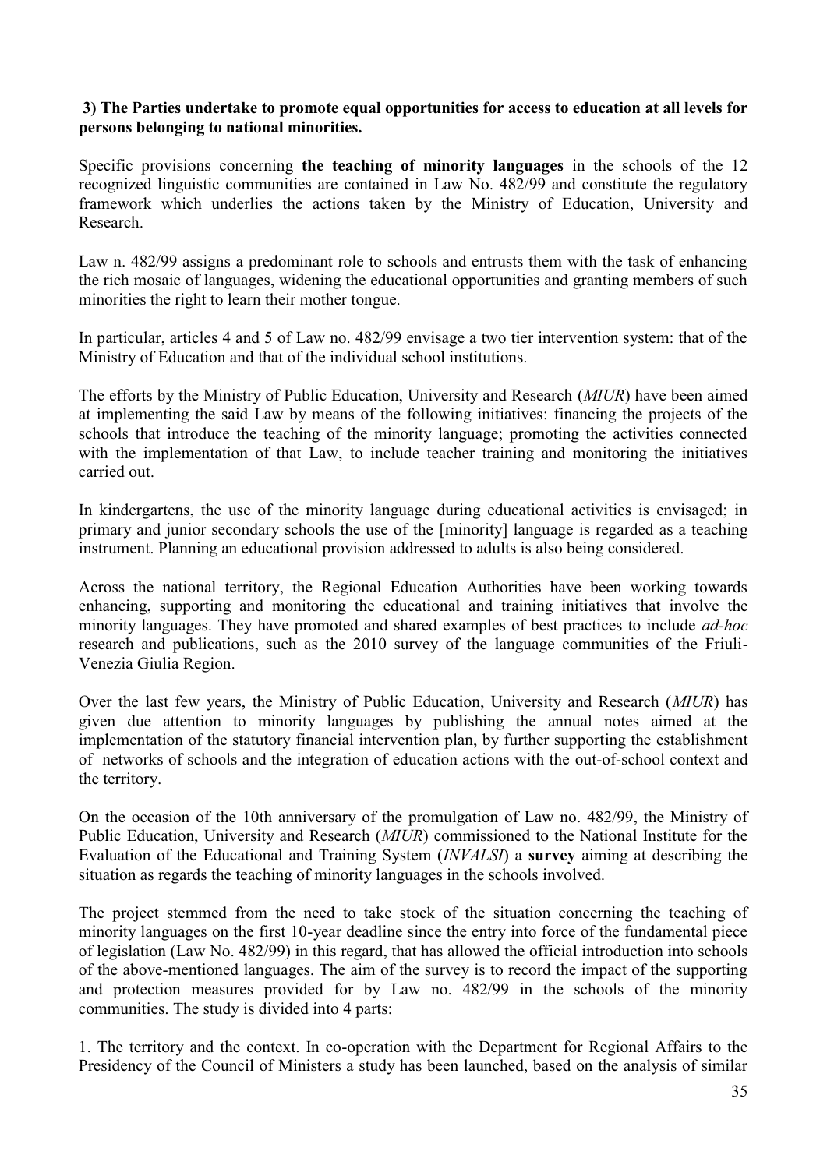## **3) The Parties undertake to promote equal opportunities for access to education at all levels for persons belonging to national minorities.**

Specific provisions concerning **the teaching of minority languages** in the schools of the 12 recognized linguistic communities are contained in Law No. 482/99 and constitute the regulatory framework which underlies the actions taken by the Ministry of Education, University and Research.

Law n. 482/99 assigns a predominant role to schools and entrusts them with the task of enhancing the rich mosaic of languages, widening the educational opportunities and granting members of such minorities the right to learn their mother tongue.

In particular, articles 4 and 5 of Law no. 482/99 envisage a two tier intervention system: that of the Ministry of Education and that of the individual school institutions.

The efforts by the Ministry of Public Education, University and Research (*MIUR*) have been aimed at implementing the said Law by means of the following initiatives: financing the projects of the schools that introduce the teaching of the minority language; promoting the activities connected with the implementation of that Law, to include teacher training and monitoring the initiatives carried out.

In kindergartens, the use of the minority language during educational activities is envisaged; in primary and junior secondary schools the use of the [minority] language is regarded as a teaching instrument. Planning an educational provision addressed to adults is also being considered.

Across the national territory, the Regional Education Authorities have been working towards enhancing, supporting and monitoring the educational and training initiatives that involve the minority languages. They have promoted and shared examples of best practices to include *ad-hoc* research and publications, such as the 2010 survey of the language communities of the Friuli-Venezia Giulia Region.

Over the last few years, the Ministry of Public Education, University and Research (*MIUR*) has given due attention to minority languages by publishing the annual notes aimed at the implementation of the statutory financial intervention plan, by further supporting the establishment of networks of schools and the integration of education actions with the out-of-school context and the territory.

On the occasion of the 10th anniversary of the promulgation of Law no. 482/99, the Ministry of Public Education, University and Research (*MIUR*) commissioned to the National Institute for the Evaluation of the Educational and Training System (*INVALSI*) a **survey** aiming at describing the situation as regards the teaching of minority languages in the schools involved.

The project stemmed from the need to take stock of the situation concerning the teaching of minority languages on the first 10-year deadline since the entry into force of the fundamental piece of legislation (Law No. 482/99) in this regard, that has allowed the official introduction into schools of the above-mentioned languages. The aim of the survey is to record the impact of the supporting and protection measures provided for by Law no. 482/99 in the schools of the minority communities. The study is divided into 4 parts:

1. The territory and the context. In co-operation with the Department for Regional Affairs to the Presidency of the Council of Ministers a study has been launched, based on the analysis of similar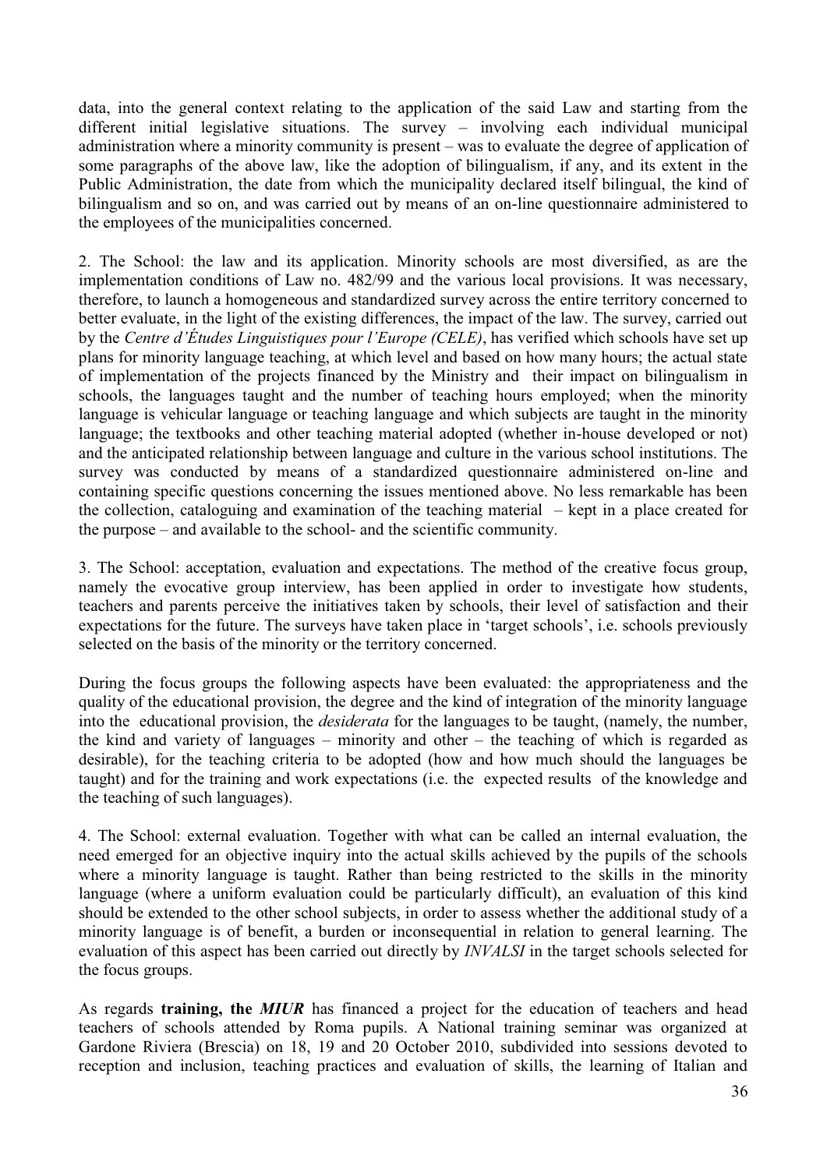data, into the general context relating to the application of the said Law and starting from the different initial legislative situations. The survey – involving each individual municipal administration where a minority community is present – was to evaluate the degree of application of some paragraphs of the above law, like the adoption of bilingualism, if any, and its extent in the Public Administration, the date from which the municipality declared itself bilingual, the kind of bilingualism and so on, and was carried out by means of an on-line questionnaire administered to the employees of the municipalities concerned.

2. The School: the law and its application. Minority schools are most diversified, as are the implementation conditions of Law no. 482/99 and the various local provisions. It was necessary, therefore, to launch a homogeneous and standardized survey across the entire territory concerned to better evaluate, in the light of the existing differences, the impact of the law. The survey, carried out by the *Centre d'Études Linguistiques pour l'Europe (CELE)*, has verified which schools have set up plans for minority language teaching, at which level and based on how many hours; the actual state of implementation of the projects financed by the Ministry and their impact on bilingualism in schools, the languages taught and the number of teaching hours employed; when the minority language is vehicular language or teaching language and which subjects are taught in the minority language; the textbooks and other teaching material adopted (whether in-house developed or not) and the anticipated relationship between language and culture in the various school institutions. The survey was conducted by means of a standardized questionnaire administered on-line and containing specific questions concerning the issues mentioned above. No less remarkable has been the collection, cataloguing and examination of the teaching material – kept in a place created for the purpose – and available to the school- and the scientific community.

3. The School: acceptation, evaluation and expectations. The method of the creative focus group, namely the evocative group interview, has been applied in order to investigate how students, teachers and parents perceive the initiatives taken by schools, their level of satisfaction and their expectations for the future. The surveys have taken place in 'target schools', i.e. schools previously selected on the basis of the minority or the territory concerned.

During the focus groups the following aspects have been evaluated: the appropriateness and the quality of the educational provision, the degree and the kind of integration of the minority language into the educational provision, the *desiderata* for the languages to be taught, (namely, the number, the kind and variety of languages – minority and other – the teaching of which is regarded as desirable), for the teaching criteria to be adopted (how and how much should the languages be taught) and for the training and work expectations (i.e. the expected results of the knowledge and the teaching of such languages).

4. The School: external evaluation. Together with what can be called an internal evaluation, the need emerged for an objective inquiry into the actual skills achieved by the pupils of the schools where a minority language is taught. Rather than being restricted to the skills in the minority language (where a uniform evaluation could be particularly difficult), an evaluation of this kind should be extended to the other school subjects, in order to assess whether the additional study of a minority language is of benefit, a burden or inconsequential in relation to general learning. The evaluation of this aspect has been carried out directly by *INVALSI* in the target schools selected for the focus groups.

As regards **training, the** *MIUR* has financed a project for the education of teachers and head teachers of schools attended by Roma pupils. A National training seminar was organized at Gardone Riviera (Brescia) on 18, 19 and 20 October 2010, subdivided into sessions devoted to reception and inclusion, teaching practices and evaluation of skills, the learning of Italian and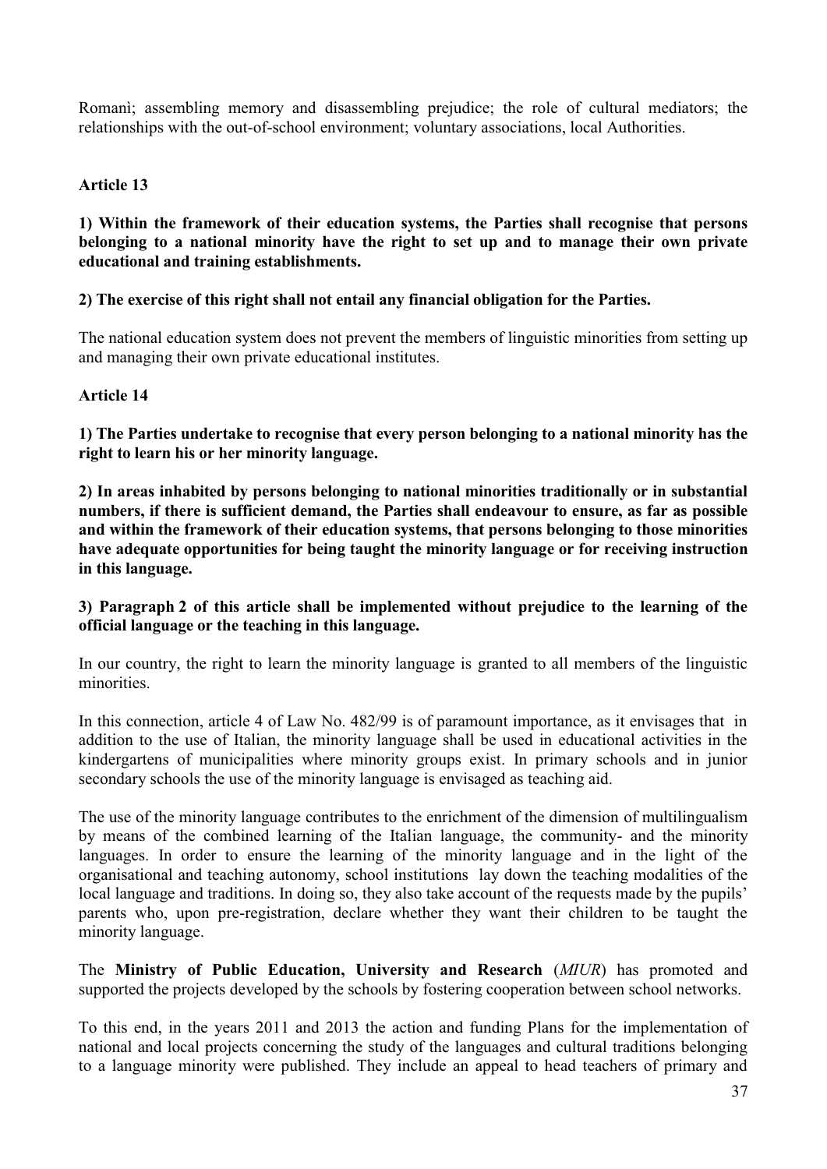Romanì; assembling memory and disassembling prejudice; the role of cultural mediators; the relationships with the out-of-school environment; voluntary associations, local Authorities.

## **Article 13**

#### **1) Within the framework of their education systems, the Parties shall recognise that persons belonging to a national minority have the right to set up and to manage their own private educational and training establishments.**

## **2) The exercise of this right shall not entail any financial obligation for the Parties.**

The national education system does not prevent the members of linguistic minorities from setting up and managing their own private educational institutes.

#### **Article 14**

**1) The Parties undertake to recognise that every person belonging to a national minority has the right to learn his or her minority language.**

**2) In areas inhabited by persons belonging to national minorities traditionally or in substantial numbers, if there is sufficient demand, the Parties shall endeavour to ensure, as far as possible and within the framework of their education systems, that persons belonging to those minorities have adequate opportunities for being taught the minority language or for receiving instruction in this language.**

## **3) Paragraph 2 of this article shall be implemented without prejudice to the learning of the official language or the teaching in this language.**

In our country, the right to learn the minority language is granted to all members of the linguistic minorities.

In this connection, article 4 of Law No. 482/99 is of paramount importance, as it envisages that in addition to the use of Italian, the minority language shall be used in educational activities in the kindergartens of municipalities where minority groups exist. In primary schools and in junior secondary schools the use of the minority language is envisaged as teaching aid.

The use of the minority language contributes to the enrichment of the dimension of multilingualism by means of the combined learning of the Italian language, the community- and the minority languages. In order to ensure the learning of the minority language and in the light of the organisational and teaching autonomy, school institutions lay down the teaching modalities of the local language and traditions. In doing so, they also take account of the requests made by the pupils' parents who, upon pre-registration, declare whether they want their children to be taught the minority language.

The **Ministry of Public Education, University and Research** (*MIUR*) has promoted and supported the projects developed by the schools by fostering cooperation between school networks.

To this end, in the years 2011 and 2013 the action and funding Plans for the implementation of national and local projects concerning the study of the languages and cultural traditions belonging to a language minority were published. They include an appeal to head teachers of primary and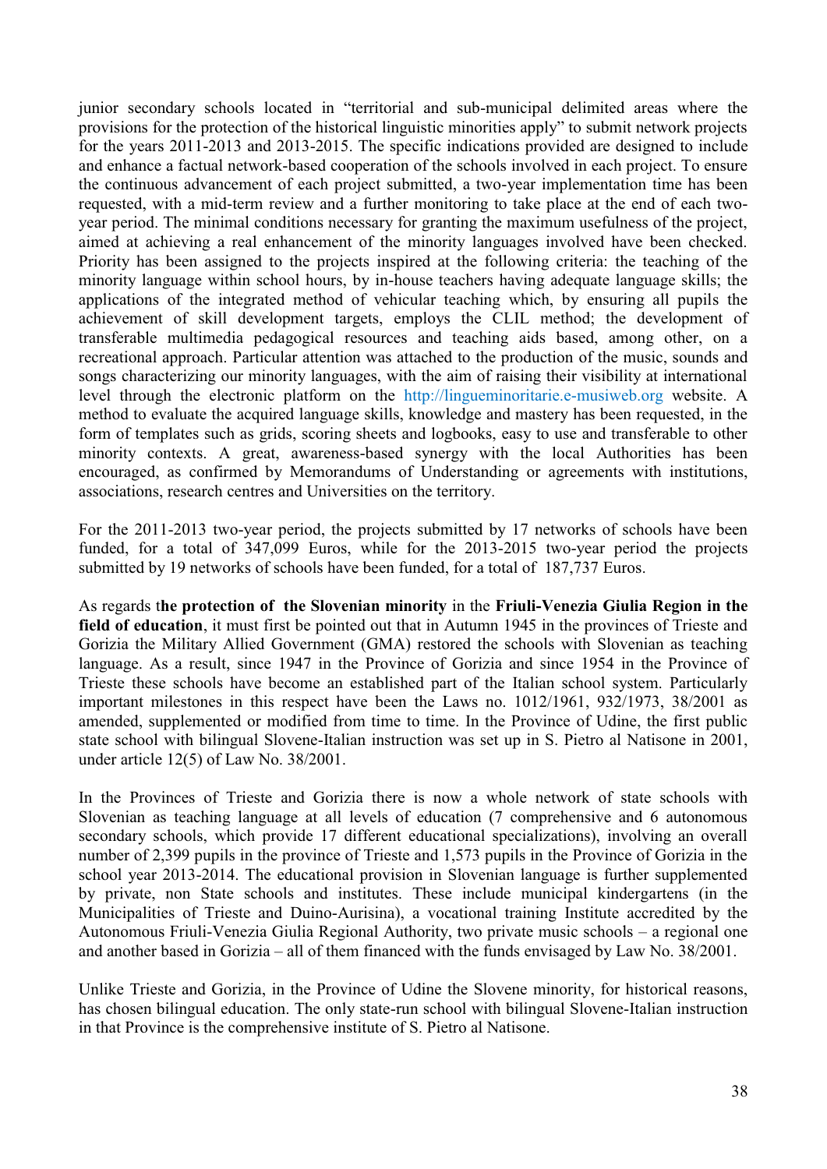junior secondary schools located in "territorial and sub-municipal delimited areas where the provisions for the protection of the historical linguistic minorities apply" to submit network projects for the years 2011-2013 and 2013-2015. The specific indications provided are designed to include and enhance a factual network-based cooperation of the schools involved in each project. To ensure the continuous advancement of each project submitted, a two-year implementation time has been requested, with a mid-term review and a further monitoring to take place at the end of each twoyear period. The minimal conditions necessary for granting the maximum usefulness of the project, aimed at achieving a real enhancement of the minority languages involved have been checked. Priority has been assigned to the projects inspired at the following criteria: the teaching of the minority language within school hours, by in-house teachers having adequate language skills; the applications of the integrated method of vehicular teaching which, by ensuring all pupils the achievement of skill development targets, employs the CLIL method; the development of transferable multimedia pedagogical resources and teaching aids based, among other, on a recreational approach. Particular attention was attached to the production of the music, sounds and songs characterizing our minority languages, with the aim of raising their visibility at international level through the electronic platform on the http://lingueminoritarie.e-musiweb.org website. A method to evaluate the acquired language skills, knowledge and mastery has been requested, in the form of templates such as grids, scoring sheets and logbooks, easy to use and transferable to other minority contexts. A great, awareness-based synergy with the local Authorities has been encouraged, as confirmed by Memorandums of Understanding or agreements with institutions, associations, research centres and Universities on the territory.

For the 2011-2013 two-year period, the projects submitted by 17 networks of schools have been funded, for a total of 347,099 Euros, while for the 2013-2015 two-year period the projects submitted by 19 networks of schools have been funded, for a total of 187,737 Euros.

As regards t**he protection of the Slovenian minority** in the **Friuli-Venezia Giulia Region in the field of education**, it must first be pointed out that in Autumn 1945 in the provinces of Trieste and Gorizia the Military Allied Government (GMA) restored the schools with Slovenian as teaching language. As a result, since 1947 in the Province of Gorizia and since 1954 in the Province of Trieste these schools have become an established part of the Italian school system. Particularly important milestones in this respect have been the Laws no. 1012/1961, 932/1973, 38/2001 as amended, supplemented or modified from time to time. In the Province of Udine, the first public state school with bilingual Slovene-Italian instruction was set up in S. Pietro al Natisone in 2001, under article 12(5) of Law No. 38/2001.

In the Provinces of Trieste and Gorizia there is now a whole network of state schools with Slovenian as teaching language at all levels of education (7 comprehensive and 6 autonomous secondary schools, which provide 17 different educational specializations), involving an overall number of 2,399 pupils in the province of Trieste and 1,573 pupils in the Province of Gorizia in the school year 2013-2014. The educational provision in Slovenian language is further supplemented by private, non State schools and institutes. These include municipal kindergartens (in the Municipalities of Trieste and Duino-Aurisina), a vocational training Institute accredited by the Autonomous Friuli-Venezia Giulia Regional Authority, two private music schools – a regional one and another based in Gorizia – all of them financed with the funds envisaged by Law No. 38/2001.

Unlike Trieste and Gorizia, in the Province of Udine the Slovene minority, for historical reasons, has chosen bilingual education. The only state-run school with bilingual Slovene-Italian instruction in that Province is the comprehensive institute of S. Pietro al Natisone.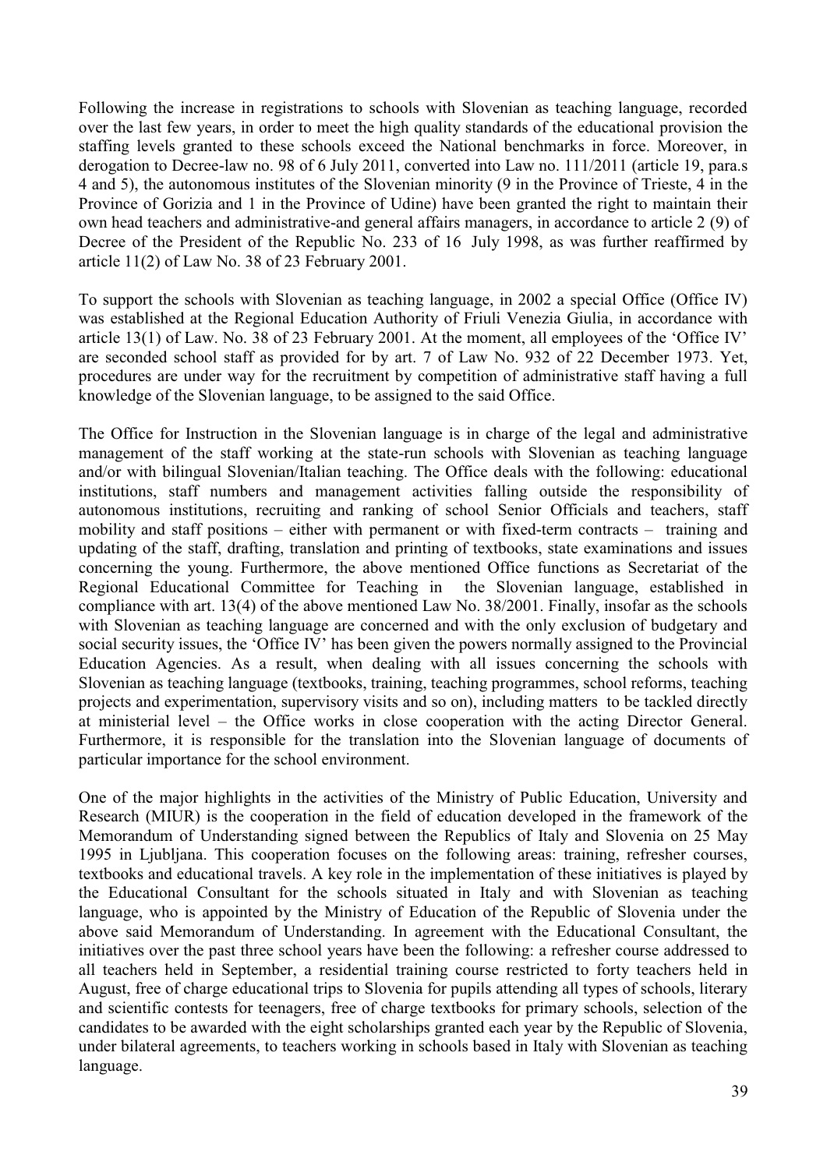Following the increase in registrations to schools with Slovenian as teaching language, recorded over the last few years, in order to meet the high quality standards of the educational provision the staffing levels granted to these schools exceed the National benchmarks in force. Moreover, in derogation to Decree-law no. 98 of 6 July 2011, converted into Law no. 111/2011 (article 19, para.s 4 and 5), the autonomous institutes of the Slovenian minority (9 in the Province of Trieste, 4 in the Province of Gorizia and 1 in the Province of Udine) have been granted the right to maintain their own head teachers and administrative-and general affairs managers, in accordance to article 2 (9) of Decree of the President of the Republic No. 233 of 16 July 1998, as was further reaffirmed by article 11(2) of Law No. 38 of 23 February 2001.

To support the schools with Slovenian as teaching language, in 2002 a special Office (Office IV) was established at the Regional Education Authority of Friuli Venezia Giulia, in accordance with article 13(1) of Law. No. 38 of 23 February 2001. At the moment, all employees of the "Office IV" are seconded school staff as provided for by art. 7 of Law No. 932 of 22 December 1973. Yet, procedures are under way for the recruitment by competition of administrative staff having a full knowledge of the Slovenian language, to be assigned to the said Office.

The Office for Instruction in the Slovenian language is in charge of the legal and administrative management of the staff working at the state-run schools with Slovenian as teaching language and/or with bilingual Slovenian/Italian teaching. The Office deals with the following: educational institutions, staff numbers and management activities falling outside the responsibility of autonomous institutions, recruiting and ranking of school Senior Officials and teachers, staff mobility and staff positions – either with permanent or with fixed-term contracts – training and updating of the staff, drafting, translation and printing of textbooks, state examinations and issues concerning the young. Furthermore, the above mentioned Office functions as Secretariat of the Regional Educational Committee for Teaching in the Slovenian language, established in compliance with art. 13(4) of the above mentioned Law No. 38/2001. Finally, insofar as the schools with Slovenian as teaching language are concerned and with the only exclusion of budgetary and social security issues, the "Office IV" has been given the powers normally assigned to the Provincial Education Agencies. As a result, when dealing with all issues concerning the schools with Slovenian as teaching language (textbooks, training, teaching programmes, school reforms, teaching projects and experimentation, supervisory visits and so on), including matters to be tackled directly at ministerial level – the Office works in close cooperation with the acting Director General. Furthermore, it is responsible for the translation into the Slovenian language of documents of particular importance for the school environment.

One of the major highlights in the activities of the Ministry of Public Education, University and Research (MIUR) is the cooperation in the field of education developed in the framework of the Memorandum of Understanding signed between the Republics of Italy and Slovenia on 25 May 1995 in Ljubljana. This cooperation focuses on the following areas: training, refresher courses, textbooks and educational travels. A key role in the implementation of these initiatives is played by the Educational Consultant for the schools situated in Italy and with Slovenian as teaching language, who is appointed by the Ministry of Education of the Republic of Slovenia under the above said Memorandum of Understanding. In agreement with the Educational Consultant, the initiatives over the past three school years have been the following: a refresher course addressed to all teachers held in September, a residential training course restricted to forty teachers held in August, free of charge educational trips to Slovenia for pupils attending all types of schools, literary and scientific contests for teenagers, free of charge textbooks for primary schools, selection of the candidates to be awarded with the eight scholarships granted each year by the Republic of Slovenia, under bilateral agreements, to teachers working in schools based in Italy with Slovenian as teaching language.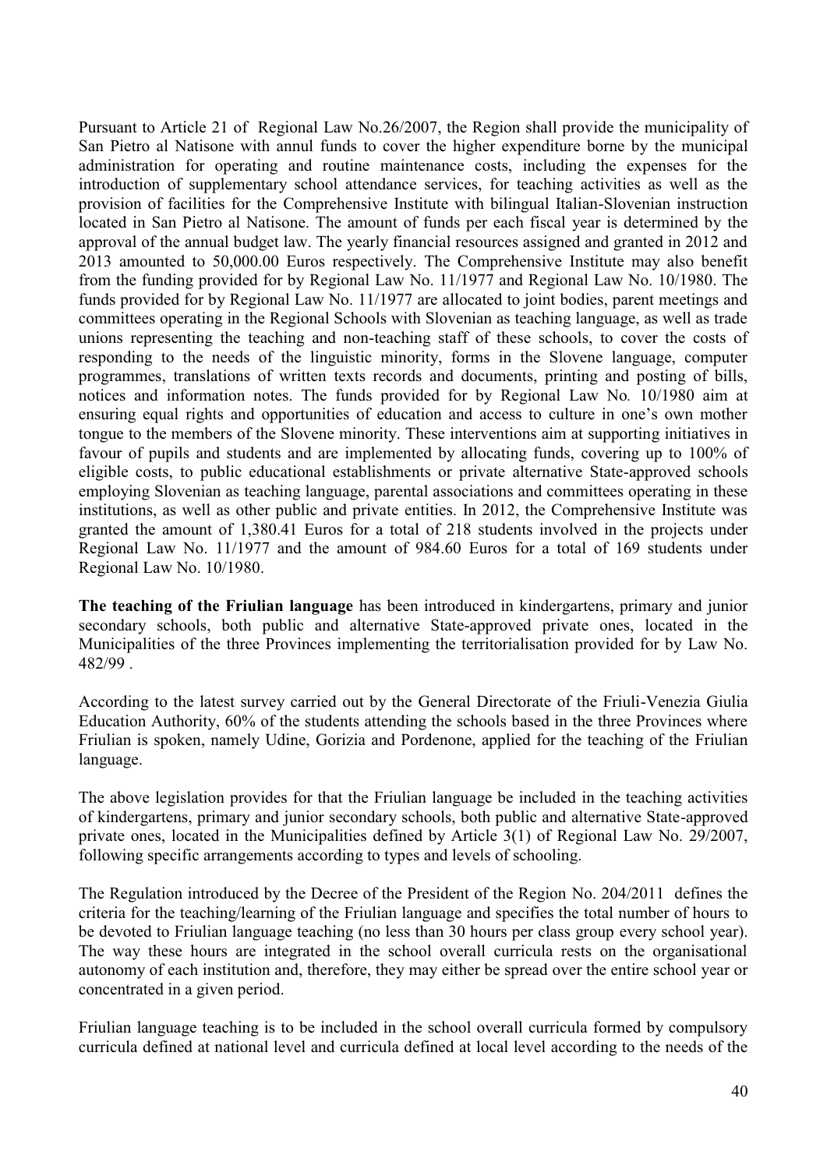Pursuant to Article 21 of Regional Law No.26/2007, the Region shall provide the municipality of San Pietro al Natisone with annul funds to cover the higher expenditure borne by the municipal administration for operating and routine maintenance costs, including the expenses for the introduction of supplementary school attendance services, for teaching activities as well as the provision of facilities for the Comprehensive Institute with bilingual Italian-Slovenian instruction located in San Pietro al Natisone. The amount of funds per each fiscal year is determined by the approval of the annual budget law. The yearly financial resources assigned and granted in 2012 and 2013 amounted to 50,000.00 Euros respectively. The Comprehensive Institute may also benefit from the funding provided for by Regional Law No. 11/1977 and Regional Law No. 10/1980. The funds provided for by Regional Law No. 11/1977 are allocated to joint bodies, parent meetings and committees operating in the Regional Schools with Slovenian as teaching language, as well as trade unions representing the teaching and non-teaching staff of these schools, to cover the costs of responding to the needs of the linguistic minority, forms in the Slovene language, computer programmes, translations of written texts records and documents, printing and posting of bills, notices and information notes. The funds provided for by Regional Law No*.* 10/1980 aim at ensuring equal rights and opportunities of education and access to culture in one"s own mother tongue to the members of the Slovene minority. These interventions aim at supporting initiatives in favour of pupils and students and are implemented by allocating funds, covering up to 100% of eligible costs, to public educational establishments or private alternative State-approved schools employing Slovenian as teaching language, parental associations and committees operating in these institutions, as well as other public and private entities. In 2012, the Comprehensive Institute was granted the amount of 1,380.41 Euros for a total of 218 students involved in the projects under Regional Law No. 11/1977 and the amount of 984.60 Euros for a total of 169 students under Regional Law No. 10/1980.

**The teaching of the Friulian language** has been introduced in kindergartens, primary and junior secondary schools, both public and alternative State-approved private ones, located in the Municipalities of the three Provinces implementing the territorialisation provided for by Law No. 482/99 .

According to the latest survey carried out by the General Directorate of the Friuli-Venezia Giulia Education Authority, 60% of the students attending the schools based in the three Provinces where Friulian is spoken, namely Udine, Gorizia and Pordenone, applied for the teaching of the Friulian language.

The above legislation provides for that the Friulian language be included in the teaching activities of kindergartens, primary and junior secondary schools, both public and alternative State-approved private ones, located in the Municipalities defined by Article 3(1) of Regional Law No. 29/2007, following specific arrangements according to types and levels of schooling.

The Regulation introduced by the Decree of the President of the Region No. 204/2011 defines the criteria for the teaching/learning of the Friulian language and specifies the total number of hours to be devoted to Friulian language teaching (no less than 30 hours per class group every school year). The way these hours are integrated in the school overall curricula rests on the organisational autonomy of each institution and, therefore, they may either be spread over the entire school year or concentrated in a given period.

Friulian language teaching is to be included in the school overall curricula formed by compulsory curricula defined at national level and curricula defined at local level according to the needs of the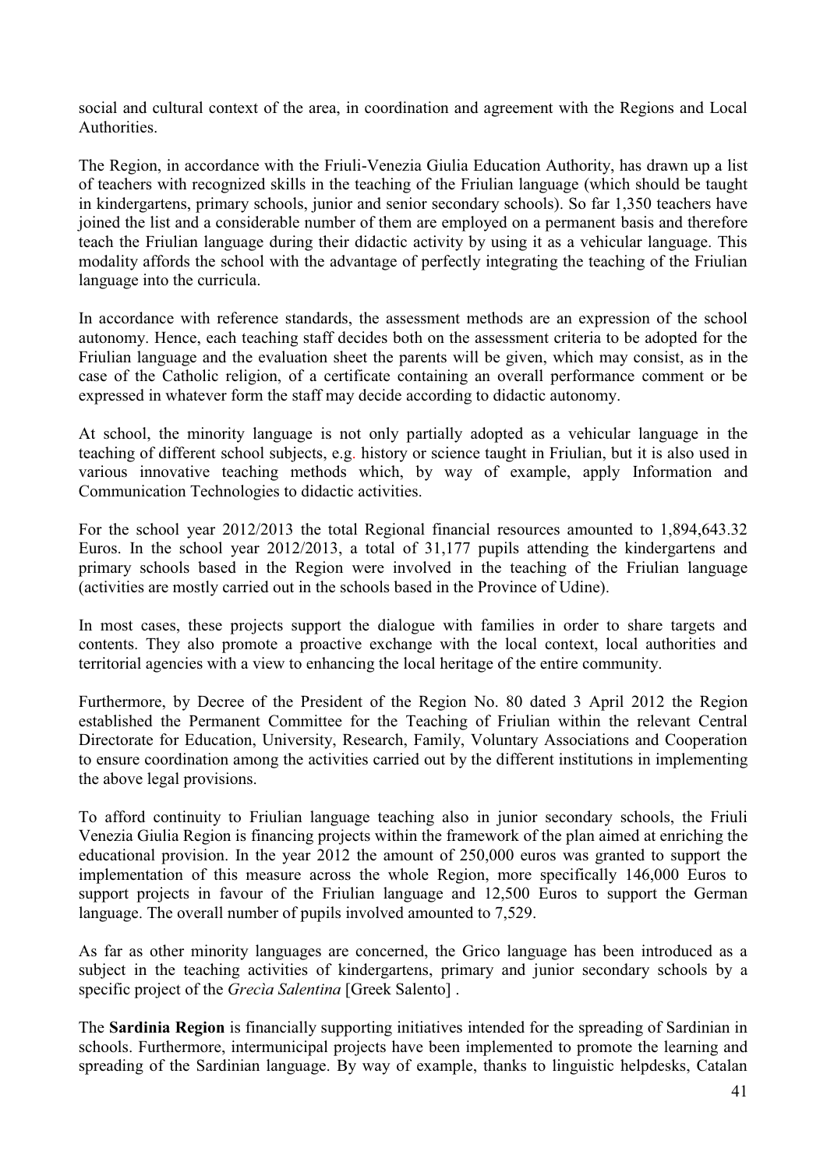social and cultural context of the area, in coordination and agreement with the Regions and Local **Authorities** 

The Region, in accordance with the Friuli-Venezia Giulia Education Authority, has drawn up a list of teachers with recognized skills in the teaching of the Friulian language (which should be taught in kindergartens, primary schools, junior and senior secondary schools). So far 1,350 teachers have joined the list and a considerable number of them are employed on a permanent basis and therefore teach the Friulian language during their didactic activity by using it as a vehicular language. This modality affords the school with the advantage of perfectly integrating the teaching of the Friulian language into the curricula.

In accordance with reference standards, the assessment methods are an expression of the school autonomy. Hence, each teaching staff decides both on the assessment criteria to be adopted for the Friulian language and the evaluation sheet the parents will be given, which may consist, as in the case of the Catholic religion, of a certificate containing an overall performance comment or be expressed in whatever form the staff may decide according to didactic autonomy.

At school, the minority language is not only partially adopted as a vehicular language in the teaching of different school subjects, e.g. history or science taught in Friulian, but it is also used in various innovative teaching methods which, by way of example, apply Information and Communication Technologies to didactic activities.

For the school year 2012/2013 the total Regional financial resources amounted to 1,894,643.32 Euros. In the school year 2012/2013, a total of 31,177 pupils attending the kindergartens and primary schools based in the Region were involved in the teaching of the Friulian language (activities are mostly carried out in the schools based in the Province of Udine).

In most cases, these projects support the dialogue with families in order to share targets and contents. They also promote a proactive exchange with the local context, local authorities and territorial agencies with a view to enhancing the local heritage of the entire community.

Furthermore, by Decree of the President of the Region No. 80 dated 3 April 2012 the Region established the Permanent Committee for the Teaching of Friulian within the relevant Central Directorate for Education, University, Research, Family, Voluntary Associations and Cooperation to ensure coordination among the activities carried out by the different institutions in implementing the above legal provisions.

To afford continuity to Friulian language teaching also in junior secondary schools, the Friuli Venezia Giulia Region is financing projects within the framework of the plan aimed at enriching the educational provision. In the year 2012 the amount of 250,000 euros was granted to support the implementation of this measure across the whole Region, more specifically 146,000 Euros to support projects in favour of the Friulian language and 12,500 Euros to support the German language. The overall number of pupils involved amounted to 7,529.

As far as other minority languages are concerned, the Grico language has been introduced as a subject in the teaching activities of kindergartens, primary and junior secondary schools by a specific project of the *Grecìa Salentina* [Greek Salento] .

The **Sardinia Region** is financially supporting initiatives intended for the spreading of Sardinian in schools. Furthermore, intermunicipal projects have been implemented to promote the learning and spreading of the Sardinian language. By way of example, thanks to linguistic helpdesks, Catalan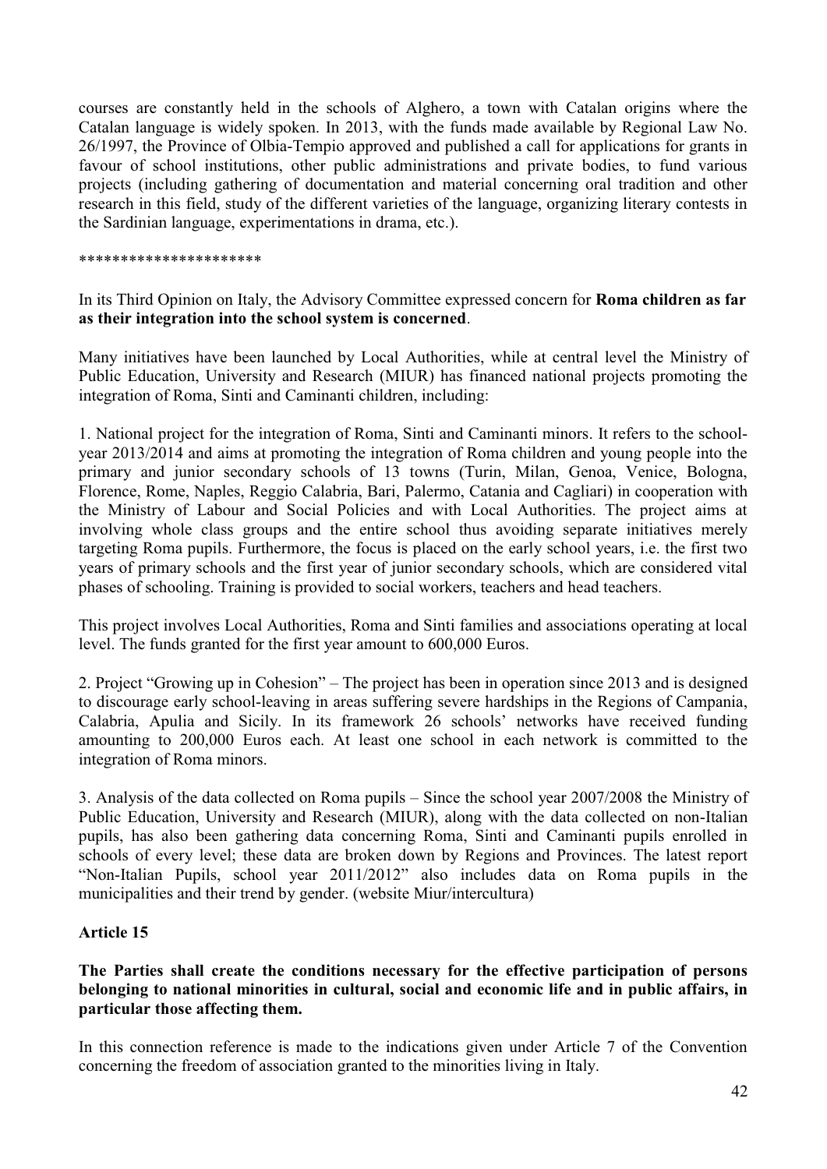courses are constantly held in the schools of Alghero, a town with Catalan origins where the Catalan language is widely spoken. In 2013, with the funds made available by Regional Law No. 26/1997, the Province of Olbia-Tempio approved and published a call for applications for grants in favour of school institutions, other public administrations and private bodies, to fund various projects (including gathering of documentation and material concerning oral tradition and other research in this field, study of the different varieties of the language, organizing literary contests in the Sardinian language, experimentations in drama, etc.).

#### \*\*\*\*\*\*\*\*\*\*\*\*\*\*\*\*\*\*\*\*\*\*

In its Third Opinion on Italy, the Advisory Committee expressed concern for **Roma children as far as their integration into the school system is concerned**.

Many initiatives have been launched by Local Authorities, while at central level the Ministry of Public Education, University and Research (MIUR) has financed national projects promoting the integration of Roma, Sinti and Caminanti children, including:

1. National project for the integration of Roma, Sinti and Caminanti minors. It refers to the schoolyear 2013/2014 and aims at promoting the integration of Roma children and young people into the primary and junior secondary schools of 13 towns (Turin, Milan, Genoa, Venice, Bologna, Florence, Rome, Naples, Reggio Calabria, Bari, Palermo, Catania and Cagliari) in cooperation with the Ministry of Labour and Social Policies and with Local Authorities. The project aims at involving whole class groups and the entire school thus avoiding separate initiatives merely targeting Roma pupils. Furthermore, the focus is placed on the early school years, i.e. the first two years of primary schools and the first year of junior secondary schools, which are considered vital phases of schooling. Training is provided to social workers, teachers and head teachers.

This project involves Local Authorities, Roma and Sinti families and associations operating at local level. The funds granted for the first year amount to 600,000 Euros.

2. Project "Growing up in Cohesion" – The project has been in operation since 2013 and is designed to discourage early school-leaving in areas suffering severe hardships in the Regions of Campania, Calabria, Apulia and Sicily. In its framework 26 schools" networks have received funding amounting to 200,000 Euros each. At least one school in each network is committed to the integration of Roma minors.

3. Analysis of the data collected on Roma pupils – Since the school year 2007/2008 the Ministry of Public Education, University and Research (MIUR), along with the data collected on non-Italian pupils, has also been gathering data concerning Roma, Sinti and Caminanti pupils enrolled in schools of every level; these data are broken down by Regions and Provinces. The latest report "Non-Italian Pupils, school year 2011/2012" also includes data on Roma pupils in the municipalities and their trend by gender. (website Miur/intercultura)

#### **Article 15**

## **The Parties shall create the conditions necessary for the effective participation of persons belonging to national minorities in cultural, social and economic life and in public affairs, in particular those affecting them.**

In this connection reference is made to the indications given under Article 7 of the Convention concerning the freedom of association granted to the minorities living in Italy.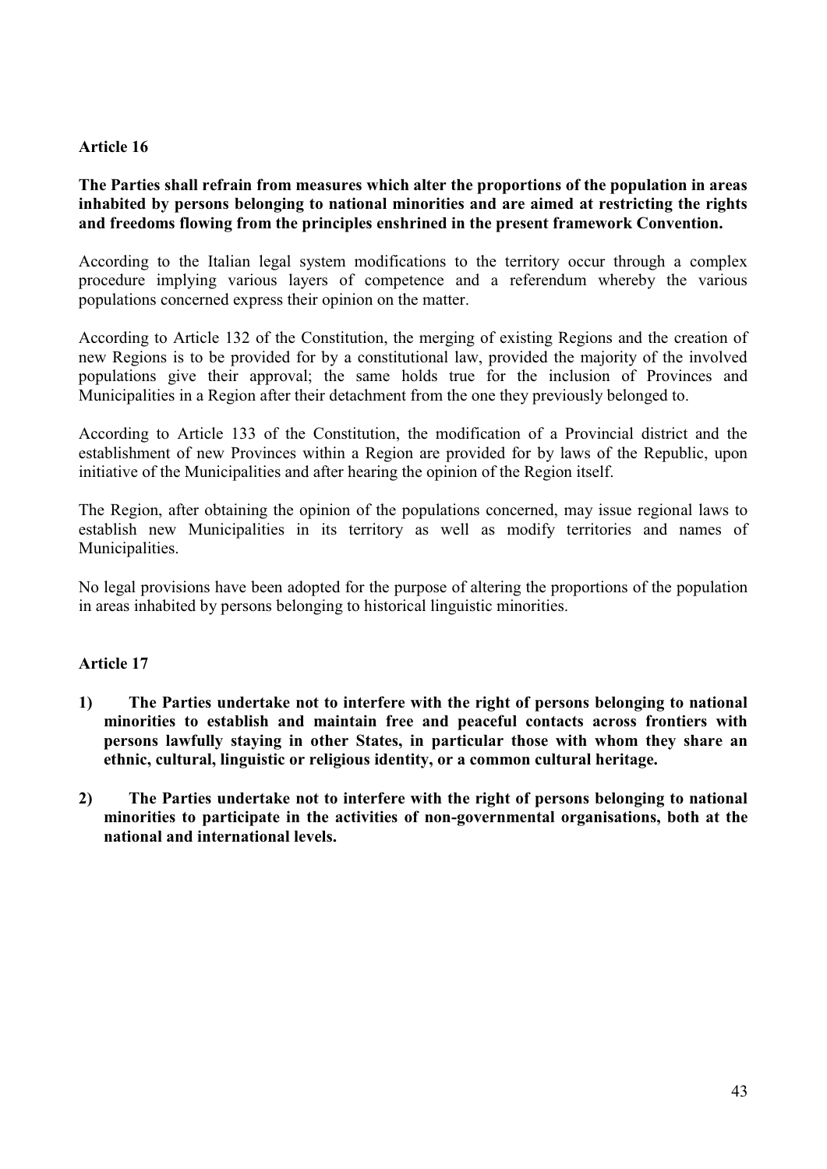## **Article 16**

## **The Parties shall refrain from measures which alter the proportions of the population in areas inhabited by persons belonging to national minorities and are aimed at restricting the rights and freedoms flowing from the principles enshrined in the present framework Convention.**

According to the Italian legal system modifications to the territory occur through a complex procedure implying various layers of competence and a referendum whereby the various populations concerned express their opinion on the matter.

According to Article 132 of the Constitution, the merging of existing Regions and the creation of new Regions is to be provided for by a constitutional law, provided the majority of the involved populations give their approval; the same holds true for the inclusion of Provinces and Municipalities in a Region after their detachment from the one they previously belonged to.

According to Article 133 of the Constitution, the modification of a Provincial district and the establishment of new Provinces within a Region are provided for by laws of the Republic, upon initiative of the Municipalities and after hearing the opinion of the Region itself.

The Region, after obtaining the opinion of the populations concerned, may issue regional laws to establish new Municipalities in its territory as well as modify territories and names of Municipalities.

No legal provisions have been adopted for the purpose of altering the proportions of the population in areas inhabited by persons belonging to historical linguistic minorities.

#### **Article 17**

- **1) The Parties undertake not to interfere with the right of persons belonging to national minorities to establish and maintain free and peaceful contacts across frontiers with persons lawfully staying in other States, in particular those with whom they share an ethnic, cultural, linguistic or religious identity, or a common cultural heritage.**
- **2) The Parties undertake not to interfere with the right of persons belonging to national minorities to participate in the activities of non-governmental organisations, both at the national and international levels.**